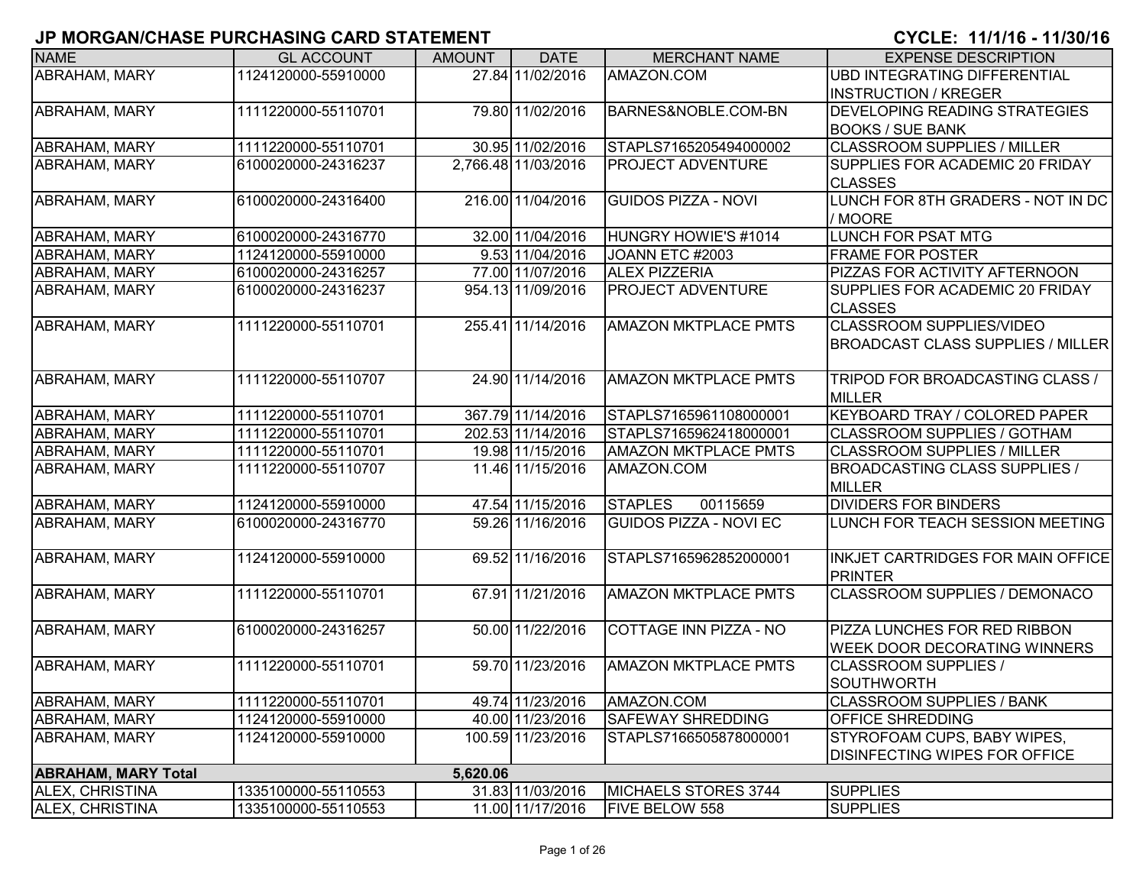| <b>NAME</b>                | <b>GL ACCOUNT</b>   | <b>AMOUNT</b> | <b>DATE</b>         | <b>MERCHANT NAME</b>          | <b>EXPENSE DESCRIPTION</b>                        |
|----------------------------|---------------------|---------------|---------------------|-------------------------------|---------------------------------------------------|
| <b>ABRAHAM, MARY</b>       | 1124120000-55910000 |               | 27.84 11/02/2016    | AMAZON.COM                    | <b>UBD INTEGRATING DIFFERENTIAL</b>               |
|                            |                     |               |                     |                               | <b>INSTRUCTION / KREGER</b>                       |
| <b>ABRAHAM, MARY</b>       | 1111220000-55110701 |               | 79.80 11/02/2016    | BARNES&NOBLE.COM-BN           | <b>DEVELOPING READING STRATEGIES</b>              |
|                            |                     |               |                     |                               | <b>BOOKS / SUE BANK</b>                           |
| <b>ABRAHAM, MARY</b>       | 1111220000-55110701 |               | 30.95 11/02/2016    | STAPLS7165205494000002        | <b>CLASSROOM SUPPLIES / MILLER</b>                |
| <b>ABRAHAM, MARY</b>       | 6100020000-24316237 |               | 2,766.48 11/03/2016 | <b>PROJECT ADVENTURE</b>      | SUPPLIES FOR ACADEMIC 20 FRIDAY                   |
|                            |                     |               |                     |                               | <b>CLASSES</b>                                    |
| <b>ABRAHAM, MARY</b>       | 6100020000-24316400 |               | 216.00 11/04/2016   | <b>GUIDOS PIZZA - NOVI</b>    | LUNCH FOR 8TH GRADERS - NOT IN DC                 |
|                            |                     |               |                     |                               | / MOORE                                           |
| <b>ABRAHAM, MARY</b>       | 6100020000-24316770 |               | 32.00 11/04/2016    | HUNGRY HOWIE'S #1014          | <b>LUNCH FOR PSAT MTG</b>                         |
| <b>ABRAHAM, MARY</b>       | 1124120000-55910000 |               | 9.53 11/04/2016     | JOANN ETC #2003               | <b>FRAME FOR POSTER</b>                           |
| <b>ABRAHAM, MARY</b>       | 6100020000-24316257 |               | 77.00 11/07/2016    | <b>ALEX PIZZERIA</b>          | <b>PIZZAS FOR ACTIVITY AFTERNOON</b>              |
| <b>ABRAHAM, MARY</b>       | 6100020000-24316237 |               | 954.13 11/09/2016   | <b>PROJECT ADVENTURE</b>      | SUPPLIES FOR ACADEMIC 20 FRIDAY<br><b>CLASSES</b> |
| <b>ABRAHAM, MARY</b>       | 1111220000-55110701 |               | 255.41 11/14/2016   | <b>AMAZON MKTPLACE PMTS</b>   | <b>CLASSROOM SUPPLIES/VIDEO</b>                   |
|                            |                     |               |                     |                               | <b>BROADCAST CLASS SUPPLIES / MILLER</b>          |
|                            |                     |               |                     |                               |                                                   |
| <b>ABRAHAM, MARY</b>       | 1111220000-55110707 |               | 24.90 11/14/2016    | <b>AMAZON MKTPLACE PMTS</b>   | TRIPOD FOR BROADCASTING CLASS /<br><b>MILLER</b>  |
| <b>ABRAHAM, MARY</b>       | 1111220000-55110701 |               | 367.79 11/14/2016   | STAPLS7165961108000001        | <b>KEYBOARD TRAY / COLORED PAPER</b>              |
| <b>ABRAHAM, MARY</b>       | 1111220000-55110701 |               | 202.53 11/14/2016   | STAPLS7165962418000001        | <b>CLASSROOM SUPPLIES / GOTHAM</b>                |
| <b>ABRAHAM, MARY</b>       | 1111220000-55110701 |               | 19.98 11/15/2016    | <b>AMAZON MKTPLACE PMTS</b>   | <b>CLASSROOM SUPPLIES / MILLER</b>                |
| <b>ABRAHAM, MARY</b>       | 1111220000-55110707 |               | 11.46 11/15/2016    | AMAZON.COM                    | <b>BROADCASTING CLASS SUPPLIES /</b>              |
|                            |                     |               |                     |                               | <b>MILLER</b>                                     |
| <b>ABRAHAM, MARY</b>       | 1124120000-55910000 |               | 47.54 11/15/2016    | <b>STAPLES</b><br>00115659    | <b>DIVIDERS FOR BINDERS</b>                       |
| <b>ABRAHAM, MARY</b>       | 6100020000-24316770 |               | 59.26 11/16/2016    | <b>GUIDOS PIZZA - NOVI EC</b> | LUNCH FOR TEACH SESSION MEETING                   |
|                            |                     |               |                     |                               |                                                   |
| ABRAHAM, MARY              | 1124120000-55910000 |               | 69.52 11/16/2016    | STAPLS7165962852000001        | INKJET CARTRIDGES FOR MAIN OFFICE                 |
|                            |                     |               |                     |                               | <b>PRINTER</b>                                    |
| <b>ABRAHAM, MARY</b>       | 1111220000-55110701 |               | 67.91 11/21/2016    | <b>AMAZON MKTPLACE PMTS</b>   | <b>CLASSROOM SUPPLIES / DEMONACO</b>              |
|                            |                     |               |                     |                               |                                                   |
| <b>ABRAHAM, MARY</b>       | 6100020000-24316257 |               | 50.00 11/22/2016    | COTTAGE INN PIZZA - NO        | <b>PIZZA LUNCHES FOR RED RIBBON</b>               |
|                            |                     |               |                     |                               | <b>WEEK DOOR DECORATING WINNERS</b>               |
| <b>ABRAHAM, MARY</b>       | 1111220000-55110701 |               | 59.70 11/23/2016    | <b>AMAZON MKTPLACE PMTS</b>   | CLASSROOM SUPPLIES /                              |
|                            |                     |               |                     |                               | SOUTHWORTH                                        |
| ABRAHAM, MARY              | 1111220000-55110701 |               | 49.74 11/23/2016    | AMAZON.COM                    | <b>CLASSROOM SUPPLIES / BANK</b>                  |
| <b>ABRAHAM, MARY</b>       | 1124120000-55910000 |               | 40.00 11/23/2016    | <b>SAFEWAY SHREDDING</b>      | <b>OFFICE SHREDDING</b>                           |
| <b>ABRAHAM, MARY</b>       | 1124120000-55910000 |               | 100.59 11/23/2016   | STAPLS7166505878000001        | <b>STYROFOAM CUPS, BABY WIPES,</b>                |
|                            |                     |               |                     |                               | <b>DISINFECTING WIPES FOR OFFICE</b>              |
| <b>ABRAHAM, MARY Total</b> |                     | 5,620.06      |                     |                               |                                                   |
| ALEX, CHRISTINA            | 1335100000-55110553 |               | 31.83 11/03/2016    | MICHAELS STORES 3744          | <b>SUPPLIES</b>                                   |
| ALEX, CHRISTINA            | 1335100000-55110553 |               | 11.00 11/17/2016    | FIVE BELOW 558                | <b>SUPPLIES</b>                                   |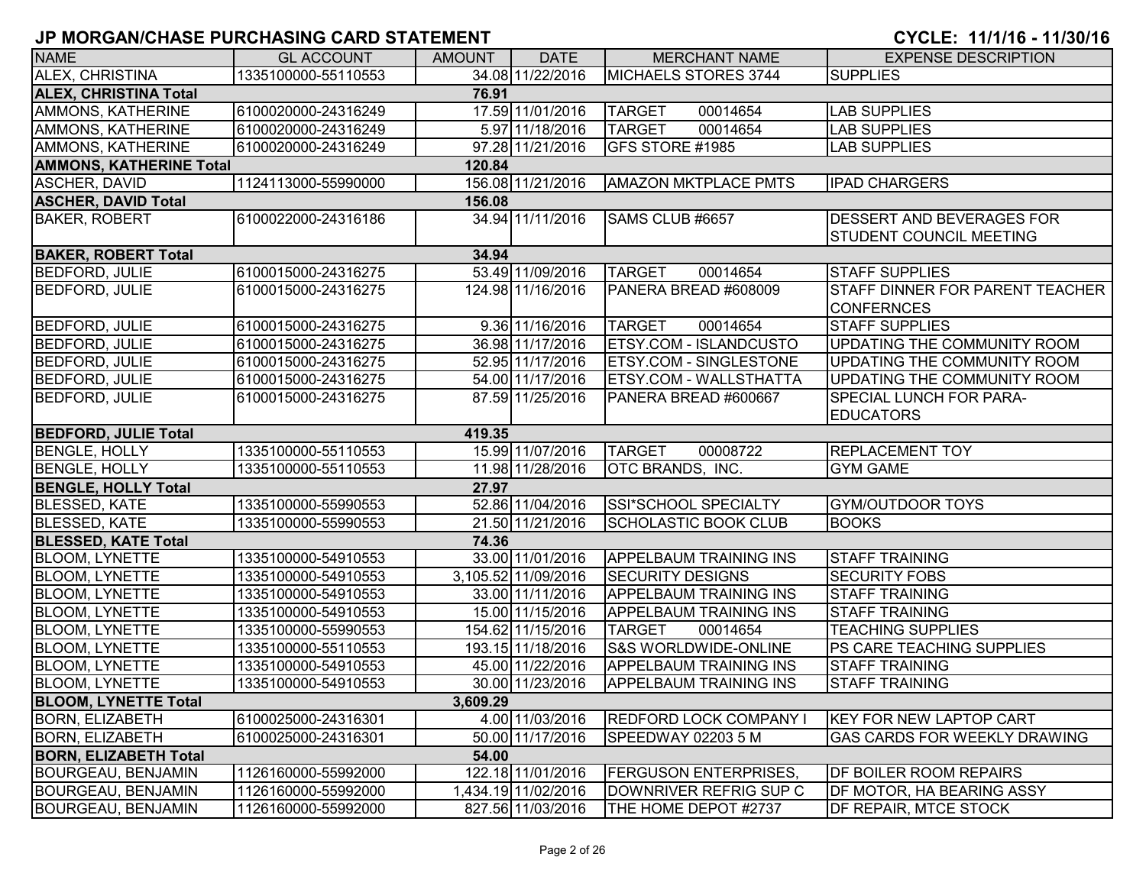| <b>NAME</b>                    | <b>GL ACCOUNT</b>   | <b>AMOUNT</b> | <b>DATE</b>         | <b>MERCHANT NAME</b>          | <b>EXPENSE DESCRIPTION</b>                                  |
|--------------------------------|---------------------|---------------|---------------------|-------------------------------|-------------------------------------------------------------|
| ALEX, CHRISTINA                | 1335100000-55110553 |               | 34.08 11/22/2016    | MICHAELS STORES 3744          | <b>SUPPLIES</b>                                             |
| <b>ALEX, CHRISTINA Total</b>   |                     | 76.91         |                     |                               |                                                             |
| AMMONS, KATHERINE              | 6100020000-24316249 |               | 17.59 11/01/2016    | <b>TARGET</b><br>00014654     | <b>LAB SUPPLIES</b>                                         |
| <b>AMMONS, KATHERINE</b>       | 6100020000-24316249 |               | 5.97 11/18/2016     | <b>TARGET</b><br>00014654     | <b>LAB SUPPLIES</b>                                         |
| <b>AMMONS, KATHERINE</b>       | 6100020000-24316249 |               | 97.28 11/21/2016    | GFS STORE #1985               | <b>LAB SUPPLIES</b>                                         |
| <b>AMMONS, KATHERINE Total</b> |                     | 120.84        |                     |                               |                                                             |
| <b>ASCHER, DAVID</b>           | 1124113000-55990000 |               | 156.08 11/21/2016   | <b>AMAZON MKTPLACE PMTS</b>   | <b>IPAD CHARGERS</b>                                        |
| <b>ASCHER, DAVID Total</b>     |                     | 156.08        |                     |                               |                                                             |
| <b>BAKER, ROBERT</b>           | 6100022000-24316186 |               | 34.94 11/11/2016    | SAMS CLUB #6657               | DESSERT AND BEVERAGES FOR<br><b>STUDENT COUNCIL MEETING</b> |
| <b>BAKER, ROBERT Total</b>     |                     | 34.94         |                     |                               |                                                             |
| <b>BEDFORD, JULIE</b>          | 6100015000-24316275 |               | 53.49 11/09/2016    | <b>TARGET</b><br>00014654     | <b>STAFF SUPPLIES</b>                                       |
| <b>BEDFORD, JULIE</b>          | 6100015000-24316275 |               | 124.98 11/16/2016   | PANERA BREAD #608009          | <b>STAFF DINNER FOR PARENT TEACHER</b><br><b>CONFERNCES</b> |
| <b>BEDFORD, JULIE</b>          | 6100015000-24316275 |               | 9.36 11/16/2016     | <b>TARGET</b><br>00014654     | <b>STAFF SUPPLIES</b>                                       |
| <b>BEDFORD, JULIE</b>          | 6100015000-24316275 |               | 36.98 11/17/2016    | ETSY.COM - ISLANDCUSTO        | UPDATING THE COMMUNITY ROOM                                 |
| <b>BEDFORD, JULIE</b>          | 6100015000-24316275 |               | 52.95 11/17/2016    | <b>ETSY.COM - SINGLESTONE</b> | UPDATING THE COMMUNITY ROOM                                 |
| <b>BEDFORD, JULIE</b>          | 6100015000-24316275 |               | 54.00 11/17/2016    | ETSY.COM - WALLSTHATTA        | UPDATING THE COMMUNITY ROOM                                 |
| <b>BEDFORD, JULIE</b>          | 6100015000-24316275 |               | 87.59 11/25/2016    | PANERA BREAD #600667          | <b>SPECIAL LUNCH FOR PARA-</b><br><b>EDUCATORS</b>          |
| <b>BEDFORD, JULIE Total</b>    |                     | 419.35        |                     |                               |                                                             |
| <b>BENGLE, HOLLY</b>           | 1335100000-55110553 |               | 15.99 11/07/2016    | <b>TARGET</b><br>00008722     | <b>REPLACEMENT TOY</b>                                      |
| <b>BENGLE, HOLLY</b>           | 1335100000-55110553 |               | 11.98 11/28/2016    | <b>OTC BRANDS, INC.</b>       | <b>GYM GAME</b>                                             |
| <b>BENGLE, HOLLY Total</b>     |                     | 27.97         |                     |                               |                                                             |
| <b>BLESSED, KATE</b>           | 1335100000-55990553 |               | 52.86 11/04/2016    | SSI*SCHOOL SPECIALTY          | <b>GYM/OUTDOOR TOYS</b>                                     |
| <b>BLESSED, KATE</b>           | 1335100000-55990553 |               | 21.50 11/21/2016    | <b>SCHOLASTIC BOOK CLUB</b>   | <b>BOOKS</b>                                                |
| <b>BLESSED, KATE Total</b>     |                     | 74.36         |                     |                               |                                                             |
| <b>BLOOM, LYNETTE</b>          | 1335100000-54910553 |               | 33.00 11/01/2016    | <b>APPELBAUM TRAINING INS</b> | <b>STAFF TRAINING</b>                                       |
| <b>BLOOM, LYNETTE</b>          | 1335100000-54910553 |               | 3,105.52 11/09/2016 | <b>SECURITY DESIGNS</b>       | <b>SECURITY FOBS</b>                                        |
| <b>BLOOM, LYNETTE</b>          | 1335100000-54910553 |               | 33.00 11/11/2016    | <b>APPELBAUM TRAINING INS</b> | <b>STAFF TRAINING</b>                                       |
| <b>BLOOM, LYNETTE</b>          | 1335100000-54910553 |               | 15.00 11/15/2016    | <b>APPELBAUM TRAINING INS</b> | <b>STAFF TRAINING</b>                                       |
| <b>BLOOM, LYNETTE</b>          | 1335100000-55990553 |               | 154.62 11/15/2016   | <b>TARGET</b><br>00014654     | <b>TEACHING SUPPLIES</b>                                    |
| <b>BLOOM, LYNETTE</b>          | 1335100000-55110553 |               | 193.15 11/18/2016   | S&S WORLDWIDE-ONLINE          | PS CARE TEACHING SUPPLIES                                   |
| <b>BLOOM, LYNETTE</b>          | 1335100000-54910553 |               | 45.00 11/22/2016    | <b>APPELBAUM TRAINING INS</b> | <b>STAFF TRAINING</b>                                       |
| <b>BLOOM, LYNETTE</b>          | 1335100000-54910553 |               | 30.00 11/23/2016    | <b>APPELBAUM TRAINING INS</b> | <b>STAFF TRAINING</b>                                       |
| <b>BLOOM, LYNETTE Total</b>    |                     | 3,609.29      |                     |                               |                                                             |
| <b>BORN, ELIZABETH</b>         | 6100025000-24316301 |               | 4.00 11/03/2016     | REDFORD LOCK COMPANY I        | <b>KEY FOR NEW LAPTOP CART</b>                              |
| <b>BORN, ELIZABETH</b>         | 6100025000-24316301 |               | 50.00 11/17/2016    | SPEEDWAY 02203 5 M            | <b>GAS CARDS FOR WEEKLY DRAWING</b>                         |
| <b>BORN, ELIZABETH Total</b>   |                     | 54.00         |                     |                               |                                                             |
| <b>BOURGEAU, BENJAMIN</b>      | 1126160000-55992000 |               | 122.18 11/01/2016   | <b>FERGUSON ENTERPRISES,</b>  | <b>DF BOILER ROOM REPAIRS</b>                               |
| <b>BOURGEAU, BENJAMIN</b>      | 1126160000-55992000 |               | 1,434.19 11/02/2016 | DOWNRIVER REFRIG SUP C        | DF MOTOR, HA BEARING ASSY                                   |
| <b>BOURGEAU, BENJAMIN</b>      | 1126160000-55992000 |               | 827.56 11/03/2016   | THE HOME DEPOT #2737          | DF REPAIR, MTCE STOCK                                       |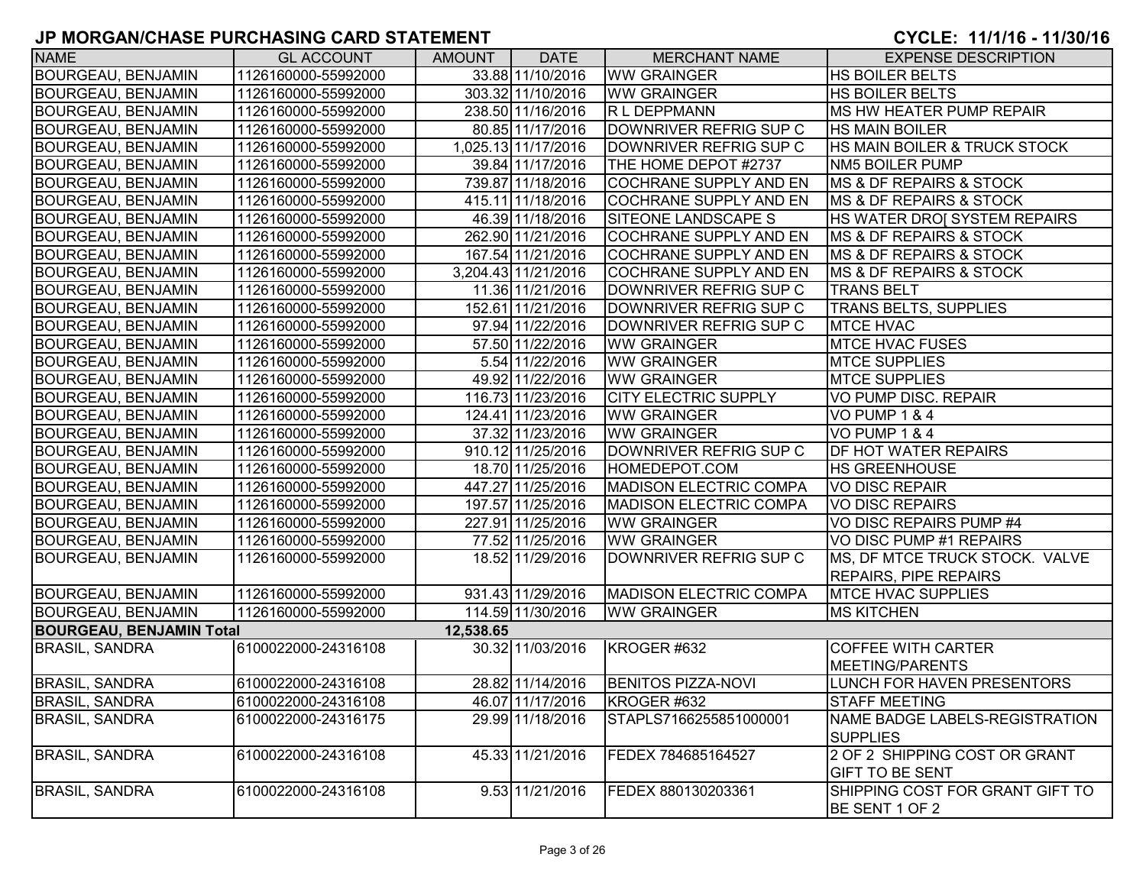| <b>NAME</b>                     | <b>GL ACCOUNT</b>   | <b>AMOUNT</b> | <b>DATE</b>         | <b>MERCHANT NAME</b>          | <b>EXPENSE DESCRIPTION</b>              |
|---------------------------------|---------------------|---------------|---------------------|-------------------------------|-----------------------------------------|
| <b>BOURGEAU, BENJAMIN</b>       | 1126160000-55992000 |               | 33.88 11/10/2016    | <b>WW GRAINGER</b>            | <b>HS BOILER BELTS</b>                  |
| <b>BOURGEAU, BENJAMIN</b>       | 1126160000-55992000 |               | 303.32 11/10/2016   | <b>WW GRAINGER</b>            | <b>HS BOILER BELTS</b>                  |
| <b>BOURGEAU, BENJAMIN</b>       | 1126160000-55992000 |               | 238.50 11/16/2016   | R L DEPPMANN                  | MS HW HEATER PUMP REPAIR                |
| <b>BOURGEAU, BENJAMIN</b>       | 1126160000-55992000 |               | 80.85 11/17/2016    | DOWNRIVER REFRIG SUP C        | <b>HS MAIN BOILER</b>                   |
| <b>BOURGEAU, BENJAMIN</b>       | 1126160000-55992000 |               | 1,025.13 11/17/2016 | DOWNRIVER REFRIG SUP C        | <b>HS MAIN BOILER &amp; TRUCK STOCK</b> |
| <b>BOURGEAU, BENJAMIN</b>       | 1126160000-55992000 |               | 39.84 11/17/2016    | THE HOME DEPOT #2737          | NM5 BOILER PUMP                         |
| <b>BOURGEAU, BENJAMIN</b>       | 1126160000-55992000 |               | 739.87 11/18/2016   | <b>COCHRANE SUPPLY AND EN</b> | <b>MS &amp; DF REPAIRS &amp; STOCK</b>  |
| <b>BOURGEAU, BENJAMIN</b>       | 1126160000-55992000 |               | 415.11 11/18/2016   | <b>COCHRANE SUPPLY AND EN</b> | <b>MS &amp; DF REPAIRS &amp; STOCK</b>  |
| BOURGEAU, BENJAMIN              | 1126160000-55992000 |               | 46.39 11/18/2016    | SITEONE LANDSCAPE S           | HS WATER DROI SYSTEM REPAIRS            |
| <b>BOURGEAU, BENJAMIN</b>       | 1126160000-55992000 |               | 262.90 11/21/2016   | COCHRANE SUPPLY AND EN        | <b>IMS &amp; DF REPAIRS &amp; STOCK</b> |
| <b>BOURGEAU, BENJAMIN</b>       | 1126160000-55992000 |               | 167.54 11/21/2016   | <b>COCHRANE SUPPLY AND EN</b> | <b>IMS &amp; DF REPAIRS &amp; STOCK</b> |
| <b>BOURGEAU, BENJAMIN</b>       | 1126160000-55992000 |               | 3,204.43 11/21/2016 | COCHRANE SUPPLY AND EN        | <b>IMS &amp; DF REPAIRS &amp; STOCK</b> |
| <b>BOURGEAU, BENJAMIN</b>       | 1126160000-55992000 |               | 11.36 11/21/2016    | DOWNRIVER REFRIG SUP C        | <b>TRANS BELT</b>                       |
| <b>BOURGEAU, BENJAMIN</b>       | 1126160000-55992000 |               | 152.61 11/21/2016   | DOWNRIVER REFRIG SUP C        | <b>TRANS BELTS, SUPPLIES</b>            |
| <b>BOURGEAU, BENJAMIN</b>       | 1126160000-55992000 |               | 97.94 11/22/2016    | DOWNRIVER REFRIG SUP C        | <b>MTCE HVAC</b>                        |
| <b>BOURGEAU, BENJAMIN</b>       | 1126160000-55992000 |               | 57.50 11/22/2016    | <b>WW GRAINGER</b>            | <b>MTCE HVAC FUSES</b>                  |
| <b>BOURGEAU, BENJAMIN</b>       | 1126160000-55992000 |               | 5.54 11/22/2016     | <b>WW GRAINGER</b>            | <b>MTCE SUPPLIES</b>                    |
| <b>BOURGEAU, BENJAMIN</b>       | 1126160000-55992000 |               | 49.92 11/22/2016    | <b>WW GRAINGER</b>            | <b>MTCE SUPPLIES</b>                    |
| <b>BOURGEAU, BENJAMIN</b>       | 1126160000-55992000 |               | 116.73 11/23/2016   | <b>CITY ELECTRIC SUPPLY</b>   | VO PUMP DISC. REPAIR                    |
| <b>BOURGEAU, BENJAMIN</b>       | 1126160000-55992000 |               | 124.41 11/23/2016   | <b>WW GRAINGER</b>            | VO PUMP 1 & 4                           |
| <b>BOURGEAU, BENJAMIN</b>       | 1126160000-55992000 |               | 37.32 11/23/2016    | <b>WW GRAINGER</b>            | VO PUMP 1 & 4                           |
| <b>BOURGEAU, BENJAMIN</b>       | 1126160000-55992000 |               | 910.12 11/25/2016   | DOWNRIVER REFRIG SUP C        | <b>DF HOT WATER REPAIRS</b>             |
| <b>BOURGEAU, BENJAMIN</b>       | 1126160000-55992000 |               | 18.70 11/25/2016    | HOMEDEPOT.COM                 | <b>HS GREENHOUSE</b>                    |
| <b>BOURGEAU, BENJAMIN</b>       | 1126160000-55992000 |               | 447.27 11/25/2016   | <b>MADISON ELECTRIC COMPA</b> | <b>VO DISC REPAIR</b>                   |
| <b>BOURGEAU, BENJAMIN</b>       | 1126160000-55992000 |               | 197.57 11/25/2016   | <b>MADISON ELECTRIC COMPA</b> | <b>VO DISC REPAIRS</b>                  |
| <b>BOURGEAU, BENJAMIN</b>       | 1126160000-55992000 |               | 227.91 11/25/2016   | <b>WW GRAINGER</b>            | VO DISC REPAIRS PUMP #4                 |
| <b>BOURGEAU, BENJAMIN</b>       | 1126160000-55992000 |               | 77.52 11/25/2016    | <b>WW GRAINGER</b>            | VO DISC PUMP #1 REPAIRS                 |
| <b>BOURGEAU, BENJAMIN</b>       | 1126160000-55992000 |               | 18.52 11/29/2016    | DOWNRIVER REFRIG SUP C        | MS, DF MTCE TRUCK STOCK. VALVE          |
|                                 |                     |               |                     |                               | <b>REPAIRS, PIPE REPAIRS</b>            |
| <b>BOURGEAU, BENJAMIN</b>       | 1126160000-55992000 |               | 931.43 11/29/2016   | <b>MADISON ELECTRIC COMPA</b> | <b>MTCE HVAC SUPPLIES</b>               |
| <b>BOURGEAU, BENJAMIN</b>       | 1126160000-55992000 |               | 114.59 11/30/2016   | <b>WW GRAINGER</b>            | <b>MS KITCHEN</b>                       |
| <b>BOURGEAU, BENJAMIN Total</b> |                     | 12,538.65     |                     |                               |                                         |
| <b>BRASIL, SANDRA</b>           | 6100022000-24316108 |               | 30.32 11/03/2016    | KROGER #632                   | <b>COFFEE WITH CARTER</b>               |
|                                 |                     |               |                     |                               | <b>MEETING/PARENTS</b>                  |
| <b>BRASIL, SANDRA</b>           | 6100022000-24316108 |               | 28.82 11/14/2016    | <b>BENITOS PIZZA-NOVI</b>     | LUNCH FOR HAVEN PRESENTORS              |
| <b>BRASIL, SANDRA</b>           | 6100022000-24316108 |               | 46.07 11/17/2016    | KROGER#632                    | STAFF MEETING                           |
| <b>BRASIL, SANDRA</b>           | 6100022000-24316175 |               | 29.99 11/18/2016    | STAPLS7166255851000001        | NAME BADGE LABELS-REGISTRATION          |
|                                 |                     |               |                     |                               | <b>SUPPLIES</b>                         |
| <b>BRASIL, SANDRA</b>           | 6100022000-24316108 |               | 45.33 11/21/2016    | FEDEX 784685164527            | 2 OF 2 SHIPPING COST OR GRANT           |
|                                 |                     |               |                     |                               | <b>GIFT TO BE SENT</b>                  |
| <b>BRASIL, SANDRA</b>           | 6100022000-24316108 |               | 9.53 11/21/2016     | FEDEX 880130203361            | SHIPPING COST FOR GRANT GIFT TO         |
|                                 |                     |               |                     |                               | IBE SENT 1 OF 2                         |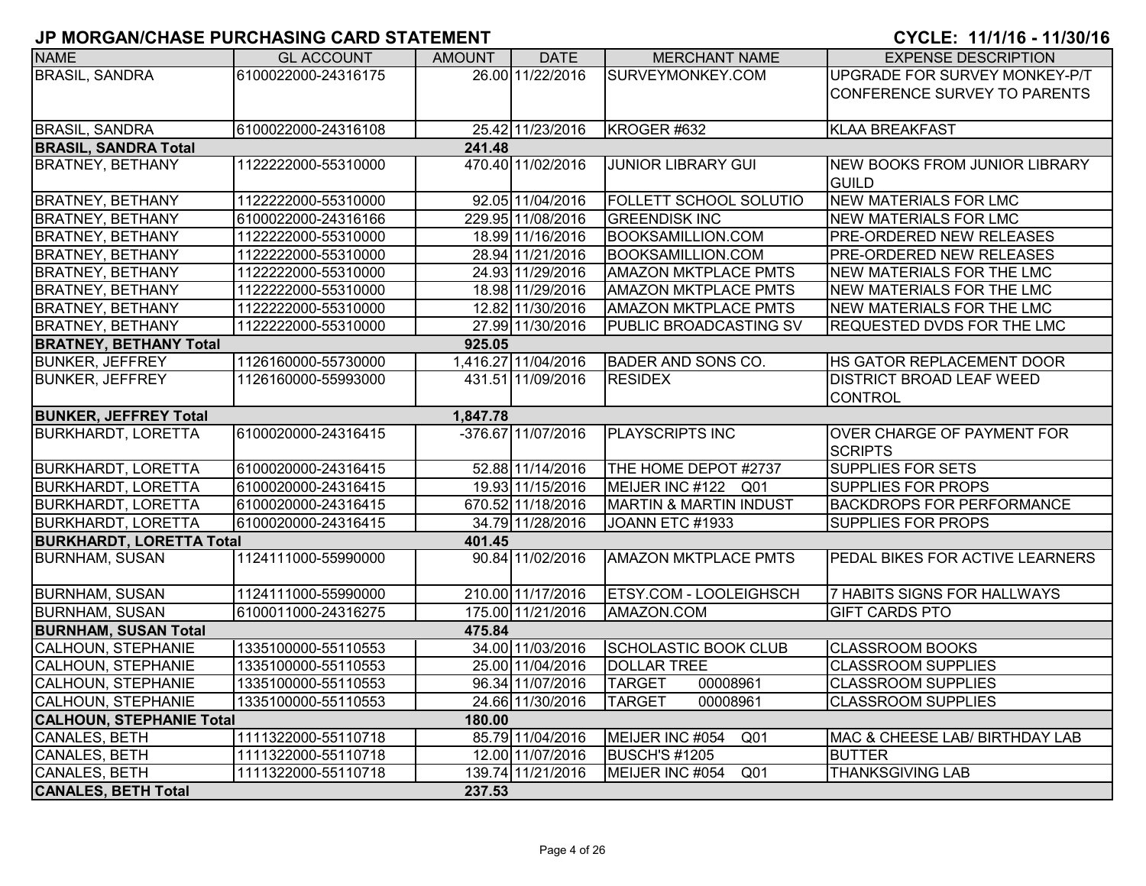| <b>NAME</b>                     | <b>GL ACCOUNT</b>   | <b>AMOUNT</b> | <b>DATE</b>         | <b>MERCHANT NAME</b>               | <b>EXPENSE DESCRIPTION</b>                          |
|---------------------------------|---------------------|---------------|---------------------|------------------------------------|-----------------------------------------------------|
| <b>BRASIL, SANDRA</b>           | 6100022000-24316175 |               | 26.00 11/22/2016    | SURVEYMONKEY.COM                   | UPGRADE FOR SURVEY MONKEY-P/T                       |
|                                 |                     |               |                     |                                    | CONFERENCE SURVEY TO PARENTS                        |
|                                 |                     |               |                     |                                    |                                                     |
| <b>BRASIL, SANDRA</b>           | 6100022000-24316108 |               | 25.42 11/23/2016    | KROGER #632                        | <b>KLAA BREAKFAST</b>                               |
| <b>BRASIL, SANDRA Total</b>     |                     | 241.48        |                     |                                    |                                                     |
| <b>BRATNEY, BETHANY</b>         | 1122222000-55310000 |               | 470.40 11/02/2016   | <b>JUNIOR LIBRARY GUI</b>          | <b>NEW BOOKS FROM JUNIOR LIBRARY</b>                |
|                                 |                     |               |                     |                                    | <b>GUILD</b>                                        |
| <b>BRATNEY, BETHANY</b>         | 1122222000-55310000 |               | 92.05 11/04/2016    | <b>FOLLETT SCHOOL SOLUTIO</b>      | <b>NEW MATERIALS FOR LMC</b>                        |
| <b>BRATNEY, BETHANY</b>         | 6100022000-24316166 |               | 229.95 11/08/2016   | <b>GREENDISK INC</b>               | <b>NEW MATERIALS FOR LMC</b>                        |
| <b>BRATNEY, BETHANY</b>         | 1122222000-55310000 |               | 18.99 11/16/2016    | <b>BOOKSAMILLION.COM</b>           | <b>PRE-ORDERED NEW RELEASES</b>                     |
| <b>BRATNEY, BETHANY</b>         | 1122222000-55310000 |               | 28.94 11/21/2016    | <b>BOOKSAMILLION.COM</b>           | <b>PRE-ORDERED NEW RELEASES</b>                     |
| <b>BRATNEY, BETHANY</b>         | 1122222000-55310000 |               | 24.93 11/29/2016    | <b>AMAZON MKTPLACE PMTS</b>        | <b>NEW MATERIALS FOR THE LMC</b>                    |
| <b>BRATNEY, BETHANY</b>         | 1122222000-55310000 |               | 18.98 11/29/2016    | <b>AMAZON MKTPLACE PMTS</b>        | NEW MATERIALS FOR THE LMC                           |
| <b>BRATNEY, BETHANY</b>         | 1122222000-55310000 |               | 12.82 11/30/2016    | <b>AMAZON MKTPLACE PMTS</b>        | <b>NEW MATERIALS FOR THE LMC</b>                    |
| <b>BRATNEY, BETHANY</b>         | 1122222000-55310000 |               | 27.99 11/30/2016    | PUBLIC BROADCASTING SV             | <b>REQUESTED DVDS FOR THE LMC</b>                   |
| <b>BRATNEY, BETHANY Total</b>   |                     | 925.05        |                     |                                    |                                                     |
| <b>BUNKER, JEFFREY</b>          | 1126160000-55730000 |               | 1,416.27 11/04/2016 | <b>BADER AND SONS CO.</b>          | HS GATOR REPLACEMENT DOOR                           |
| <b>BUNKER, JEFFREY</b>          | 1126160000-55993000 |               | 431.51 11/09/2016   | <b>RESIDEX</b>                     | <b>DISTRICT BROAD LEAF WEED</b>                     |
|                                 |                     |               |                     |                                    | CONTROL                                             |
| <b>BUNKER, JEFFREY Total</b>    |                     | 1,847.78      |                     |                                    |                                                     |
| <b>BURKHARDT, LORETTA</b>       | 6100020000-24316415 |               | -376.67 11/07/2016  | <b>PLAYSCRIPTS INC</b>             | <b>OVER CHARGE OF PAYMENT FOR</b><br><b>SCRIPTS</b> |
| <b>BURKHARDT, LORETTA</b>       | 6100020000-24316415 |               | 52.88 11/14/2016    | THE HOME DEPOT #2737               | <b>SUPPLIES FOR SETS</b>                            |
| <b>BURKHARDT, LORETTA</b>       | 6100020000-24316415 |               | 19.93 11/15/2016    | MEIJER INC #122 Q01                | <b>SUPPLIES FOR PROPS</b>                           |
| <b>BURKHARDT, LORETTA</b>       | 6100020000-24316415 |               | 670.52 11/18/2016   | <b>MARTIN &amp; MARTIN INDUST</b>  | <b>BACKDROPS FOR PERFORMANCE</b>                    |
| <b>BURKHARDT, LORETTA</b>       | 6100020000-24316415 |               | 34.79 11/28/2016    | JOANN ETC #1933                    | <b>SUPPLIES FOR PROPS</b>                           |
| <b>BURKHARDT, LORETTA Total</b> |                     | 401.45        |                     |                                    |                                                     |
| <b>BURNHAM, SUSAN</b>           | 1124111000-55990000 |               | 90.84 11/02/2016    | <b>AMAZON MKTPLACE PMTS</b>        | <b>PEDAL BIKES FOR ACTIVE LEARNERS</b>              |
| <b>BURNHAM, SUSAN</b>           | 1124111000-55990000 |               | 210.00 11/17/2016   | <b>ETSY.COM - LOOLEIGHSCH</b>      | 7 HABITS SIGNS FOR HALLWAYS                         |
| <b>BURNHAM, SUSAN</b>           | 6100011000-24316275 |               | 175.00 11/21/2016   | AMAZON.COM                         | <b>GIFT CARDS PTO</b>                               |
| <b>BURNHAM, SUSAN Total</b>     |                     | 475.84        |                     |                                    |                                                     |
| <b>CALHOUN, STEPHANIE</b>       | 1335100000-55110553 |               | 34.00 11/03/2016    | <b>SCHOLASTIC BOOK CLUB</b>        | <b>CLASSROOM BOOKS</b>                              |
| CALHOUN, STEPHANIE              | 1335100000-55110553 |               | 25.00 11/04/2016    | <b>DOLLAR TREE</b>                 | <b>CLASSROOM SUPPLIES</b>                           |
| <b>CALHOUN, STEPHANIE</b>       | 1335100000-55110553 |               | 96.34 11/07/2016    | <b>TARGET</b><br>00008961          | <b>CLASSROOM SUPPLIES</b>                           |
| <b>CALHOUN, STEPHANIE</b>       | 1335100000-55110553 |               | 24.66 11/30/2016    | <b>TARGET</b><br>00008961          | <b>CLASSROOM SUPPLIES</b>                           |
| <b>CALHOUN, STEPHANIE Total</b> |                     | 180.00        |                     |                                    |                                                     |
| CANALES, BETH                   | 1111322000-55110718 |               | 85.79 11/04/2016    | MEIJER INC #054<br>Q <sub>01</sub> | MAC & CHEESE LAB/ BIRTHDAY LAB                      |
| CANALES, BETH                   | 1111322000-55110718 |               | 12.00 11/07/2016    | <b>BUSCH'S #1205</b>               | <b>BUTTER</b>                                       |
| CANALES, BETH                   | 1111322000-55110718 |               | 139.74 11/21/2016   | MEIJER INC #054<br>Q <sub>01</sub> | <b>THANKSGIVING LAB</b>                             |
| <b>CANALES, BETH Total</b>      |                     | 237.53        |                     |                                    |                                                     |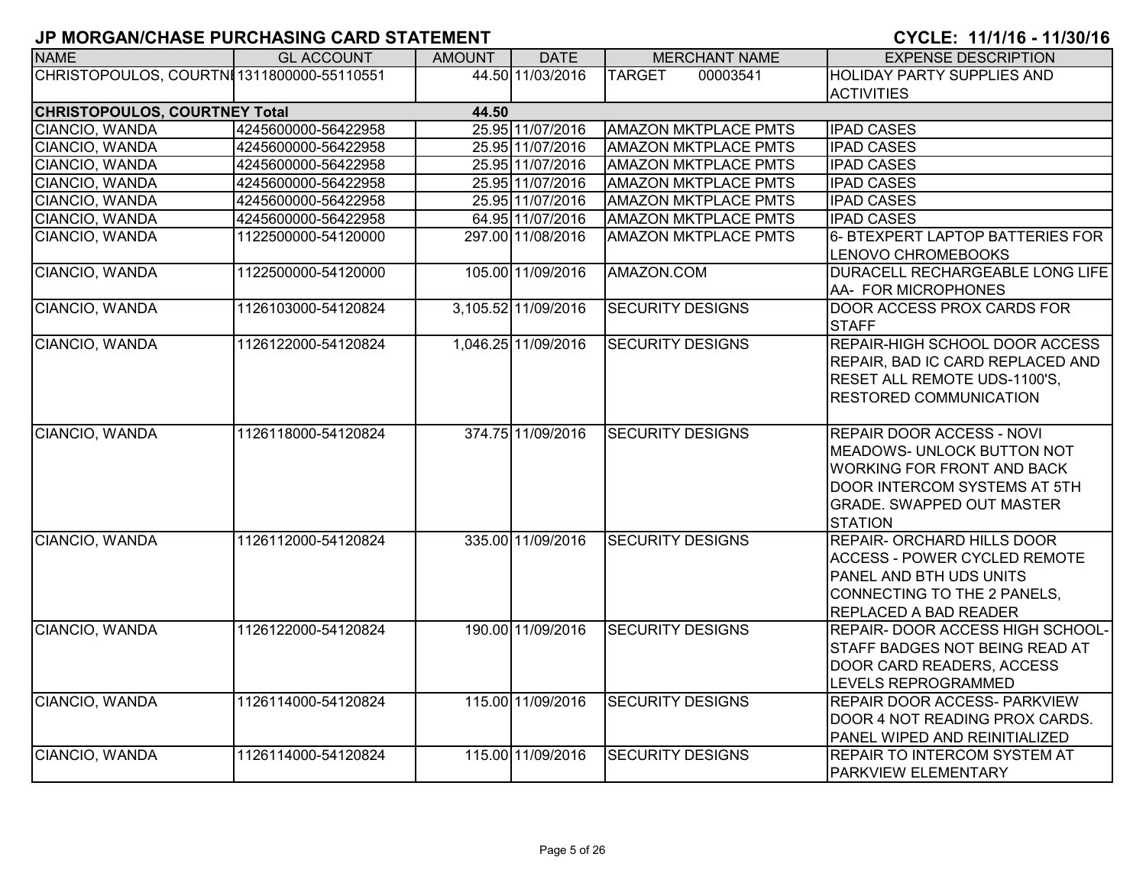| <b>NAME</b>                                   | <b>GL ACCOUNT</b>   | <b>AMOUNT</b> | <b>DATE</b>         | <b>MERCHANT NAME</b>        | <b>EXPENSE DESCRIPTION</b>                                                                                                                                                                |  |  |  |  |  |
|-----------------------------------------------|---------------------|---------------|---------------------|-----------------------------|-------------------------------------------------------------------------------------------------------------------------------------------------------------------------------------------|--|--|--|--|--|
| CHRISTOPOULOS, COURTNI 1311800000-55110551    |                     |               | 44.50 11/03/2016    | <b>TARGET</b><br>00003541   | <b>HOLIDAY PARTY SUPPLIES AND</b>                                                                                                                                                         |  |  |  |  |  |
|                                               |                     |               |                     |                             | <b>ACTIVITIES</b>                                                                                                                                                                         |  |  |  |  |  |
| <b>CHRISTOPOULOS, COURTNEY Total</b><br>44.50 |                     |               |                     |                             |                                                                                                                                                                                           |  |  |  |  |  |
| CIANCIO, WANDA                                | 4245600000-56422958 |               | 25.95 11/07/2016    | <b>AMAZON MKTPLACE PMTS</b> | <b>IPAD CASES</b>                                                                                                                                                                         |  |  |  |  |  |
| CIANCIO, WANDA                                | 4245600000-56422958 |               | 25.95 11/07/2016    | <b>AMAZON MKTPLACE PMTS</b> | <b>IPAD CASES</b>                                                                                                                                                                         |  |  |  |  |  |
| CIANCIO, WANDA                                | 4245600000-56422958 |               | 25.95 11/07/2016    | <b>AMAZON MKTPLACE PMTS</b> | <b>IPAD CASES</b>                                                                                                                                                                         |  |  |  |  |  |
| CIANCIO, WANDA                                | 4245600000-56422958 |               | 25.95 11/07/2016    | <b>AMAZON MKTPLACE PMTS</b> | <b>IPAD CASES</b>                                                                                                                                                                         |  |  |  |  |  |
| CIANCIO, WANDA                                | 4245600000-56422958 |               | 25.95 11/07/2016    | <b>AMAZON MKTPLACE PMTS</b> | <b>IPAD CASES</b>                                                                                                                                                                         |  |  |  |  |  |
| CIANCIO, WANDA                                | 4245600000-56422958 |               | 64.95 11/07/2016    | <b>AMAZON MKTPLACE PMTS</b> | <b>IPAD CASES</b>                                                                                                                                                                         |  |  |  |  |  |
| CIANCIO, WANDA                                | 1122500000-54120000 |               | 297.00 11/08/2016   | <b>AMAZON MKTPLACE PMTS</b> | 6- BTEXPERT LAPTOP BATTERIES FOR<br>LENOVO CHROMEBOOKS                                                                                                                                    |  |  |  |  |  |
| CIANCIO, WANDA                                | 1122500000-54120000 |               | 105.00 11/09/2016   | AMAZON.COM                  | DURACELL RECHARGEABLE LONG LIFE<br>AA- FOR MICROPHONES                                                                                                                                    |  |  |  |  |  |
| CIANCIO, WANDA                                | 1126103000-54120824 |               | 3,105.52 11/09/2016 | <b>SECURITY DESIGNS</b>     | DOOR ACCESS PROX CARDS FOR<br><b>STAFF</b>                                                                                                                                                |  |  |  |  |  |
| CIANCIO, WANDA                                | 1126122000-54120824 |               | 1,046.25 11/09/2016 | <b>SECURITY DESIGNS</b>     | REPAIR-HIGH SCHOOL DOOR ACCESS<br>REPAIR, BAD IC CARD REPLACED AND<br>RESET ALL REMOTE UDS-1100'S,<br><b>RESTORED COMMUNICATION</b>                                                       |  |  |  |  |  |
| CIANCIO, WANDA                                | 1126118000-54120824 |               | 374.75 11/09/2016   | <b>SECURITY DESIGNS</b>     | <b>REPAIR DOOR ACCESS - NOVI</b><br>MEADOWS- UNLOCK BUTTON NOT<br><b>WORKING FOR FRONT AND BACK</b><br><b>DOOR INTERCOM SYSTEMS AT 5TH</b><br><b>GRADE. SWAPPED OUT MASTER</b><br>STATION |  |  |  |  |  |
| CIANCIO, WANDA                                | 1126112000-54120824 |               | 335.00 11/09/2016   | <b>SECURITY DESIGNS</b>     | <b>REPAIR- ORCHARD HILLS DOOR</b><br><b>ACCESS - POWER CYCLED REMOTE</b><br>PANEL AND BTH UDS UNITS<br>CONNECTING TO THE 2 PANELS,<br><b>REPLACED A BAD READER</b>                        |  |  |  |  |  |
| CIANCIO, WANDA                                | 1126122000-54120824 |               | 190.00 11/09/2016   | <b>SECURITY DESIGNS</b>     | REPAIR- DOOR ACCESS HIGH SCHOOL-<br><b>STAFF BADGES NOT BEING READ AT</b><br>DOOR CARD READERS, ACCESS<br>LEVELS REPROGRAMMED                                                             |  |  |  |  |  |
| CIANCIO, WANDA                                | 1126114000-54120824 |               | 115.00 11/09/2016   | <b>SECURITY DESIGNS</b>     | <b>REPAIR DOOR ACCESS- PARKVIEW</b><br>DOOR 4 NOT READING PROX CARDS.<br>PANEL WIPED AND REINITIALIZED                                                                                    |  |  |  |  |  |
| CIANCIO, WANDA                                | 1126114000-54120824 |               | 115.00 11/09/2016   | <b>SECURITY DESIGNS</b>     | <b>REPAIR TO INTERCOM SYSTEM AT</b><br><b>PARKVIEW ELEMENTARY</b>                                                                                                                         |  |  |  |  |  |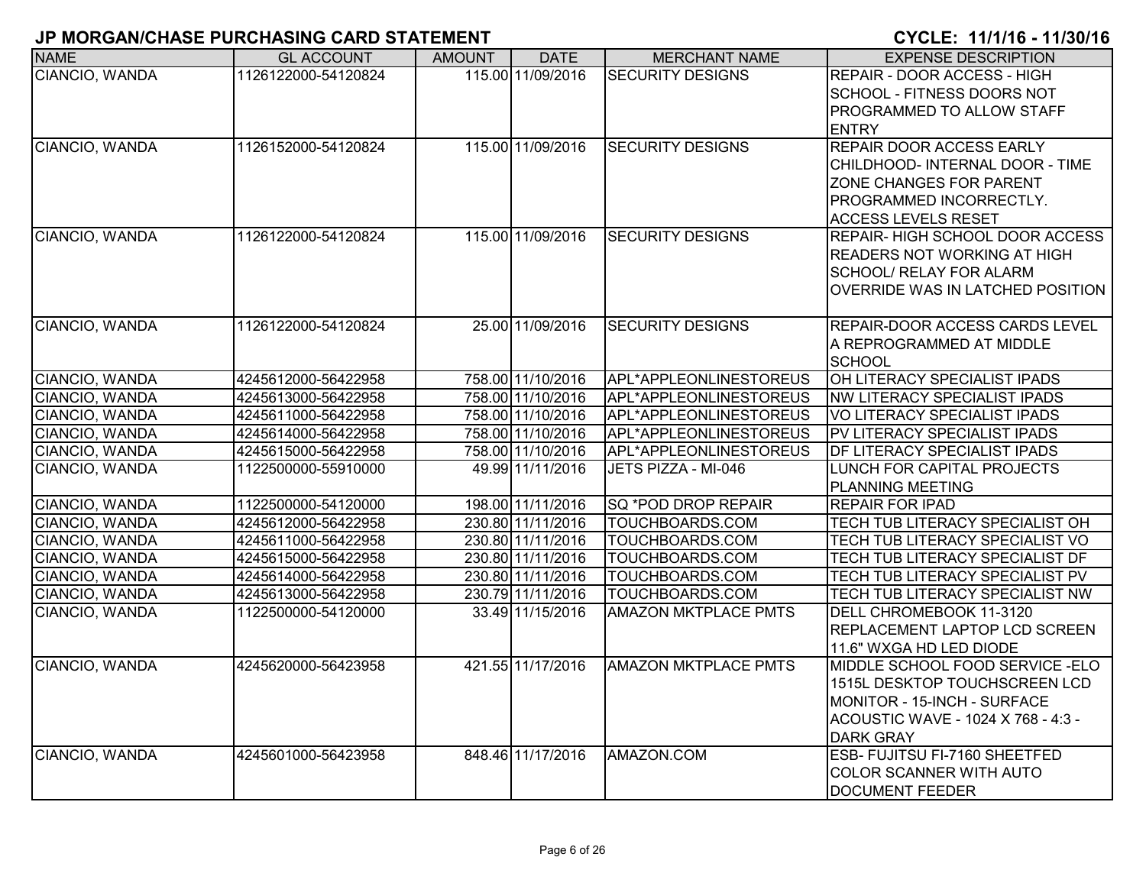| <b>NAME</b>    | <b>GL ACCOUNT</b>   | <b>AMOUNT</b> | <b>DATE</b>       | <b>MERCHANT NAME</b>        | <b>EXPENSE DESCRIPTION</b>            |
|----------------|---------------------|---------------|-------------------|-----------------------------|---------------------------------------|
| CIANCIO, WANDA | 1126122000-54120824 |               | 115.00 11/09/2016 | <b>SECURITY DESIGNS</b>     | REPAIR - DOOR ACCESS - HIGH           |
|                |                     |               |                   |                             | SCHOOL - FITNESS DOORS NOT            |
|                |                     |               |                   |                             | PROGRAMMED TO ALLOW STAFF             |
|                |                     |               |                   |                             | <b>ENTRY</b>                          |
| CIANCIO, WANDA | 1126152000-54120824 |               | 115.00 11/09/2016 | <b>SECURITY DESIGNS</b>     | REPAIR DOOR ACCESS EARLY              |
|                |                     |               |                   |                             | CHILDHOOD- INTERNAL DOOR - TIME       |
|                |                     |               |                   |                             | ZONE CHANGES FOR PARENT               |
|                |                     |               |                   |                             | PROGRAMMED INCORRECTLY.               |
|                |                     |               |                   |                             | <b>ACCESS LEVELS RESET</b>            |
| CIANCIO, WANDA | 1126122000-54120824 |               | 115.00 11/09/2016 | <b>SECURITY DESIGNS</b>     | <b>REPAIR-HIGH SCHOOL DOOR ACCESS</b> |
|                |                     |               |                   |                             | <b>READERS NOT WORKING AT HIGH</b>    |
|                |                     |               |                   |                             | <b>SCHOOL/ RELAY FOR ALARM</b>        |
|                |                     |               |                   |                             | OVERRIDE WAS IN LATCHED POSITION      |
| CIANCIO, WANDA | 1126122000-54120824 |               | 25.00 11/09/2016  | <b>SECURITY DESIGNS</b>     | REPAIR-DOOR ACCESS CARDS LEVEL        |
|                |                     |               |                   |                             | A REPROGRAMMED AT MIDDLE              |
|                |                     |               |                   |                             | <b>SCHOOL</b>                         |
| CIANCIO, WANDA | 4245612000-56422958 |               | 758.00 11/10/2016 | APL*APPLEONLINESTOREUS      | OH LITERACY SPECIALIST IPADS          |
| CIANCIO, WANDA | 4245613000-56422958 |               | 758.00 11/10/2016 | APL*APPLEONLINESTOREUS      | NW LITERACY SPECIALIST IPADS          |
| CIANCIO, WANDA | 4245611000-56422958 |               | 758.00 11/10/2016 | APL*APPLEONLINESTOREUS      | <b>VO LITERACY SPECIALIST IPADS</b>   |
| CIANCIO, WANDA | 4245614000-56422958 |               | 758.00 11/10/2016 | APL*APPLEONLINESTOREUS      | PV LITERACY SPECIALIST IPADS          |
| CIANCIO, WANDA | 4245615000-56422958 |               | 758.00 11/10/2016 | APL*APPLEONLINESTOREUS      | DF LITERACY SPECIALIST IPADS          |
| CIANCIO, WANDA | 1122500000-55910000 |               | 49.99 11/11/2016  | JETS PIZZA - MI-046         | LUNCH FOR CAPITAL PROJECTS            |
|                |                     |               |                   |                             | <b>PLANNING MEETING</b>               |
| CIANCIO, WANDA | 1122500000-54120000 |               | 198.00 11/11/2016 | SQ *POD DROP REPAIR         | <b>REPAIR FOR IPAD</b>                |
| CIANCIO, WANDA | 4245612000-56422958 |               | 230.80 11/11/2016 | TOUCHBOARDS.COM             | TECH TUB LITERACY SPECIALIST OH       |
| CIANCIO, WANDA | 4245611000-56422958 |               | 230.80 11/11/2016 | TOUCHBOARDS.COM             | TECH TUB LITERACY SPECIALIST VO       |
| CIANCIO, WANDA | 4245615000-56422958 |               | 230.80 11/11/2016 | TOUCHBOARDS.COM             | TECH TUB LITERACY SPECIALIST DF       |
| CIANCIO, WANDA | 4245614000-56422958 |               | 230.80 11/11/2016 | TOUCHBOARDS.COM             | TECH TUB LITERACY SPECIALIST PV       |
| CIANCIO, WANDA | 4245613000-56422958 |               | 230.79 11/11/2016 | TOUCHBOARDS.COM             | TECH TUB LITERACY SPECIALIST NW       |
| CIANCIO, WANDA | 1122500000-54120000 |               | 33.49 11/15/2016  | <b>AMAZON MKTPLACE PMTS</b> | DELL CHROMEBOOK 11-3120               |
|                |                     |               |                   |                             | REPLACEMENT LAPTOP LCD SCREEN         |
|                |                     |               |                   |                             | 11.6" WXGA HD LED DIODE               |
| CIANCIO, WANDA | 4245620000-56423958 |               | 421.55 11/17/2016 | <b>AMAZON MKTPLACE PMTS</b> | MIDDLE SCHOOL FOOD SERVICE - ELO      |
|                |                     |               |                   |                             | 1515L DESKTOP TOUCHSCREEN LCD         |
|                |                     |               |                   |                             | MONITOR - 15-INCH - SURFACE           |
|                |                     |               |                   |                             | ACOUSTIC WAVE - 1024 X 768 - 4:3 -    |
|                |                     |               |                   |                             | <b>DARK GRAY</b>                      |
| CIANCIO, WANDA | 4245601000-56423958 |               | 848.46 11/17/2016 | AMAZON.COM                  | ESB- FUJITSU FI-7160 SHEETFED         |
|                |                     |               |                   |                             | <b>COLOR SCANNER WITH AUTO</b>        |
|                |                     |               |                   |                             | <b>DOCUMENT FEEDER</b>                |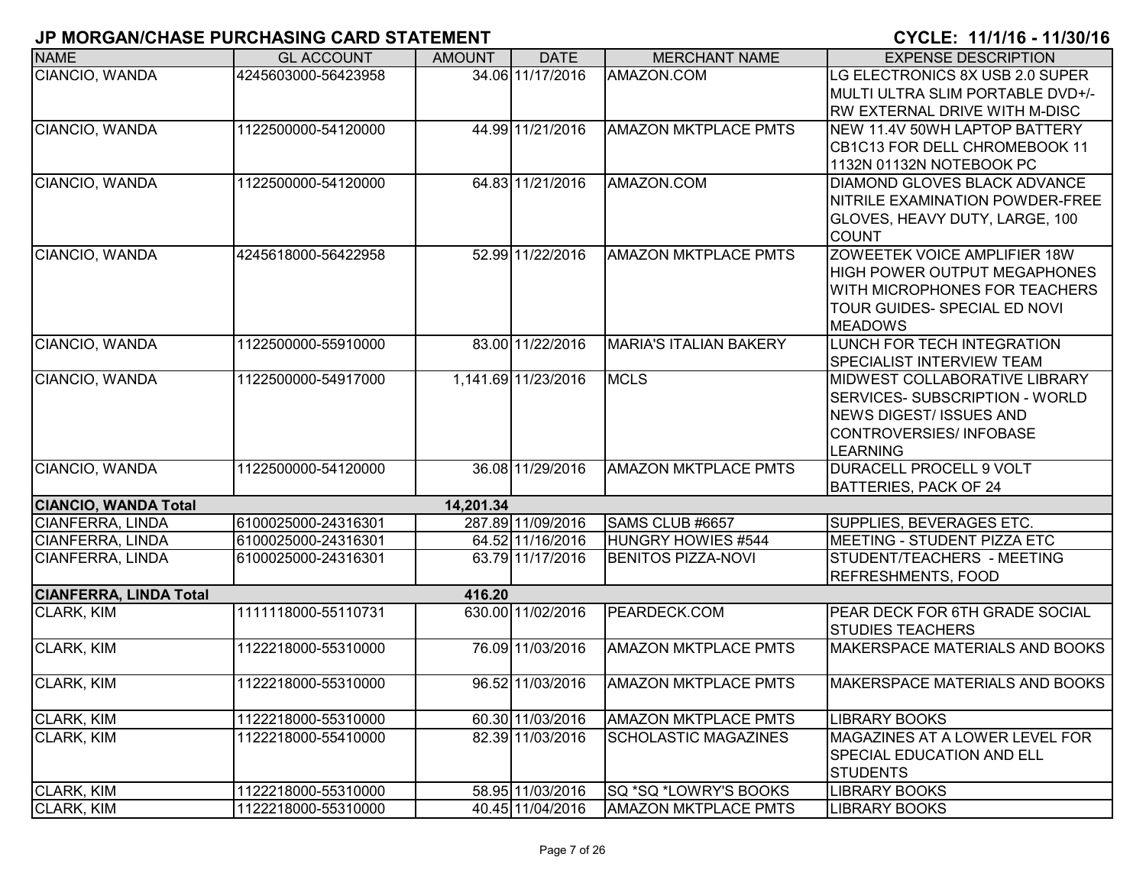| <b>NAME</b>                   | <b>GL ACCOUNT</b>   | <b>AMOUNT</b> | <b>DATE</b>         | <b>MERCHANT NAME</b>          | <b>EXPENSE DESCRIPTION</b>            |
|-------------------------------|---------------------|---------------|---------------------|-------------------------------|---------------------------------------|
| CIANCIO, WANDA                | 4245603000-56423958 |               | 34.06 11/17/2016    | AMAZON.COM                    | LG ELECTRONICS 8X USB 2.0 SUPER       |
|                               |                     |               |                     |                               | IMULTI ULTRA SLIM PORTABLE DVD+/-     |
|                               |                     |               |                     |                               | RW EXTERNAL DRIVE WITH M-DISC         |
| <b>CIANCIO, WANDA</b>         | 1122500000-54120000 |               | 44.99 11/21/2016    | <b>AMAZON MKTPLACE PMTS</b>   | <b>INEW 11.4V 50WH LAPTOP BATTERY</b> |
|                               |                     |               |                     |                               | CB1C13 FOR DELL CHROMEBOOK 11         |
|                               |                     |               |                     |                               | 1132N 01132N NOTEBOOK PC              |
| CIANCIO, WANDA                | 1122500000-54120000 |               | 64.83 11/21/2016    | AMAZON.COM                    | <b>DIAMOND GLOVES BLACK ADVANCE</b>   |
|                               |                     |               |                     |                               | NITRILE EXAMINATION POWDER-FREE       |
|                               |                     |               |                     |                               | GLOVES, HEAVY DUTY, LARGE, 100        |
|                               |                     |               |                     |                               | <b>COUNT</b>                          |
| CIANCIO, WANDA                | 4245618000-56422958 |               | 52.99 11/22/2016    | <b>AMAZON MKTPLACE PMTS</b>   | ZOWEETEK VOICE AMPLIFIER 18W          |
|                               |                     |               |                     |                               | <b>HIGH POWER OUTPUT MEGAPHONES</b>   |
|                               |                     |               |                     |                               | WITH MICROPHONES FOR TEACHERS         |
|                               |                     |               |                     |                               | TOUR GUIDES- SPECIAL ED NOVI          |
|                               |                     |               |                     |                               | <b>MEADOWS</b>                        |
| CIANCIO, WANDA                | 1122500000-55910000 |               | 83.00 11/22/2016    | <b>MARIA'S ITALIAN BAKERY</b> | LUNCH FOR TECH INTEGRATION            |
|                               |                     |               |                     |                               | <b>SPECIALIST INTERVIEW TEAM</b>      |
| CIANCIO, WANDA                | 1122500000-54917000 |               | 1,141.69 11/23/2016 | <b>MCLS</b>                   | <b>MIDWEST COLLABORATIVE LIBRARY</b>  |
|                               |                     |               |                     |                               | SERVICES-SUBSCRIPTION - WORLD         |
|                               |                     |               |                     |                               | NEWS DIGEST/ ISSUES AND               |
|                               |                     |               |                     |                               | CONTROVERSIES/INFOBASE                |
|                               |                     |               |                     |                               | LEARNING                              |
| CIANCIO, WANDA                | 1122500000-54120000 |               | 36.08 11/29/2016    | <b>AMAZON MKTPLACE PMTS</b>   | <b>DURACELL PROCELL 9 VOLT</b>        |
|                               |                     |               |                     |                               | <b>BATTERIES, PACK OF 24</b>          |
| <b>CIANCIO, WANDA Total</b>   |                     | 14,201.34     |                     |                               |                                       |
| <b>CIANFERRA, LINDA</b>       | 6100025000-24316301 |               | 287.89 11/09/2016   | SAMS CLUB #6657               | SUPPLIES, BEVERAGES ETC.              |
| <b>CIANFERRA, LINDA</b>       | 6100025000-24316301 |               | 64.52 11/16/2016    | HUNGRY HOWIES #544            | MEETING - STUDENT PIZZA ETC           |
| CIANFERRA, LINDA              | 6100025000-24316301 |               | 63.79 11/17/2016    | <b>BENITOS PIZZA-NOVI</b>     | STUDENT/TEACHERS - MEETING            |
|                               |                     |               |                     |                               | REFRESHMENTS, FOOD                    |
| <b>CIANFERRA, LINDA Total</b> |                     | 416.20        |                     |                               |                                       |
| <b>CLARK, KIM</b>             | 1111118000-55110731 |               | 630.00 11/02/2016   | PEARDECK.COM                  | PEAR DECK FOR 6TH GRADE SOCIAL        |
|                               |                     |               |                     |                               | <b>STUDIES TEACHERS</b>               |
| <b>CLARK, KIM</b>             | 1122218000-55310000 |               | 76.09 11/03/2016    | <b>AMAZON MKTPLACE PMTS</b>   | MAKERSPACE MATERIALS AND BOOKS        |
| CLARK, KIM                    | 1122218000-55310000 |               | 96.52 11/03/2016    | <b>AMAZON MKTPLACE PMTS</b>   | MAKERSPACE MATERIALS AND BOOKS        |
|                               |                     |               |                     |                               |                                       |
| <b>CLARK, KIM</b>             | 1122218000-55310000 |               | 60.30 11/03/2016    | <b>AMAZON MKTPLACE PMTS</b>   | <b>LIBRARY BOOKS</b>                  |
| <b>CLARK, KIM</b>             | 1122218000-55410000 |               | 82.39 11/03/2016    | <b>SCHOLASTIC MAGAZINES</b>   | <b>MAGAZINES AT A LOWER LEVEL FOR</b> |
|                               |                     |               |                     |                               | <b>SPECIAL EDUCATION AND ELL</b>      |
|                               |                     |               |                     |                               | <b>STUDENTS</b>                       |
| CLARK, KIM                    | 1122218000-55310000 |               | 58.95 11/03/2016    | SQ *SQ *LOWRY'S BOOKS         | <b>LIBRARY BOOKS</b>                  |
| <b>CLARK, KIM</b>             | 1122218000-55310000 |               | 40.45 11/04/2016    | <b>AMAZON MKTPLACE PMTS</b>   | <b>LIBRARY BOOKS</b>                  |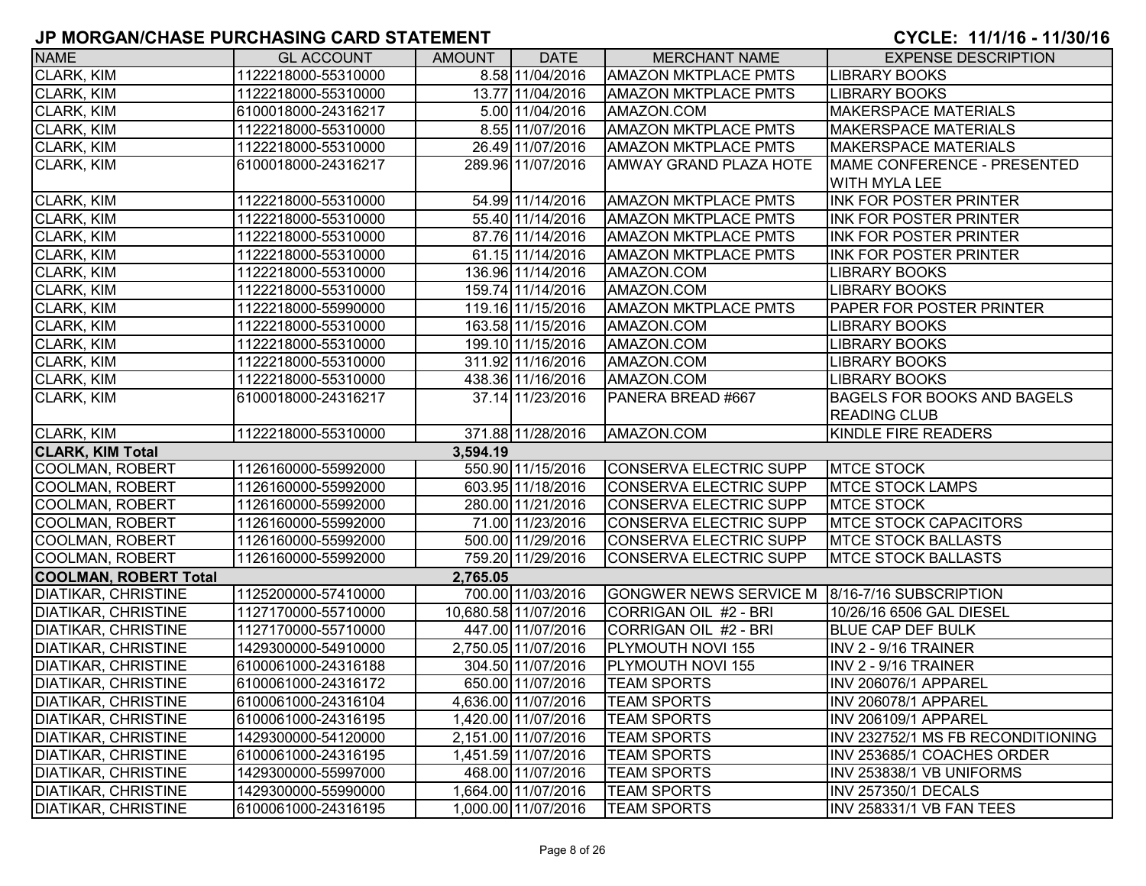| <b>NAME</b>                  | <b>GL ACCOUNT</b>   | <b>AMOUNT</b> | <b>DATE</b>          | <b>MERCHANT NAME</b>          | <b>EXPENSE DESCRIPTION</b>         |
|------------------------------|---------------------|---------------|----------------------|-------------------------------|------------------------------------|
| CLARK, KIM                   | 1122218000-55310000 |               | 8.58 11/04/2016      | <b>AMAZON MKTPLACE PMTS</b>   | <b>LIBRARY BOOKS</b>               |
| <b>CLARK, KIM</b>            | 1122218000-55310000 |               | 13.77 11/04/2016     | <b>AMAZON MKTPLACE PMTS</b>   | <b>LIBRARY BOOKS</b>               |
| <b>CLARK, KIM</b>            | 6100018000-24316217 |               | 5.00 11/04/2016      | AMAZON.COM                    | <b>MAKERSPACE MATERIALS</b>        |
| CLARK, KIM                   | 1122218000-55310000 |               | 8.55 11/07/2016      | <b>AMAZON MKTPLACE PMTS</b>   | <b>MAKERSPACE MATERIALS</b>        |
| CLARK, KIM                   | 1122218000-55310000 |               | 26.49 11/07/2016     | <b>AMAZON MKTPLACE PMTS</b>   | <b>MAKERSPACE MATERIALS</b>        |
| <b>CLARK, KIM</b>            | 6100018000-24316217 |               | 289.96 11/07/2016    | <b>AMWAY GRAND PLAZA HOTE</b> | MAME CONFERENCE - PRESENTED        |
|                              |                     |               |                      |                               | <b>WITH MYLA LEE</b>               |
| CLARK, KIM                   | 1122218000-55310000 |               | 54.99 11/14/2016     | <b>AMAZON MKTPLACE PMTS</b>   | <b>INK FOR POSTER PRINTER</b>      |
| CLARK, KIM                   | 1122218000-55310000 |               | 55.40 11/14/2016     | <b>AMAZON MKTPLACE PMTS</b>   | <b>INK FOR POSTER PRINTER</b>      |
| CLARK, KIM                   | 1122218000-55310000 |               | 87.76 11/14/2016     | <b>AMAZON MKTPLACE PMTS</b>   | <b>INK FOR POSTER PRINTER</b>      |
| CLARK, KIM                   | 1122218000-55310000 |               | 61.15 11/14/2016     | <b>AMAZON MKTPLACE PMTS</b>   | <b>INK FOR POSTER PRINTER</b>      |
| CLARK, KIM                   | 1122218000-55310000 |               | 136.96 11/14/2016    | AMAZON.COM                    | <b>LIBRARY BOOKS</b>               |
| CLARK, KIM                   | 1122218000-55310000 |               | 159.74 11/14/2016    | AMAZON.COM                    | <b>LIBRARY BOOKS</b>               |
| CLARK, KIM                   | 1122218000-55990000 |               | 119.16 11/15/2016    | <b>AMAZON MKTPLACE PMTS</b>   | PAPER FOR POSTER PRINTER           |
| CLARK, KIM                   | 1122218000-55310000 |               | 163.58 11/15/2016    | AMAZON.COM                    | LIBRARY BOOKS                      |
| CLARK, KIM                   | 1122218000-55310000 |               | 199.10 11/15/2016    | AMAZON.COM                    | <b>LIBRARY BOOKS</b>               |
| CLARK, KIM                   | 1122218000-55310000 |               | 311.92 11/16/2016    | AMAZON.COM                    | LIBRARY BOOKS                      |
| <b>CLARK, KIM</b>            | 1122218000-55310000 |               | 438.36 11/16/2016    | AMAZON.COM                    | LIBRARY BOOKS                      |
| <b>CLARK, KIM</b>            | 6100018000-24316217 |               | 37.14 11/23/2016     | PANERA BREAD #667             | <b>BAGELS FOR BOOKS AND BAGELS</b> |
|                              |                     |               |                      |                               | <b>READING CLUB</b>                |
| <b>CLARK, KIM</b>            | 1122218000-55310000 |               | 371.88 11/28/2016    | AMAZON.COM                    | KINDLE FIRE READERS                |
| <b>CLARK, KIM Total</b>      |                     | 3,594.19      |                      |                               |                                    |
| <b>COOLMAN, ROBERT</b>       | 1126160000-55992000 |               | 550.90 11/15/2016    | CONSERVA ELECTRIC SUPP        | <b>MTCE STOCK</b>                  |
| COOLMAN, ROBERT              | 1126160000-55992000 |               | 603.95 11/18/2016    | <b>CONSERVA ELECTRIC SUPP</b> | <b>MTCE STOCK LAMPS</b>            |
| COOLMAN, ROBERT              | 1126160000-55992000 |               | 280.00 11/21/2016    | CONSERVA ELECTRIC SUPP        | <b>MTCE STOCK</b>                  |
| COOLMAN, ROBERT              | 1126160000-55992000 |               | 71.00 11/23/2016     | <b>CONSERVA ELECTRIC SUPP</b> | <b>MTCE STOCK CAPACITORS</b>       |
| COOLMAN, ROBERT              | 1126160000-55992000 |               | 500.00 11/29/2016    | <b>CONSERVA ELECTRIC SUPP</b> | <b>MTCE STOCK BALLASTS</b>         |
| <b>COOLMAN, ROBERT</b>       | 1126160000-55992000 |               | 759.20 11/29/2016    | CONSERVA ELECTRIC SUPP        | <b>MTCE STOCK BALLASTS</b>         |
| <b>COOLMAN, ROBERT Total</b> |                     | 2,765.05      |                      |                               |                                    |
| <b>DIATIKAR, CHRISTINE</b>   | 1125200000-57410000 |               | 700.00 11/03/2016    | <b>GONGWER NEWS SERVICE M</b> | 8/16-7/16 SUBSCRIPTION             |
| <b>DIATIKAR, CHRISTINE</b>   | 1127170000-55710000 |               | 10,680.58 11/07/2016 | CORRIGAN OIL #2 - BRI         | 10/26/16 6506 GAL DIESEL           |
| <b>DIATIKAR, CHRISTINE</b>   | 1127170000-55710000 |               | 447.00 11/07/2016    | CORRIGAN OIL #2 - BRI         | <b>BLUE CAP DEF BULK</b>           |
| <b>DIATIKAR, CHRISTINE</b>   | 1429300000-54910000 |               | 2,750.05 11/07/2016  | PLYMOUTH NOVI 155             | INV 2 - 9/16 TRAINER               |
| <b>DIATIKAR, CHRISTINE</b>   | 6100061000-24316188 |               | 304.50 11/07/2016    | PLYMOUTH NOVI 155             | INV 2 - 9/16 TRAINER               |
| <b>DIATIKAR, CHRISTINE</b>   | 6100061000-24316172 |               | 650.00 11/07/2016    | <b>TEAM SPORTS</b>            | INV 206076/1 APPAREL               |
| DIATIKAR, CHRISTINE          | 6100061000-24316104 |               | 4,636.00 11/07/2016  | <b>TEAM SPORTS</b>            | INV 206078/1 APPAREL               |
| <b>DIATIKAR, CHRISTINE</b>   | 6100061000-24316195 |               | 1,420.00 11/07/2016  | <b>TEAM SPORTS</b>            | <b>INV 206109/1 APPAREL</b>        |
| <b>DIATIKAR, CHRISTINE</b>   | 1429300000-54120000 |               | 2,151.00 11/07/2016  | <b>TEAM SPORTS</b>            | INV 232752/1 MS FB RECONDITIONING  |
| <b>DIATIKAR, CHRISTINE</b>   | 6100061000-24316195 |               | 1,451.59 11/07/2016  | <b>TEAM SPORTS</b>            | INV 253685/1 COACHES ORDER         |
| <b>DIATIKAR, CHRISTINE</b>   | 1429300000-55997000 |               | 468.00 11/07/2016    | <b>TEAM SPORTS</b>            | INV 253838/1 VB UNIFORMS           |
| <b>DIATIKAR, CHRISTINE</b>   | 1429300000-55990000 |               | 1,664.00 11/07/2016  | <b>TEAM SPORTS</b>            | INV 257350/1 DECALS                |
| <b>DIATIKAR, CHRISTINE</b>   | 6100061000-24316195 |               | 1,000.00 11/07/2016  | <b>TEAM SPORTS</b>            | INV 258331/1 VB FAN TEES           |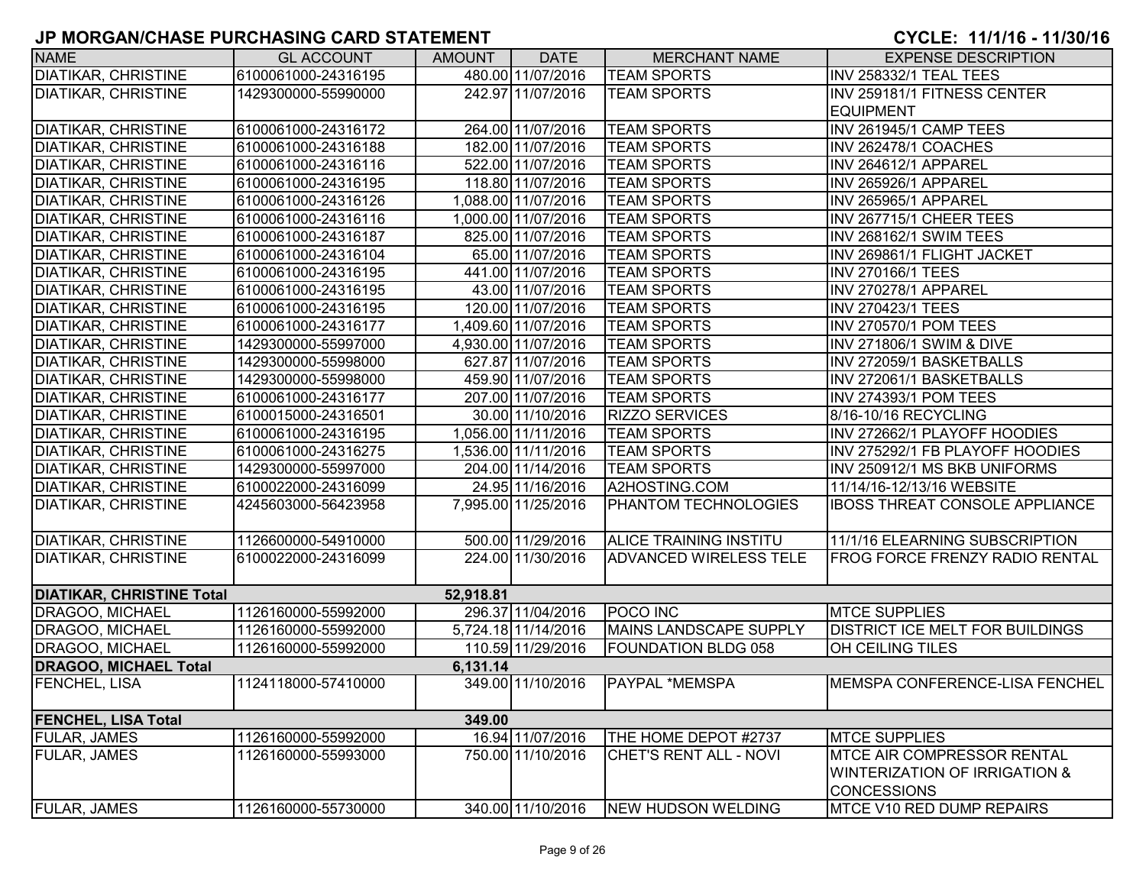| <b>NAME</b>                      | <b>GL ACCOUNT</b>   | <b>AMOUNT</b> | <b>DATE</b>         | <b>MERCHANT NAME</b>          | <b>EXPENSE DESCRIPTION</b>             |
|----------------------------------|---------------------|---------------|---------------------|-------------------------------|----------------------------------------|
| <b>DIATIKAR, CHRISTINE</b>       | 6100061000-24316195 |               | 480.00 11/07/2016   | <b>TEAM SPORTS</b>            | <b>INV 258332/1 TEAL TEES</b>          |
| <b>DIATIKAR, CHRISTINE</b>       | 1429300000-55990000 |               | 242.97 11/07/2016   | <b>TEAM SPORTS</b>            | INV 259181/1 FITNESS CENTER            |
|                                  |                     |               |                     |                               | <b>EQUIPMENT</b>                       |
| <b>DIATIKAR, CHRISTINE</b>       | 6100061000-24316172 |               | 264.00 11/07/2016   | <b>TEAM SPORTS</b>            | INV 261945/1 CAMP TEES                 |
| <b>DIATIKAR, CHRISTINE</b>       | 6100061000-24316188 |               | 182.00 11/07/2016   | <b>TEAM SPORTS</b>            | INV 262478/1 COACHES                   |
| <b>DIATIKAR, CHRISTINE</b>       | 6100061000-24316116 |               | 522.00 11/07/2016   | <b>TEAM SPORTS</b>            | INV 264612/1 APPAREL                   |
| <b>DIATIKAR, CHRISTINE</b>       | 6100061000-24316195 |               | 118.80 11/07/2016   | <b>TEAM SPORTS</b>            | INV 265926/1 APPAREL                   |
| <b>DIATIKAR, CHRISTINE</b>       | 6100061000-24316126 |               | 1,088.00 11/07/2016 | <b>TEAM SPORTS</b>            | INV 265965/1 APPAREL                   |
| <b>DIATIKAR, CHRISTINE</b>       | 6100061000-24316116 |               | 1,000.00 11/07/2016 | <b>TEAM SPORTS</b>            | INV 267715/1 CHEER TEES                |
| <b>DIATIKAR, CHRISTINE</b>       | 6100061000-24316187 |               | 825.00 11/07/2016   | <b>TEAM SPORTS</b>            | INV 268162/1 SWIM TEES                 |
| <b>DIATIKAR, CHRISTINE</b>       | 6100061000-24316104 |               | 65.00 11/07/2016    | <b>TEAM SPORTS</b>            | INV 269861/1 FLIGHT JACKET             |
| <b>DIATIKAR, CHRISTINE</b>       | 6100061000-24316195 |               | 441.00 11/07/2016   | <b>TEAM SPORTS</b>            | <b>INV 270166/1 TEES</b>               |
| <b>DIATIKAR, CHRISTINE</b>       | 6100061000-24316195 |               | 43.00 11/07/2016    | <b>TEAM SPORTS</b>            | INV 270278/1 APPAREL                   |
| <b>DIATIKAR, CHRISTINE</b>       | 6100061000-24316195 |               | 120.00 11/07/2016   | <b>TEAM SPORTS</b>            | <b>INV 270423/1 TEES</b>               |
| <b>DIATIKAR, CHRISTINE</b>       | 6100061000-24316177 |               | 1,409.60 11/07/2016 | <b>TEAM SPORTS</b>            | <b>INV 270570/1 POM TEES</b>           |
| <b>DIATIKAR, CHRISTINE</b>       | 1429300000-55997000 |               | 4,930.00 11/07/2016 | <b>TEAM SPORTS</b>            | INV 271806/1 SWIM & DIVE               |
| <b>DIATIKAR, CHRISTINE</b>       | 1429300000-55998000 |               | 627.87 11/07/2016   | <b>TEAM SPORTS</b>            | INV 272059/1 BASKETBALLS               |
| <b>DIATIKAR, CHRISTINE</b>       | 1429300000-55998000 |               | 459.90 11/07/2016   | <b>TEAM SPORTS</b>            | INV 272061/1 BASKETBALLS               |
| <b>DIATIKAR, CHRISTINE</b>       | 6100061000-24316177 |               | 207.00 11/07/2016   | <b>TEAM SPORTS</b>            | <b>INV 274393/1 POM TEES</b>           |
| <b>DIATIKAR, CHRISTINE</b>       | 6100015000-24316501 |               | 30.00 11/10/2016    | <b>RIZZO SERVICES</b>         | 8/16-10/16 RECYCLING                   |
| <b>DIATIKAR, CHRISTINE</b>       | 6100061000-24316195 |               | 1,056.00 11/11/2016 | <b>TEAM SPORTS</b>            | INV 272662/1 PLAYOFF HOODIES           |
| <b>DIATIKAR, CHRISTINE</b>       | 6100061000-24316275 |               | 1,536.00 11/11/2016 | <b>TEAM SPORTS</b>            | INV 275292/1 FB PLAYOFF HOODIES        |
| <b>DIATIKAR, CHRISTINE</b>       | 1429300000-55997000 |               | 204.00 11/14/2016   | <b>TEAM SPORTS</b>            | INV 250912/1 MS BKB UNIFORMS           |
| DIATIKAR, CHRISTINE              | 6100022000-24316099 |               | 24.95 11/16/2016    | A2HOSTING.COM                 | 11/14/16-12/13/16 WEBSITE              |
| DIATIKAR, CHRISTINE              | 4245603000-56423958 |               | 7,995.00 11/25/2016 | PHANTOM TECHNOLOGIES          | <b>IBOSS THREAT CONSOLE APPLIANCE</b>  |
|                                  |                     |               |                     |                               |                                        |
| <b>DIATIKAR, CHRISTINE</b>       | 1126600000-54910000 |               | 500.00 11/29/2016   | ALICE TRAINING INSTITU        | 11/1/16 ELEARNING SUBSCRIPTION         |
| <b>DIATIKAR, CHRISTINE</b>       | 6100022000-24316099 |               | 224.00 11/30/2016   | <b>ADVANCED WIRELESS TELE</b> | FROG FORCE FRENZY RADIO RENTAL         |
|                                  |                     |               |                     |                               |                                        |
| <b>DIATIKAR, CHRISTINE Total</b> |                     | 52,918.81     |                     |                               |                                        |
| DRAGOO, MICHAEL                  | 1126160000-55992000 |               | 296.37 11/04/2016   | <b>POCO INC</b>               | <b>MTCE SUPPLIES</b>                   |
| DRAGOO, MICHAEL                  | 1126160000-55992000 |               | 5,724.18 11/14/2016 | MAINS LANDSCAPE SUPPLY        | <b>DISTRICT ICE MELT FOR BUILDINGS</b> |
| DRAGOO, MICHAEL                  | 1126160000-55992000 |               | 110.59 11/29/2016   | <b>FOUNDATION BLDG 058</b>    | OH CEILING TILES                       |
| <b>DRAGOO, MICHAEL Total</b>     |                     | 6,131.14      |                     |                               |                                        |
| <b>FENCHEL, LISA</b>             | 1124118000-57410000 |               | 349.00 11/10/2016   | <b>PAYPAL *MEMSPA</b>         | MEMSPA CONFERENCE-LISA FENCHEL         |
|                                  |                     |               |                     |                               |                                        |
| <b>FENCHEL, LISA Total</b>       |                     | 349.00        |                     |                               |                                        |
| <b>FULAR, JAMES</b>              | 1126160000-55992000 |               | 16.94 11/07/2016    | THE HOME DEPOT #2737          | <b>MTCE SUPPLIES</b>                   |
| <b>FULAR, JAMES</b>              | 1126160000-55993000 |               | 750.00 11/10/2016   | CHET'S RENT ALL - NOVI        | <b>IMTCE AIR COMPRESSOR RENTAL</b>     |
|                                  |                     |               |                     |                               | WINTERIZATION OF IRRIGATION &          |
|                                  |                     |               |                     |                               | <b>CONCESSIONS</b>                     |
| <b>FULAR, JAMES</b>              | 1126160000-55730000 |               | 340.00 11/10/2016   | <b>NEW HUDSON WELDING</b>     | MTCE V10 RED DUMP REPAIRS              |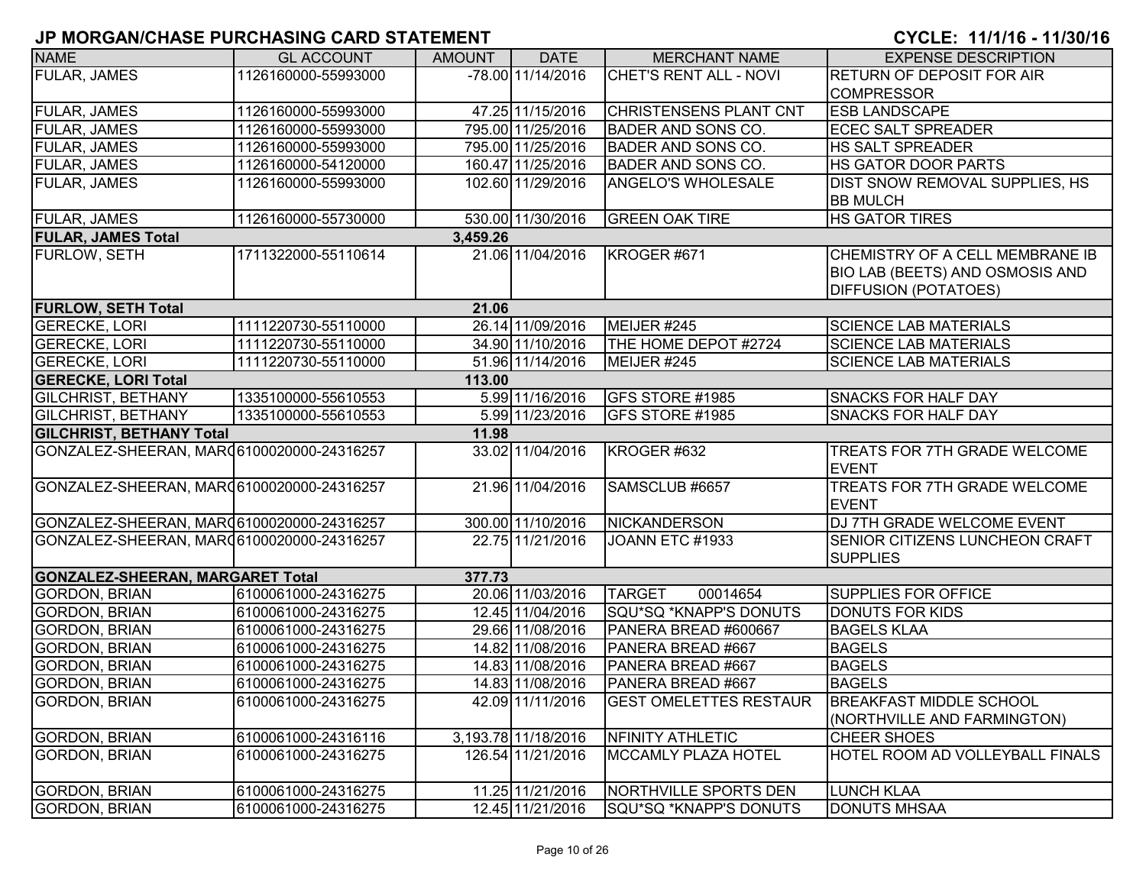| <b>NAME</b>                                | <b>GL ACCOUNT</b>   | <b>AMOUNT</b> | <b>DATE</b>         | <b>MERCHANT NAME</b>          | <b>EXPENSE DESCRIPTION</b>             |
|--------------------------------------------|---------------------|---------------|---------------------|-------------------------------|----------------------------------------|
| FULAR, JAMES                               | 1126160000-55993000 |               | -78.00 11/14/2016   | CHET'S RENT ALL - NOVI        | <b>RETURN OF DEPOSIT FOR AIR</b>       |
|                                            |                     |               |                     |                               | <b>COMPRESSOR</b>                      |
| <b>FULAR, JAMES</b>                        | 1126160000-55993000 |               | 47.25 11/15/2016    | <b>CHRISTENSENS PLANT CNT</b> | <b>ESB LANDSCAPE</b>                   |
| <b>FULAR, JAMES</b>                        | 1126160000-55993000 |               | 795.00 11/25/2016   | <b>BADER AND SONS CO.</b>     | <b>ECEC SALT SPREADER</b>              |
| FULAR, JAMES                               | 1126160000-55993000 |               | 795.00 11/25/2016   | <b>BADER AND SONS CO.</b>     | <b>HS SALT SPREADER</b>                |
| FULAR, JAMES                               | 1126160000-54120000 |               | 160.47 11/25/2016   | <b>BADER AND SONS CO.</b>     | <b>HS GATOR DOOR PARTS</b>             |
| FULAR, JAMES                               | 1126160000-55993000 |               | 102.60 11/29/2016   | <b>ANGELO'S WHOLESALE</b>     | DIST SNOW REMOVAL SUPPLIES, HS         |
|                                            |                     |               |                     |                               | <b>BB MULCH</b>                        |
| <b>FULAR, JAMES</b>                        | 1126160000-55730000 |               | 530.00 11/30/2016   | <b>GREEN OAK TIRE</b>         | <b>HS GATOR TIRES</b>                  |
| <b>FULAR, JAMES Total</b>                  |                     | 3,459.26      |                     |                               |                                        |
| <b>FURLOW, SETH</b>                        | 1711322000-55110614 |               | 21.06 11/04/2016    | KROGER #671                   | CHEMISTRY OF A CELL MEMBRANE IB        |
|                                            |                     |               |                     |                               | BIO LAB (BEETS) AND OSMOSIS AND        |
|                                            |                     |               |                     |                               | <b>DIFFUSION (POTATOES)</b>            |
| <b>FURLOW, SETH Total</b>                  |                     | 21.06         |                     |                               |                                        |
| <b>GERECKE, LORI</b>                       | 1111220730-55110000 |               | 26.14 11/09/2016    | MEIJER #245                   | <b>SCIENCE LAB MATERIALS</b>           |
| <b>GERECKE, LORI</b>                       | 1111220730-55110000 |               | 34.90 11/10/2016    | THE HOME DEPOT #2724          | <b>SCIENCE LAB MATERIALS</b>           |
| <b>GERECKE, LORI</b>                       | 1111220730-55110000 |               | 51.96 11/14/2016    | MEIJER #245                   | <b>SCIENCE LAB MATERIALS</b>           |
| <b>GERECKE, LORI Total</b>                 |                     | 113.00        |                     |                               |                                        |
| <b>GILCHRIST, BETHANY</b>                  | 1335100000-55610553 |               | 5.99 11/16/2016     | GFS STORE #1985               | <b>SNACKS FOR HALF DAY</b>             |
| <b>GILCHRIST, BETHANY</b>                  | 1335100000-55610553 |               | 5.99 11/23/2016     | GFS STORE #1985               | <b>SNACKS FOR HALF DAY</b>             |
| <b>GILCHRIST, BETHANY Total</b>            |                     | 11.98         |                     |                               |                                        |
| GONZALEZ-SHEERAN, MAR06100020000-24316257  |                     |               | 33.02 11/04/2016    | KROGER #632                   | <b>TREATS FOR 7TH GRADE WELCOME</b>    |
|                                            |                     |               |                     |                               | EVENT                                  |
| GONZALEZ-SHEERAN, MAR06100020000-24316257  |                     |               | 21.96 11/04/2016    | SAMSCLUB #6657                | <b>TREATS FOR 7TH GRADE WELCOME</b>    |
|                                            |                     |               |                     |                               | <b>EVENT</b>                           |
| GONZALEZ-SHEERAN, MAR06100020000-24316257  |                     |               | 300.00 11/10/2016   | NICKANDERSON                  | DJ 7TH GRADE WELCOME EVENT             |
| GONZALEZ-SHEERAN, MAR (6100020000-24316257 |                     |               | 22.75 11/21/2016    | JOANN ETC #1933               | <b>SENIOR CITIZENS LUNCHEON CRAFT</b>  |
|                                            |                     |               |                     |                               | <b>SUPPLIES</b>                        |
| <b>GONZALEZ-SHEERAN, MARGARET Total</b>    |                     | 377.73        |                     |                               |                                        |
| <b>GORDON, BRIAN</b>                       | 6100061000-24316275 |               | 20.06 11/03/2016    | <b>TARGET</b><br>00014654     | <b>SUPPLIES FOR OFFICE</b>             |
| <b>GORDON, BRIAN</b>                       | 6100061000-24316275 |               | 12.45 11/04/2016    | SQU*SQ *KNAPP'S DONUTS        | DONUTS FOR KIDS                        |
| <b>GORDON, BRIAN</b>                       | 6100061000-24316275 |               | 29.66 11/08/2016    | PANERA BREAD #600667          | <b>BAGELS KLAA</b>                     |
| <b>GORDON, BRIAN</b>                       | 6100061000-24316275 |               | 14.82 11/08/2016    | PANERA BREAD #667             | <b>BAGELS</b>                          |
| <b>GORDON, BRIAN</b>                       | 6100061000-24316275 |               | 14.83 11/08/2016    | PANERA BREAD #667             | <b>BAGELS</b>                          |
| <b>GORDON, BRIAN</b>                       | 6100061000-24316275 |               | 14.83 11/08/2016    | PANERA BREAD #667             | <b>BAGELS</b>                          |
| <b>GORDON, BRIAN</b>                       | 6100061000-24316275 |               | 42.09 11/11/2016    | <b>GEST OMELETTES RESTAUR</b> | <b>BREAKFAST MIDDLE SCHOOL</b>         |
|                                            |                     |               |                     |                               | (NORTHVILLE AND FARMINGTON)            |
| <b>GORDON, BRIAN</b>                       | 6100061000-24316116 |               | 3,193.78 11/18/2016 | NFINITY ATHLETIC              | CHEER SHOES                            |
| <b>GORDON, BRIAN</b>                       | 6100061000-24316275 |               | 126.54 11/21/2016   | <b>MCCAMLY PLAZA HOTEL</b>    | <b>HOTEL ROOM AD VOLLEYBALL FINALS</b> |
|                                            |                     |               |                     |                               |                                        |
| <b>GORDON, BRIAN</b>                       | 6100061000-24316275 |               | 11.25 11/21/2016    | NORTHVILLE SPORTS DEN         | <b>LUNCH KLAA</b>                      |
| <b>GORDON, BRIAN</b>                       | 6100061000-24316275 |               | 12.45 11/21/2016    | SQU*SQ *KNAPP'S DONUTS        | <b>DONUTS MHSAA</b>                    |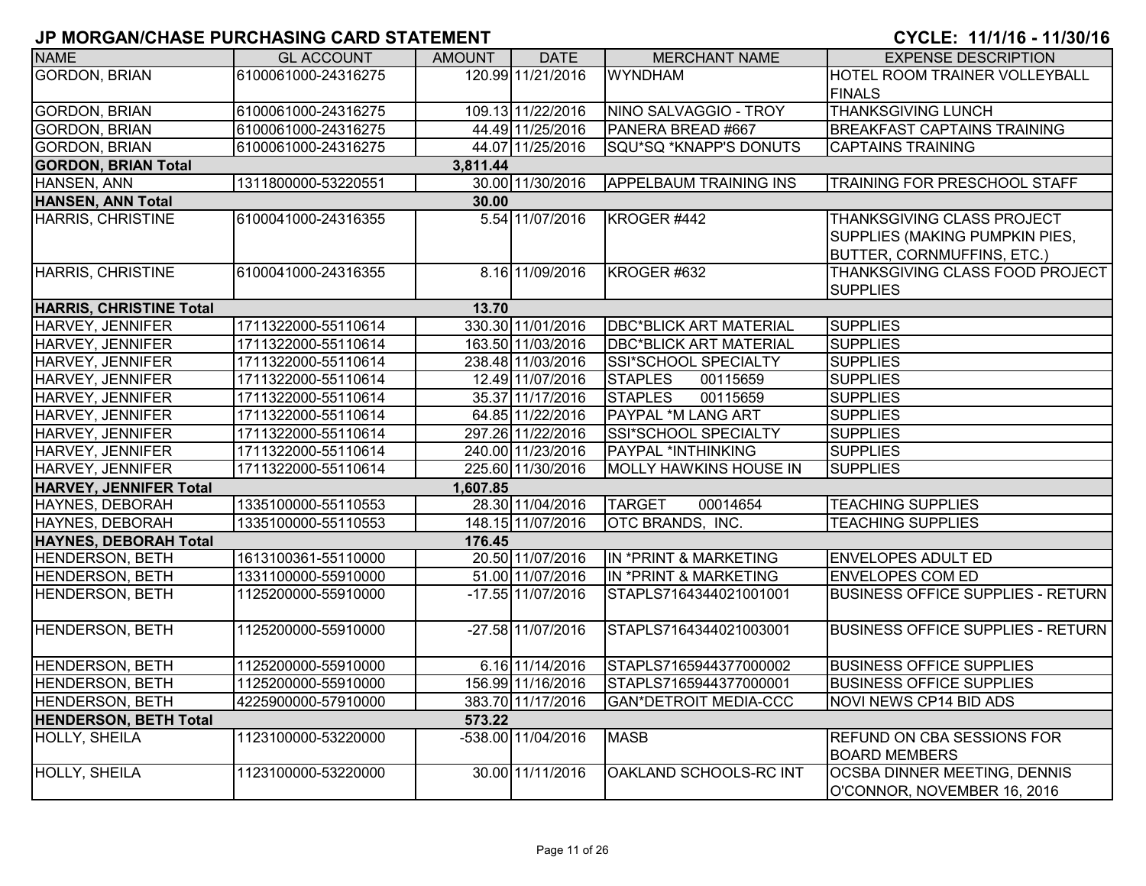| <b>NAME</b>                    | <b>GL ACCOUNT</b>   | <b>AMOUNT</b> | <b>DATE</b>         | <b>MERCHANT NAME</b>          | <b>EXPENSE DESCRIPTION</b>                                  |
|--------------------------------|---------------------|---------------|---------------------|-------------------------------|-------------------------------------------------------------|
| <b>GORDON, BRIAN</b>           | 6100061000-24316275 |               | 120.99 11/21/2016   | <b>WYNDHAM</b>                | HOTEL ROOM TRAINER VOLLEYBALL                               |
|                                |                     |               |                     |                               | <b>FINALS</b>                                               |
| <b>GORDON, BRIAN</b>           | 6100061000-24316275 |               | 109.13 11/22/2016   | NINO SALVAGGIO - TROY         | <b>THANKSGIVING LUNCH</b>                                   |
| <b>GORDON, BRIAN</b>           | 6100061000-24316275 |               | 44.49 11/25/2016    | PANERA BREAD #667             | <b>BREAKFAST CAPTAINS TRAINING</b>                          |
| <b>GORDON, BRIAN</b>           | 6100061000-24316275 |               | 44.07 11/25/2016    | SQU*SQ *KNAPP'S DONUTS        | <b>CAPTAINS TRAINING</b>                                    |
| <b>GORDON, BRIAN Total</b>     |                     | 3,811.44      |                     |                               |                                                             |
| HANSEN, ANN                    | 1311800000-53220551 |               | 30.00 11/30/2016    | <b>APPELBAUM TRAINING INS</b> | TRAINING FOR PRESCHOOL STAFF                                |
| <b>HANSEN, ANN Total</b>       |                     | 30.00         |                     |                               |                                                             |
| HARRIS, CHRISTINE              | 6100041000-24316355 |               | 5.54 11/07/2016     | KROGER #442                   | THANKSGIVING CLASS PROJECT                                  |
|                                |                     |               |                     |                               | SUPPLIES (MAKING PUMPKIN PIES,                              |
|                                |                     |               |                     |                               | <b>BUTTER, CORNMUFFINS, ETC.)</b>                           |
| <b>HARRIS, CHRISTINE</b>       | 6100041000-24316355 |               | 8.16 11/09/2016     | KROGER #632                   | THANKSGIVING CLASS FOOD PROJECT                             |
|                                |                     |               |                     |                               | <b>SUPPLIES</b>                                             |
| <b>HARRIS, CHRISTINE Total</b> |                     | 13.70         |                     |                               |                                                             |
| HARVEY, JENNIFER               | 1711322000-55110614 |               | 330.30 11/01/2016   | <b>DBC*BLICK ART MATERIAL</b> | <b>SUPPLIES</b>                                             |
| HARVEY, JENNIFER               | 1711322000-55110614 |               | 163.50 11/03/2016   | <b>DBC*BLICK ART MATERIAL</b> | <b>SUPPLIES</b>                                             |
| HARVEY, JENNIFER               | 1711322000-55110614 |               | 238.48 11/03/2016   | SSI*SCHOOL SPECIALTY          | <b>SUPPLIES</b>                                             |
| HARVEY, JENNIFER               | 1711322000-55110614 |               | 12.49 11/07/2016    | <b>STAPLES</b><br>00115659    | <b>SUPPLIES</b>                                             |
| HARVEY, JENNIFER               | 1711322000-55110614 |               | 35.37 11/17/2016    | <b>STAPLES</b><br>00115659    | <b>SUPPLIES</b>                                             |
| HARVEY, JENNIFER               | 1711322000-55110614 |               | 64.85 11/22/2016    | <b>PAYPAL *M LANG ART</b>     | <b>SUPPLIES</b>                                             |
| HARVEY, JENNIFER               | 1711322000-55110614 |               | 297.26 11/22/2016   | SSI*SCHOOL SPECIALTY          | <b>SUPPLIES</b>                                             |
| HARVEY, JENNIFER               | 1711322000-55110614 |               | 240.00 11/23/2016   | PAYPAL *INTHINKING            | <b>SUPPLIES</b>                                             |
| HARVEY, JENNIFER               | 1711322000-55110614 |               | 225.60 11/30/2016   | <b>MOLLY HAWKINS HOUSE IN</b> | <b>SUPPLIES</b>                                             |
| <b>HARVEY, JENNIFER Total</b>  |                     | 1,607.85      |                     |                               |                                                             |
| <b>HAYNES, DEBORAH</b>         | 1335100000-55110553 |               | 28.30 11/04/2016    | <b>TARGET</b><br>00014654     | <b>TEACHING SUPPLIES</b>                                    |
| HAYNES, DEBORAH                | 1335100000-55110553 |               | 148.15 11/07/2016   | <b>OTC BRANDS, INC.</b>       | <b>TEACHING SUPPLIES</b>                                    |
| <b>HAYNES, DEBORAH Total</b>   |                     | 176.45        |                     |                               |                                                             |
| <b>HENDERSON, BETH</b>         | 1613100361-55110000 |               | 20.50 11/07/2016    | IN *PRINT & MARKETING         | <b>ENVELOPES ADULT ED</b>                                   |
| <b>HENDERSON, BETH</b>         | 1331100000-55910000 |               | 51.00 11/07/2016    | IN *PRINT & MARKETING         | <b>ENVELOPES COM ED</b>                                     |
| <b>HENDERSON, BETH</b>         | 1125200000-55910000 |               | $-17.55$ 11/07/2016 | STAPLS7164344021001001        | <b>BUSINESS OFFICE SUPPLIES - RETURN</b>                    |
| <b>HENDERSON, BETH</b>         | 1125200000-55910000 |               | $-27.58$ 11/07/2016 | STAPLS7164344021003001        | <b>BUSINESS OFFICE SUPPLIES - RETURN</b>                    |
|                                |                     |               |                     |                               |                                                             |
| <b>HENDERSON, BETH</b>         | 1125200000-55910000 |               | 6.16 11/14/2016     | STAPLS7165944377000002        | <b>BUSINESS OFFICE SUPPLIES</b>                             |
| <b>HENDERSON, BETH</b>         | 1125200000-55910000 |               | 156.99 11/16/2016   | STAPLS7165944377000001        | <b>BUSINESS OFFICE SUPPLIES</b>                             |
| <b>HENDERSON, BETH</b>         | 4225900000-57910000 |               | 383.70 11/17/2016   | <b>GAN*DETROIT MEDIA-CCC</b>  | NOVI NEWS CP14 BID ADS                                      |
| <b>HENDERSON, BETH Total</b>   |                     | 573.22        |                     |                               |                                                             |
| HOLLY, SHEILA                  | 1123100000-53220000 |               | -538.00 11/04/2016  | <b>MASB</b>                   | <b>REFUND ON CBA SESSIONS FOR</b><br><b>BOARD MEMBERS</b>   |
|                                | 1123100000-53220000 |               | 30.00 11/11/2016    | OAKLAND SCHOOLS-RC INT        |                                                             |
| HOLLY, SHEILA                  |                     |               |                     |                               | OCSBA DINNER MEETING, DENNIS<br>O'CONNOR, NOVEMBER 16, 2016 |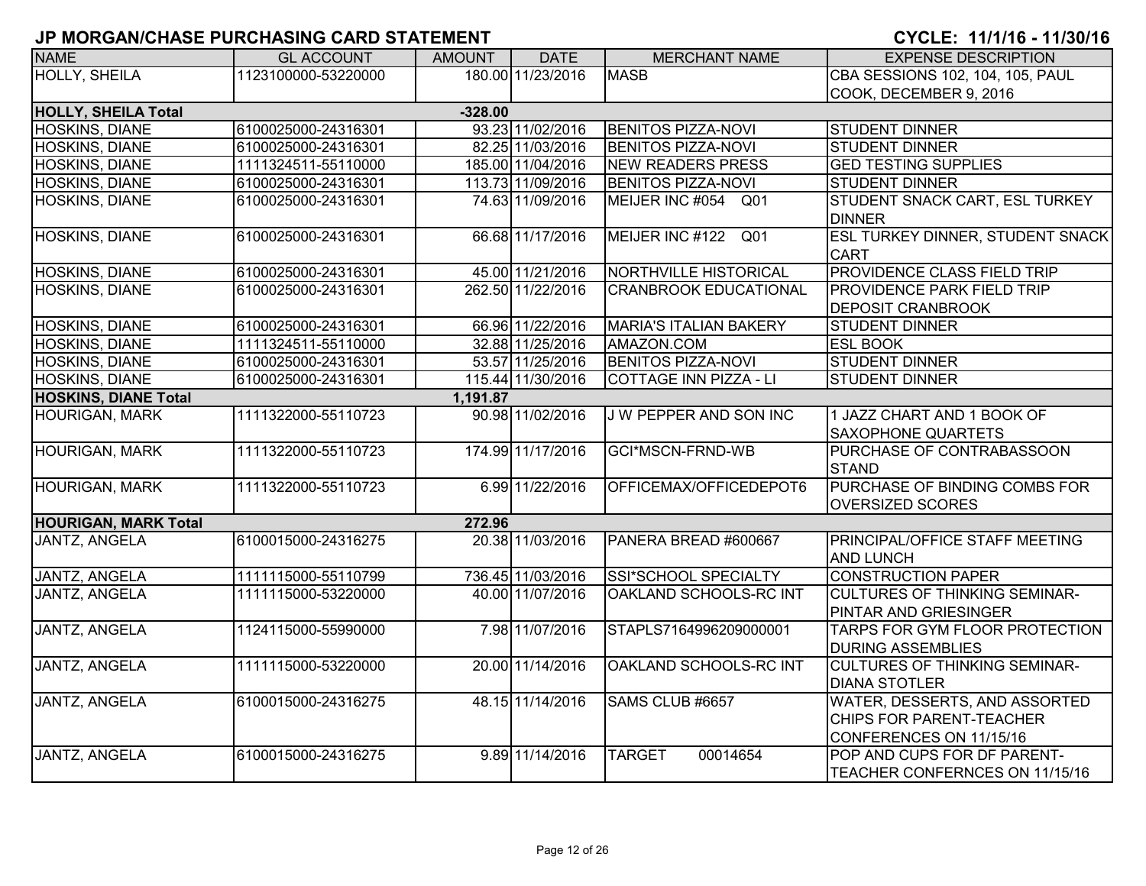| <b>NAME</b>                 | <b>GL ACCOUNT</b>   | <b>AMOUNT</b> | <b>DATE</b>       | <b>MERCHANT NAME</b>          | <b>EXPENSE DESCRIPTION</b>                                                           |
|-----------------------------|---------------------|---------------|-------------------|-------------------------------|--------------------------------------------------------------------------------------|
| <b>HOLLY, SHEILA</b>        | 1123100000-53220000 |               | 180.00 11/23/2016 | <b>MASB</b>                   | CBA SESSIONS 102, 104, 105, PAUL                                                     |
|                             |                     |               |                   |                               | COOK, DECEMBER 9, 2016                                                               |
| <b>HOLLY, SHEILA Total</b>  |                     | $-328.00$     |                   |                               |                                                                                      |
| <b>HOSKINS, DIANE</b>       | 6100025000-24316301 |               | 93.23 11/02/2016  | <b>BENITOS PIZZA-NOVI</b>     | <b>STUDENT DINNER</b>                                                                |
| <b>HOSKINS, DIANE</b>       | 6100025000-24316301 |               | 82.25 11/03/2016  | <b>BENITOS PIZZA-NOVI</b>     | <b>STUDENT DINNER</b>                                                                |
| HOSKINS, DIANE              | 1111324511-55110000 |               | 185.00 11/04/2016 | <b>NEW READERS PRESS</b>      | <b>GED TESTING SUPPLIES</b>                                                          |
| HOSKINS, DIANE              | 6100025000-24316301 |               | 113.73 11/09/2016 | <b>BENITOS PIZZA-NOVI</b>     | <b>STUDENT DINNER</b>                                                                |
| HOSKINS, DIANE              | 6100025000-24316301 |               | 74.63 11/09/2016  | MEIJER INC #054 Q01           | STUDENT SNACK CART, ESL TURKEY<br><b>DINNER</b>                                      |
| HOSKINS, DIANE              | 6100025000-24316301 |               | 66.68 11/17/2016  | MEIJER INC #122 Q01           | ESL TURKEY DINNER, STUDENT SNACK<br><b>CART</b>                                      |
| <b>HOSKINS, DIANE</b>       | 6100025000-24316301 |               | 45.00 11/21/2016  | NORTHVILLE HISTORICAL         | PROVIDENCE CLASS FIELD TRIP                                                          |
| HOSKINS, DIANE              | 6100025000-24316301 |               | 262.50 11/22/2016 | <b>CRANBROOK EDUCATIONAL</b>  | PROVIDENCE PARK FIELD TRIP<br><b>DEPOSIT CRANBROOK</b>                               |
| <b>HOSKINS, DIANE</b>       | 6100025000-24316301 |               | 66.96 11/22/2016  | <b>MARIA'S ITALIAN BAKERY</b> | <b>STUDENT DINNER</b>                                                                |
| HOSKINS, DIANE              | 1111324511-55110000 |               | 32.88 11/25/2016  | AMAZON.COM                    | <b>ESL BOOK</b>                                                                      |
| <b>HOSKINS, DIANE</b>       | 6100025000-24316301 |               | 53.57 11/25/2016  | <b>BENITOS PIZZA-NOVI</b>     | <b>STUDENT DINNER</b>                                                                |
| <b>HOSKINS, DIANE</b>       | 6100025000-24316301 |               | 115.44 11/30/2016 | <b>COTTAGE INN PIZZA - LI</b> | <b>STUDENT DINNER</b>                                                                |
| <b>HOSKINS, DIANE Total</b> |                     | 1,191.87      |                   |                               |                                                                                      |
| <b>HOURIGAN, MARK</b>       | 1111322000-55110723 |               | 90.98 11/02/2016  | J W PEPPER AND SON INC        | 1 JAZZ CHART AND 1 BOOK OF<br><b>SAXOPHONE QUARTETS</b>                              |
| <b>HOURIGAN, MARK</b>       | 1111322000-55110723 |               | 174.99 11/17/2016 | <b>GCI*MSCN-FRND-WB</b>       | PURCHASE OF CONTRABASSOON<br><b>STAND</b>                                            |
| <b>HOURIGAN, MARK</b>       | 1111322000-55110723 |               | 6.99 11/22/2016   | OFFICEMAX/OFFICEDEPOT6        | PURCHASE OF BINDING COMBS FOR<br><b>OVERSIZED SCORES</b>                             |
| <b>HOURIGAN, MARK Total</b> |                     | 272.96        |                   |                               |                                                                                      |
| <b>JANTZ, ANGELA</b>        | 6100015000-24316275 |               | 20.38 11/03/2016  | PANERA BREAD #600667          | PRINCIPAL/OFFICE STAFF MEETING<br><b>AND LUNCH</b>                                   |
| JANTZ, ANGELA               | 1111115000-55110799 |               | 736.45 11/03/2016 | <b>SSI*SCHOOL SPECIALTY</b>   | <b>CONSTRUCTION PAPER</b>                                                            |
| <b>JANTZ, ANGELA</b>        | 1111115000-53220000 |               | 40.00 11/07/2016  | OAKLAND SCHOOLS-RC INT        | <b>CULTURES OF THINKING SEMINAR-</b><br>PINTAR AND GRIESINGER                        |
| JANTZ, ANGELA               | 1124115000-55990000 |               | 7.98 11/07/2016   | STAPLS7164996209000001        | TARPS FOR GYM FLOOR PROTECTION<br><b>DURING ASSEMBLIES</b>                           |
| JANTZ, ANGELA               | 1111115000-53220000 |               | 20.00 11/14/2016  | OAKLAND SCHOOLS-RC INT        | <b>CULTURES OF THINKING SEMINAR-</b><br><b>DIANA STOTLER</b>                         |
| JANTZ, ANGELA               | 6100015000-24316275 |               | 48.15 11/14/2016  | SAMS CLUB #6657               | WATER, DESSERTS, AND ASSORTED<br>CHIPS FOR PARENT-TEACHER<br>CONFERENCES ON 11/15/16 |
| <b>JANTZ, ANGELA</b>        | 6100015000-24316275 |               | 9.89 11/14/2016   | 00014654<br><b>TARGET</b>     | POP AND CUPS FOR DF PARENT-<br>TEACHER CONFERNCES ON 11/15/16                        |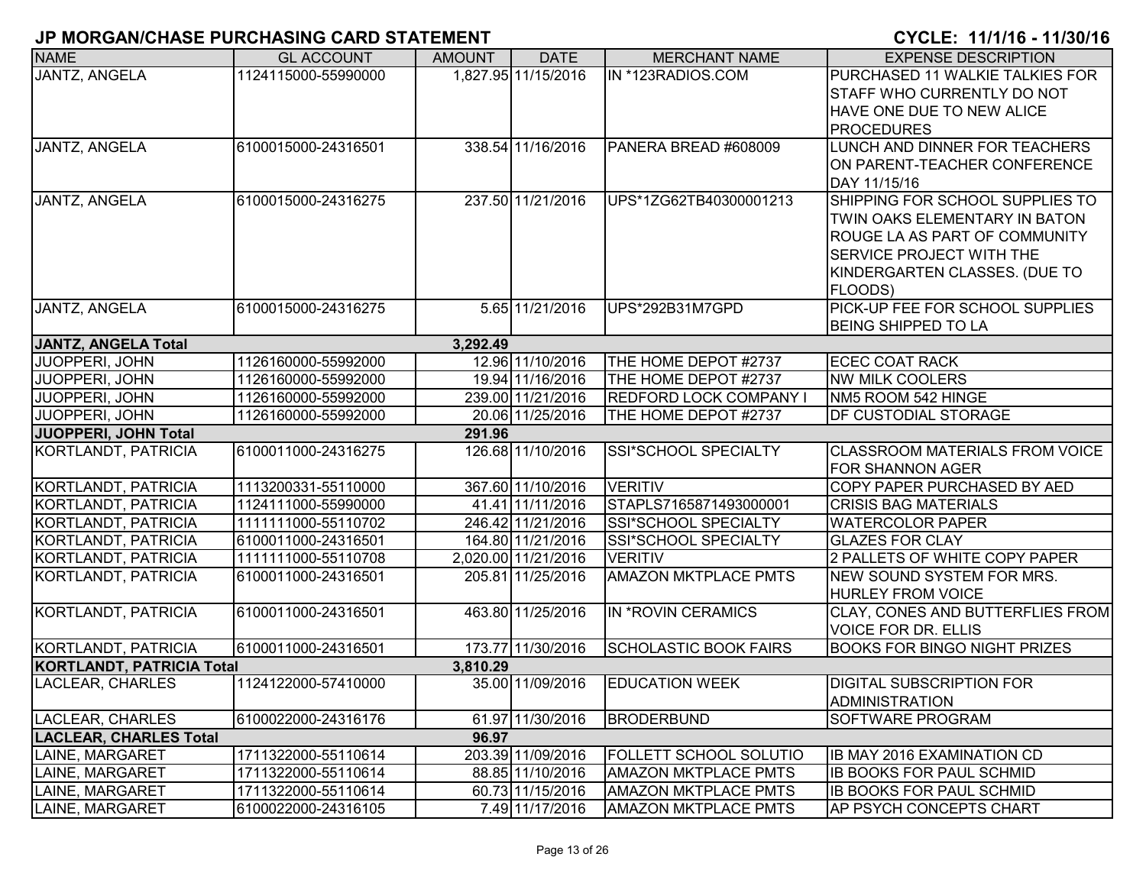| <b>NAME</b>                      | <b>GL ACCOUNT</b>   | <b>AMOUNT</b> | <b>DATE</b>         | <b>MERCHANT NAME</b>          | <b>EXPENSE DESCRIPTION</b>              |
|----------------------------------|---------------------|---------------|---------------------|-------------------------------|-----------------------------------------|
| <b>JANTZ, ANGELA</b>             | 1124115000-55990000 |               | 1,827.95 11/15/2016 | IN *123RADIOS.COM             | PURCHASED 11 WALKIE TALKIES FOR         |
|                                  |                     |               |                     |                               | <b>STAFF WHO CURRENTLY DO NOT</b>       |
|                                  |                     |               |                     |                               | HAVE ONE DUE TO NEW ALICE               |
|                                  |                     |               |                     |                               | <b>PROCEDURES</b>                       |
| JANTZ, ANGELA                    | 6100015000-24316501 |               | 338.54 11/16/2016   | PANERA BREAD #608009          | LUNCH AND DINNER FOR TEACHERS           |
|                                  |                     |               |                     |                               | ON PARENT-TEACHER CONFERENCE            |
|                                  |                     |               |                     |                               | DAY 11/15/16                            |
| JANTZ, ANGELA                    | 6100015000-24316275 |               | 237.50 11/21/2016   | UPS*1ZG62TB40300001213        | SHIPPING FOR SCHOOL SUPPLIES TO         |
|                                  |                     |               |                     |                               | TWIN OAKS ELEMENTARY IN BATON           |
|                                  |                     |               |                     |                               | ROUGE LA AS PART OF COMMUNITY           |
|                                  |                     |               |                     |                               | <b>SERVICE PROJECT WITH THE</b>         |
|                                  |                     |               |                     |                               | KINDERGARTEN CLASSES. (DUE TO           |
|                                  |                     |               |                     |                               | FLOODS)                                 |
| JANTZ, ANGELA                    | 6100015000-24316275 |               | 5.65 11/21/2016     | UPS*292B31M7GPD               | PICK-UP FEE FOR SCHOOL SUPPLIES         |
|                                  |                     |               |                     |                               | <b>BEING SHIPPED TO LA</b>              |
| <b>JANTZ, ANGELA Total</b>       |                     | 3,292.49      |                     |                               |                                         |
| JUOPPERI, JOHN                   | 1126160000-55992000 |               | 12.96 11/10/2016    | THE HOME DEPOT #2737          | <b>ECEC COAT RACK</b>                   |
| JUOPPERI, JOHN                   | 1126160000-55992000 |               | 19.94 11/16/2016    | THE HOME DEPOT #2737          | <b>NW MILK COOLERS</b>                  |
| JUOPPERI, JOHN                   | 1126160000-55992000 |               | 239.00 11/21/2016   | <b>REDFORD LOCK COMPANY I</b> | NM5 ROOM 542 HINGE                      |
| <b>JUOPPERI, JOHN</b>            | 1126160000-55992000 |               | 20.06 11/25/2016    | THE HOME DEPOT #2737          | <b>DF CUSTODIAL STORAGE</b>             |
| JUOPPERI, JOHN Total             |                     | 291.96        |                     |                               |                                         |
| KORTLANDT, PATRICIA              | 6100011000-24316275 |               | 126.68 11/10/2016   | SSI*SCHOOL SPECIALTY          | <b>CLASSROOM MATERIALS FROM VOICE</b>   |
|                                  |                     |               |                     |                               | <b>FOR SHANNON AGER</b>                 |
| KORTLANDT, PATRICIA              | 1113200331-55110000 |               | 367.60 11/10/2016   | <b>VERITIV</b>                | COPY PAPER PURCHASED BY AED             |
| KORTLANDT, PATRICIA              | 1124111000-55990000 |               | 41.41 11/11/2016    | STAPLS7165871493000001        | <b>CRISIS BAG MATERIALS</b>             |
| KORTLANDT, PATRICIA              | 1111111000-55110702 |               | 246.42 11/21/2016   | SSI*SCHOOL SPECIALTY          | <b>WATERCOLOR PAPER</b>                 |
| KORTLANDT, PATRICIA              | 6100011000-24316501 |               | 164.80 11/21/2016   | SSI*SCHOOL SPECIALTY          | <b>GLAZES FOR CLAY</b>                  |
| KORTLANDT, PATRICIA              | 1111111000-55110708 |               | 2,020.00 11/21/2016 | <b>VERITIV</b>                | 2 PALLETS OF WHITE COPY PAPER           |
| KORTLANDT, PATRICIA              | 6100011000-24316501 |               | 205.81 11/25/2016   | <b>AMAZON MKTPLACE PMTS</b>   | NEW SOUND SYSTEM FOR MRS.               |
|                                  |                     |               |                     |                               | <b>HURLEY FROM VOICE</b>                |
| KORTLANDT, PATRICIA              | 6100011000-24316501 |               | 463.80 11/25/2016   | IN *ROVIN CERAMICS            | <b>CLAY, CONES AND BUTTERFLIES FROM</b> |
|                                  |                     |               |                     |                               | <b>VOICE FOR DR. ELLIS</b>              |
| KORTLANDT, PATRICIA              | 6100011000-24316501 |               | 173.77 11/30/2016   | <b>SCHOLASTIC BOOK FAIRS</b>  | <b>BOOKS FOR BINGO NIGHT PRIZES</b>     |
| <b>KORTLANDT, PATRICIA Total</b> |                     | 3,810.29      |                     |                               |                                         |
| LACLEAR, CHARLES                 | 1124122000-57410000 |               | 35.00 11/09/2016    | <b>EDUCATION WEEK</b>         | <b>DIGITAL SUBSCRIPTION FOR</b>         |
|                                  |                     |               |                     |                               | <b>ADMINISTRATION</b>                   |
| LACLEAR, CHARLES                 | 6100022000-24316176 |               | 61.97 11/30/2016    | <b>BRODERBUND</b>             | <b>ISOFTWARE PROGRAM</b>                |
| <b>LACLEAR, CHARLES Total</b>    |                     | 96.97         |                     |                               |                                         |
| LAINE, MARGARET                  | 1711322000-55110614 |               | 203.39 11/09/2016   | FOLLETT SCHOOL SOLUTIO        | <b>IB MAY 2016 EXAMINATION CD</b>       |
| LAINE, MARGARET                  | 1711322000-55110614 |               | 88.85 11/10/2016    | <b>AMAZON MKTPLACE PMTS</b>   | <b>IB BOOKS FOR PAUL SCHMID</b>         |
| LAINE, MARGARET                  | 1711322000-55110614 |               | 60.73 11/15/2016    | <b>AMAZON MKTPLACE PMTS</b>   | <b>IB BOOKS FOR PAUL SCHMID</b>         |
| LAINE, MARGARET                  | 6100022000-24316105 |               | 7.49 11/17/2016     | <b>AMAZON MKTPLACE PMTS</b>   | <b>AP PSYCH CONCEPTS CHART</b>          |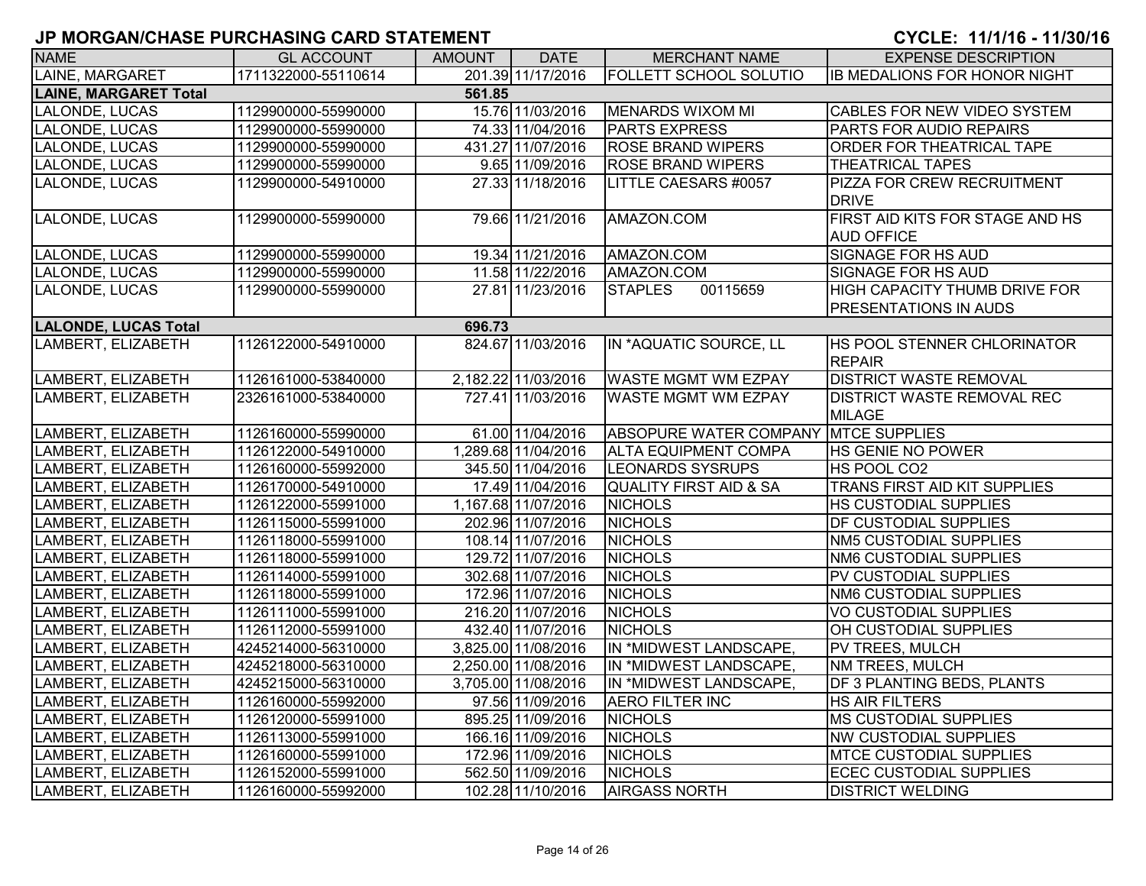| <b>NAME</b>                  | <b>GL ACCOUNT</b>   | <b>AMOUNT</b> | <b>DATE</b>         | <b>MERCHANT NAME</b>                 | <b>EXPENSE DESCRIPTION</b>                                           |
|------------------------------|---------------------|---------------|---------------------|--------------------------------------|----------------------------------------------------------------------|
| LAINE, MARGARET              | 1711322000-55110614 |               | 201.39 11/17/2016   | <b>FOLLETT SCHOOL SOLUTIO</b>        | <b>IB MEDALIONS FOR HONOR NIGHT</b>                                  |
| <b>LAINE, MARGARET Total</b> |                     | 561.85        |                     |                                      |                                                                      |
| LALONDE, LUCAS               | 1129900000-55990000 |               | 15.76 11/03/2016    | <b>MENARDS WIXOM MI</b>              | CABLES FOR NEW VIDEO SYSTEM                                          |
| LALONDE, LUCAS               | 1129900000-55990000 |               | 74.33 11/04/2016    | <b>PARTS EXPRESS</b>                 | PARTS FOR AUDIO REPAIRS                                              |
| LALONDE, LUCAS               | 1129900000-55990000 |               | 431.27 11/07/2016   | <b>ROSE BRAND WIPERS</b>             | ORDER FOR THEATRICAL TAPE                                            |
| LALONDE, LUCAS               | 1129900000-55990000 |               | 9.65 11/09/2016     | <b>ROSE BRAND WIPERS</b>             | <b>THEATRICAL TAPES</b>                                              |
| LALONDE, LUCAS               | 1129900000-54910000 |               | 27.33 11/18/2016    | LITTLE CAESARS #0057                 | <b>PIZZA FOR CREW RECRUITMENT</b><br><b>IDRIVE</b>                   |
| LALONDE, LUCAS               | 1129900000-55990000 |               | 79.66 11/21/2016    | AMAZON.COM                           | FIRST AID KITS FOR STAGE AND HS<br><b>AUD OFFICE</b>                 |
| LALONDE, LUCAS               | 1129900000-55990000 |               | 19.34 11/21/2016    | AMAZON.COM                           | <b>SIGNAGE FOR HS AUD</b>                                            |
| LALONDE, LUCAS               | 1129900000-55990000 |               | 11.58 11/22/2016    | AMAZON.COM                           | <b>SIGNAGE FOR HS AUD</b>                                            |
| LALONDE, LUCAS               | 1129900000-55990000 |               | 27.81 11/23/2016    | 00115659<br><b>STAPLES</b>           | <b>HIGH CAPACITY THUMB DRIVE FOR</b><br><b>PRESENTATIONS IN AUDS</b> |
| <b>LALONDE, LUCAS Total</b>  |                     | 696.73        |                     |                                      |                                                                      |
| LAMBERT, ELIZABETH           | 1126122000-54910000 |               | 824.67 11/03/2016   | IN *AQUATIC SOURCE, LL               | HS POOL STENNER CHLORINATOR<br><b>REPAIR</b>                         |
| LAMBERT, ELIZABETH           | 1126161000-53840000 |               | 2,182.22 11/03/2016 | <b>WASTE MGMT WM EZPAY</b>           | <b>DISTRICT WASTE REMOVAL</b>                                        |
| LAMBERT, ELIZABETH           | 2326161000-53840000 |               | 727.41 11/03/2016   | <b>WASTE MGMT WM EZPAY</b>           | <b>DISTRICT WASTE REMOVAL REC</b><br><b>MILAGE</b>                   |
| LAMBERT, ELIZABETH           | 1126160000-55990000 |               | 61.00 11/04/2016    | ABSOPURE WATER COMPANY MTCE SUPPLIES |                                                                      |
| LAMBERT, ELIZABETH           | 1126122000-54910000 |               | 1,289.68 11/04/2016 | <b>ALTA EQUIPMENT COMPA</b>          | HS GENIE NO POWER                                                    |
| LAMBERT, ELIZABETH           | 1126160000-55992000 |               | 345.50 11/04/2016   | <b>LEONARDS SYSRUPS</b>              | HS POOL CO2                                                          |
| LAMBERT, ELIZABETH           | 1126170000-54910000 |               | 17.49 11/04/2016    | QUALITY FIRST AID & SA               | TRANS FIRST AID KIT SUPPLIES                                         |
| LAMBERT, ELIZABETH           | 1126122000-55991000 |               | 1,167.68 11/07/2016 | <b>NICHOLS</b>                       | <b>HS CUSTODIAL SUPPLIES</b>                                         |
| LAMBERT, ELIZABETH           | 1126115000-55991000 |               | 202.96 11/07/2016   | <b>NICHOLS</b>                       | <b>DF CUSTODIAL SUPPLIES</b>                                         |
| LAMBERT, ELIZABETH           | 1126118000-55991000 |               | 108.14 11/07/2016   | <b>NICHOLS</b>                       | NM5 CUSTODIAL SUPPLIES                                               |
| LAMBERT, ELIZABETH           | 1126118000-55991000 |               | 129.72 11/07/2016   | <b>NICHOLS</b>                       | <b>NM6 CUSTODIAL SUPPLIES</b>                                        |
| LAMBERT, ELIZABETH           | 1126114000-55991000 |               | 302.68 11/07/2016   | <b>NICHOLS</b>                       | PV CUSTODIAL SUPPLIES                                                |
| LAMBERT, ELIZABETH           | 1126118000-55991000 |               | 172.96 11/07/2016   | <b>NICHOLS</b>                       | <b>NM6 CUSTODIAL SUPPLIES</b>                                        |
| LAMBERT, ELIZABETH           | 1126111000-55991000 |               | 216.20 11/07/2016   | <b>NICHOLS</b>                       | VO CUSTODIAL SUPPLIES                                                |
| LAMBERT, ELIZABETH           | 1126112000-55991000 |               | 432.40 11/07/2016   | <b>NICHOLS</b>                       | OH CUSTODIAL SUPPLIES                                                |
| LAMBERT, ELIZABETH           | 4245214000-56310000 |               | 3,825.00 11/08/2016 | IN *MIDWEST LANDSCAPE,               | PV TREES, MULCH                                                      |
| LAMBERT, ELIZABETH           | 4245218000-56310000 |               | 2,250.00 11/08/2016 | IN *MIDWEST LANDSCAPE,               | <b>NM TREES, MULCH</b>                                               |
| LAMBERT, ELIZABETH           | 4245215000-56310000 |               | 3,705.00 11/08/2016 | IN *MIDWEST LANDSCAPE,               | DF 3 PLANTING BEDS, PLANTS                                           |
| LAMBERT, ELIZABETH           | 1126160000-55992000 |               | 97.56 11/09/2016    | <b>AERO FILTER INC</b>               | <b>HS AIR FILTERS</b>                                                |
| LAMBERT, ELIZABETH           | 1126120000-55991000 |               | 895.25 11/09/2016   | <b>NICHOLS</b>                       | <b>MS CUSTODIAL SUPPLIES</b>                                         |
| LAMBERT, ELIZABETH           | 1126113000-55991000 |               | 166.16 11/09/2016   | <b>NICHOLS</b>                       | <b>NW CUSTODIAL SUPPLIES</b>                                         |
| LAMBERT, ELIZABETH           | 1126160000-55991000 |               | 172.96 11/09/2016   | <b>NICHOLS</b>                       | <b>MTCE CUSTODIAL SUPPLIES</b>                                       |
| LAMBERT, ELIZABETH           | 1126152000-55991000 |               | 562.50 11/09/2016   | <b>NICHOLS</b>                       | <b>ECEC CUSTODIAL SUPPLIES</b>                                       |
| LAMBERT, ELIZABETH           | 1126160000-55992000 |               | 102.28 11/10/2016   | <b>AIRGASS NORTH</b>                 | <b>DISTRICT WELDING</b>                                              |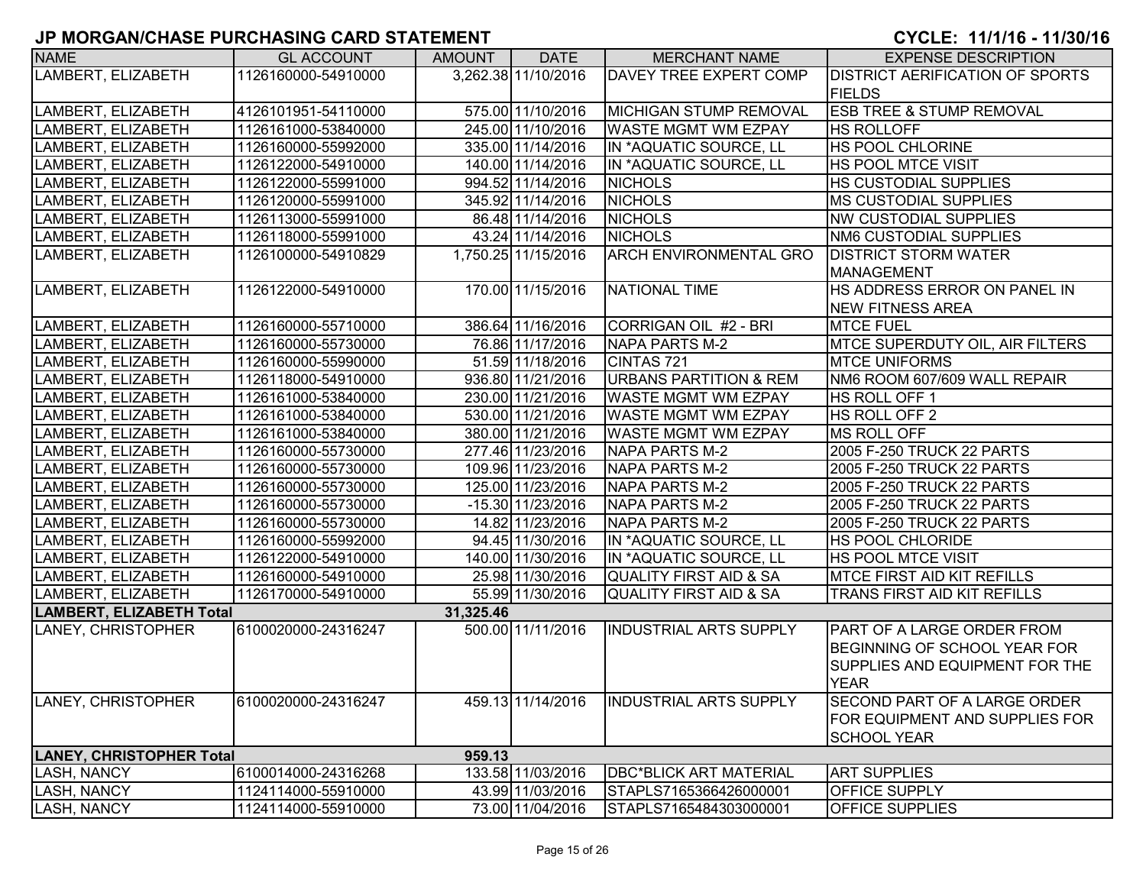| <b>NAME</b>                     | <b>GL ACCOUNT</b>   | AMOUNT    | <b>DATE</b>         | <b>MERCHANT NAME</b>              | <b>EXPENSE DESCRIPTION</b>                                     |
|---------------------------------|---------------------|-----------|---------------------|-----------------------------------|----------------------------------------------------------------|
| LAMBERT, ELIZABETH              | 1126160000-54910000 |           | 3,262.38 11/10/2016 | <b>DAVEY TREE EXPERT COMP</b>     | <b>DISTRICT AERIFICATION OF SPORTS</b>                         |
|                                 |                     |           |                     |                                   | <b>FIELDS</b>                                                  |
| LAMBERT, ELIZABETH              | 4126101951-54110000 |           | 575.00 11/10/2016   | MICHIGAN STUMP REMOVAL            | <b>ESB TREE &amp; STUMP REMOVAL</b>                            |
| LAMBERT, ELIZABETH              | 1126161000-53840000 |           | 245.00 11/10/2016   | <b>WASTE MGMT WM EZPAY</b>        | <b>HS ROLLOFF</b>                                              |
| LAMBERT, ELIZABETH              | 1126160000-55992000 |           | 335.00 11/14/2016   | IN *AQUATIC SOURCE, LL            | <b>HS POOL CHLORINE</b>                                        |
| LAMBERT, ELIZABETH              | 1126122000-54910000 |           | 140.00 11/14/2016   | IN *AQUATIC SOURCE, LL            | <b>HS POOL MTCE VISIT</b>                                      |
| LAMBERT, ELIZABETH              | 1126122000-55991000 |           | 994.52 11/14/2016   | <b>NICHOLS</b>                    | <b>HS CUSTODIAL SUPPLIES</b>                                   |
| LAMBERT, ELIZABETH              | 1126120000-55991000 |           | 345.92 11/14/2016   | <b>NICHOLS</b>                    | <b>MS CUSTODIAL SUPPLIES</b>                                   |
| LAMBERT, ELIZABETH              | 1126113000-55991000 |           | 86.48 11/14/2016    | <b>NICHOLS</b>                    | <b>NW CUSTODIAL SUPPLIES</b>                                   |
| LAMBERT, ELIZABETH              | 1126118000-55991000 |           | 43.24 11/14/2016    | <b>NICHOLS</b>                    | NM6 CUSTODIAL SUPPLIES                                         |
| LAMBERT, ELIZABETH              | 1126100000-54910829 |           | 1,750.25 11/15/2016 | <b>ARCH ENVIRONMENTAL GRO</b>     | <b>DISTRICT STORM WATER</b>                                    |
|                                 |                     |           |                     |                                   | MANAGEMENT                                                     |
| LAMBERT, ELIZABETH              | 1126122000-54910000 |           | 170.00 11/15/2016   | NATIONAL TIME                     | HS ADDRESS ERROR ON PANEL IN                                   |
|                                 |                     |           |                     |                                   | <b>NEW FITNESS AREA</b>                                        |
| LAMBERT, ELIZABETH              | 1126160000-55710000 |           | 386.64 11/16/2016   | CORRIGAN OIL #2 - BRI             | <b>MTCE FUEL</b>                                               |
| LAMBERT, ELIZABETH              | 1126160000-55730000 |           | 76.86 11/17/2016    | NAPA PARTS M-2                    | MTCE SUPERDUTY OIL, AIR FILTERS                                |
| LAMBERT, ELIZABETH              | 1126160000-55990000 |           | 51.59 11/18/2016    | CINTAS 721                        | <b>MTCE UNIFORMS</b>                                           |
| LAMBERT, ELIZABETH              | 1126118000-54910000 |           | 936.80 11/21/2016   | <b>URBANS PARTITION &amp; REM</b> | NM6 ROOM 607/609 WALL REPAIR                                   |
| LAMBERT, ELIZABETH              | 1126161000-53840000 |           | 230.00 11/21/2016   | <b>WASTE MGMT WM EZPAY</b>        | HS ROLL OFF 1                                                  |
| LAMBERT, ELIZABETH              | 1126161000-53840000 |           | 530.00 11/21/2016   | WASTE MGMT WM EZPAY               | HS ROLL OFF 2                                                  |
| LAMBERT, ELIZABETH              | 1126161000-53840000 |           | 380.00 11/21/2016   | <b>WASTE MGMT WM EZPAY</b>        | <b>MS ROLL OFF</b>                                             |
| LAMBERT, ELIZABETH              | 1126160000-55730000 |           | 277.46 11/23/2016   | <b>NAPA PARTS M-2</b>             | 2005 F-250 TRUCK 22 PARTS                                      |
| LAMBERT, ELIZABETH              | 1126160000-55730000 |           | 109.96 11/23/2016   | NAPA PARTS M-2                    | 2005 F-250 TRUCK 22 PARTS                                      |
| LAMBERT, ELIZABETH              | 1126160000-55730000 |           | 125.00 11/23/2016   | NAPA PARTS M-2                    | 2005 F-250 TRUCK 22 PARTS                                      |
| LAMBERT, ELIZABETH              | 1126160000-55730000 |           | $-15.30$ 11/23/2016 | NAPA PARTS M-2                    | 2005 F-250 TRUCK 22 PARTS                                      |
| LAMBERT, ELIZABETH              | 1126160000-55730000 |           | 14.82 11/23/2016    | NAPA PARTS M-2                    | 2005 F-250 TRUCK 22 PARTS                                      |
| LAMBERT, ELIZABETH              | 1126160000-55992000 |           | 94.45 11/30/2016    | IN *AQUATIC SOURCE, LL            | <b>HS POOL CHLORIDE</b>                                        |
| LAMBERT, ELIZABETH              | 1126122000-54910000 |           | 140.00 11/30/2016   | IN *AQUATIC SOURCE, LL            | <b>HS POOL MTCE VISIT</b>                                      |
| LAMBERT, ELIZABETH              | 1126160000-54910000 |           | 25.98 11/30/2016    | QUALITY FIRST AID & SA            | MTCE FIRST AID KIT REFILLS                                     |
| LAMBERT, ELIZABETH              | 1126170000-54910000 |           | 55.99 11/30/2016    | QUALITY FIRST AID & SA            | TRANS FIRST AID KIT REFILLS                                    |
| LAMBERT, ELIZABETH Total        |                     | 31,325.46 |                     |                                   |                                                                |
| LANEY, CHRISTOPHER              | 6100020000-24316247 |           | 500.00 11/11/2016   | <b>INDUSTRIAL ARTS SUPPLY</b>     | <b>PART OF A LARGE ORDER FROM</b>                              |
|                                 |                     |           |                     |                                   | BEGINNING OF SCHOOL YEAR FOR<br>SUPPLIES AND EQUIPMENT FOR THE |
|                                 |                     |           |                     |                                   | <b>YEAR</b>                                                    |
| LANEY, CHRISTOPHER              | 6100020000-24316247 |           | 459.13 11/14/2016   | <b>INDUSTRIAL ARTS SUPPLY</b>     | <b>SECOND PART OF A LARGE ORDER</b>                            |
|                                 |                     |           |                     |                                   | FOR EQUIPMENT AND SUPPLIES FOR                                 |
|                                 |                     |           |                     |                                   | <b>SCHOOL YEAR</b>                                             |
| <b>LANEY, CHRISTOPHER Total</b> |                     | 959.13    |                     |                                   |                                                                |
| <b>LASH, NANCY</b>              | 6100014000-24316268 |           | 133.58 11/03/2016   | <b>DBC*BLICK ART MATERIAL</b>     | <b>ART SUPPLIES</b>                                            |
| LASH, NANCY                     | 1124114000-55910000 |           | 43.99 11/03/2016    | STAPLS7165366426000001            | <b>OFFICE SUPPLY</b>                                           |
| <b>LASH, NANCY</b>              | 1124114000-55910000 |           | 73.00 11/04/2016    | STAPLS7165484303000001            | <b>OFFICE SUPPLIES</b>                                         |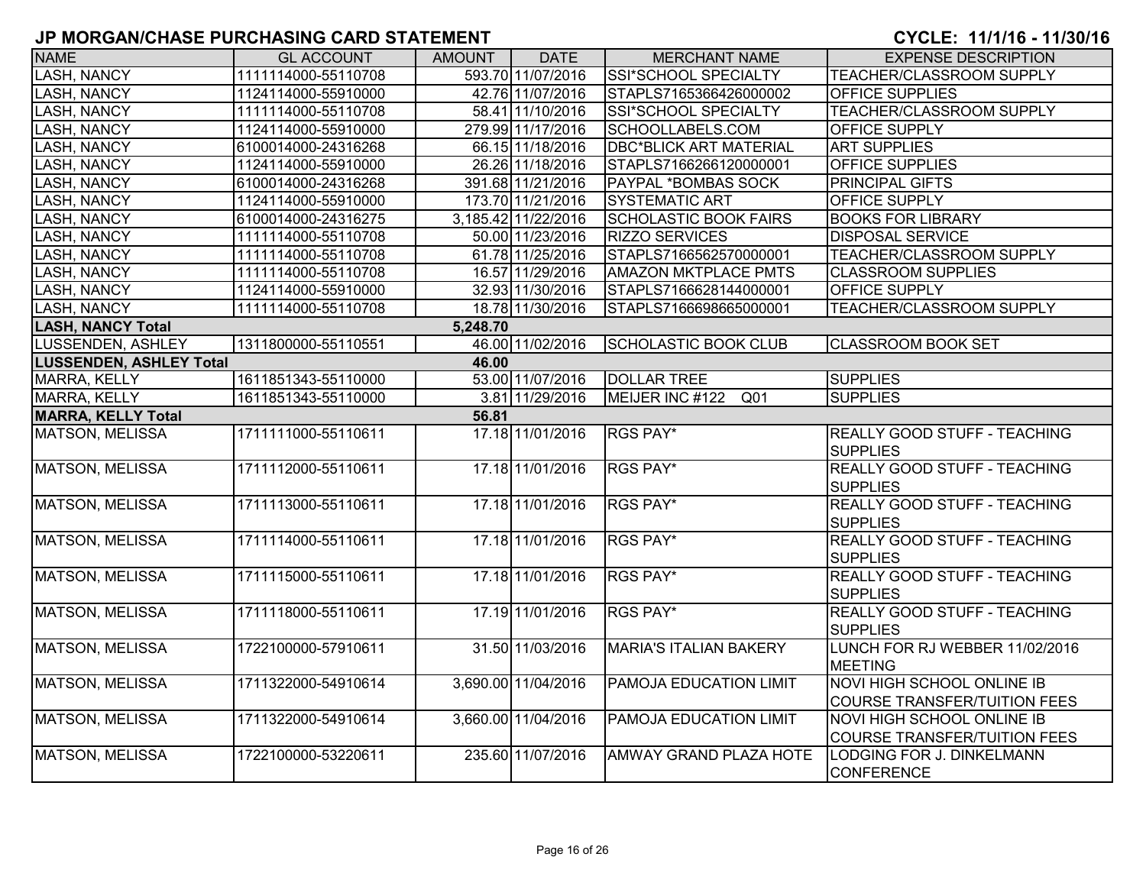| <b>NAME</b>                    | <b>GL ACCOUNT</b>   | <b>AMOUNT</b> | <b>DATE</b>         | <b>MERCHANT NAME</b>          | <b>EXPENSE DESCRIPTION</b>                                               |
|--------------------------------|---------------------|---------------|---------------------|-------------------------------|--------------------------------------------------------------------------|
| <b>LASH, NANCY</b>             | 1111114000-55110708 |               | 593.70 11/07/2016   | SSI*SCHOOL SPECIALTY          | TEACHER/CLASSROOM SUPPLY                                                 |
| <b>LASH, NANCY</b>             | 1124114000-55910000 |               | 42.76 11/07/2016    | STAPLS7165366426000002        | <b>OFFICE SUPPLIES</b>                                                   |
| <b>LASH, NANCY</b>             | 1111114000-55110708 |               | 58.41 11/10/2016    | SSI*SCHOOL SPECIALTY          | <b>TEACHER/CLASSROOM SUPPLY</b>                                          |
| <b>LASH, NANCY</b>             | 1124114000-55910000 |               | 279.99 11/17/2016   | SCHOOLLABELS.COM              | <b>OFFICE SUPPLY</b>                                                     |
| <b>LASH, NANCY</b>             | 6100014000-24316268 |               | 66.15 11/18/2016    | <b>DBC*BLICK ART MATERIAL</b> | <b>ART SUPPLIES</b>                                                      |
| <b>LASH, NANCY</b>             | 1124114000-55910000 |               | 26.26 11/18/2016    | STAPLS7166266120000001        | OFFICE SUPPLIES                                                          |
| <b>LASH, NANCY</b>             | 6100014000-24316268 |               | 391.68 11/21/2016   | <b>PAYPAL *BOMBAS SOCK</b>    | PRINCIPAL GIFTS                                                          |
| <b>LASH, NANCY</b>             | 1124114000-55910000 |               | 173.70 11/21/2016   | SYSTEMATIC ART                | OFFICE SUPPLY                                                            |
| <b>LASH, NANCY</b>             | 6100014000-24316275 |               | 3,185.42 11/22/2016 | <b>SCHOLASTIC BOOK FAIRS</b>  | <b>BOOKS FOR LIBRARY</b>                                                 |
| <b>LASH, NANCY</b>             | 1111114000-55110708 |               | 50.00 11/23/2016    | <b>RIZZO SERVICES</b>         | <b>DISPOSAL SERVICE</b>                                                  |
| LASH, NANCY                    | 1111114000-55110708 |               | 61.78 11/25/2016    | STAPLS7166562570000001        | TEACHER/CLASSROOM SUPPLY                                                 |
| <b>LASH, NANCY</b>             | 1111114000-55110708 |               | 16.57 11/29/2016    | <b>AMAZON MKTPLACE PMTS</b>   | <b>CLASSROOM SUPPLIES</b>                                                |
| <b>LASH, NANCY</b>             | 1124114000-55910000 |               | 32.93 11/30/2016    | STAPLS7166628144000001        | OFFICE SUPPLY                                                            |
| <b>LASH, NANCY</b>             | 1111114000-55110708 |               | 18.78 11/30/2016    | STAPLS7166698665000001        | TEACHER/CLASSROOM SUPPLY                                                 |
| <b>LASH, NANCY Total</b>       |                     | 5,248.70      |                     |                               |                                                                          |
| LUSSENDEN, ASHLEY              | 1311800000-55110551 |               | 46.00 11/02/2016    | <b>SCHOLASTIC BOOK CLUB</b>   | <b>CLASSROOM BOOK SET</b>                                                |
| <b>LUSSENDEN, ASHLEY Total</b> |                     | 46.00         |                     |                               |                                                                          |
| MARRA, KELLY                   | 1611851343-55110000 |               | 53.00 11/07/2016    | <b>DOLLAR TREE</b>            | <b>SUPPLIES</b>                                                          |
| <b>MARRA, KELLY</b>            | 1611851343-55110000 |               | 3.81 11/29/2016     | MEIJER INC #122<br>Q01        | <b>SUPPLIES</b>                                                          |
| <b>MARRA, KELLY Total</b>      |                     | 56.81         |                     |                               |                                                                          |
| <b>MATSON, MELISSA</b>         | 1711111000-55110611 |               | 17.18 11/01/2016    | RGS PAY*                      | REALLY GOOD STUFF - TEACHING<br><b>SUPPLIES</b>                          |
| <b>MATSON, MELISSA</b>         | 1711112000-55110611 |               | 17.18 11/01/2016    | RGS PAY*                      | REALLY GOOD STUFF - TEACHING<br><b>SUPPLIES</b>                          |
| <b>MATSON, MELISSA</b>         | 1711113000-55110611 |               | 17.18 11/01/2016    | RGS PAY*                      | <b>REALLY GOOD STUFF - TEACHING</b><br><b>SUPPLIES</b>                   |
| <b>MATSON, MELISSA</b>         | 1711114000-55110611 |               | 17.18 11/01/2016    | RGS PAY*                      | <b>REALLY GOOD STUFF - TEACHING</b><br><b>SUPPLIES</b>                   |
| <b>MATSON, MELISSA</b>         | 1711115000-55110611 |               | 17.18 11/01/2016    | RGS PAY*                      | <b>REALLY GOOD STUFF - TEACHING</b><br><b>SUPPLIES</b>                   |
| <b>MATSON, MELISSA</b>         | 1711118000-55110611 |               | 17.19 11/01/2016    | RGS PAY*                      | REALLY GOOD STUFF - TEACHING<br><b>SUPPLIES</b>                          |
| <b>MATSON, MELISSA</b>         | 1722100000-57910611 |               | 31.50 11/03/2016    | <b>MARIA'S ITALIAN BAKERY</b> | LUNCH FOR RJ WEBBER 11/02/2016<br><b>MEETING</b>                         |
| <b>MATSON, MELISSA</b>         | 1711322000-54910614 |               | 3,690.00 11/04/2016 | PAMOJA EDUCATION LIMIT        | NOVI HIGH SCHOOL ONLINE IB<br><b>COURSE TRANSFER/TUITION FEES</b>        |
| <b>MATSON, MELISSA</b>         | 1711322000-54910614 |               | 3,660.00 11/04/2016 | PAMOJA EDUCATION LIMIT        | <b>NOVI HIGH SCHOOL ONLINE IB</b><br><b>COURSE TRANSFER/TUITION FEES</b> |
| MATSON, MELISSA                | 1722100000-53220611 |               | 235.60 11/07/2016   | AMWAY GRAND PLAZA HOTE        | LODGING FOR J. DINKELMANN<br><b>CONFERENCE</b>                           |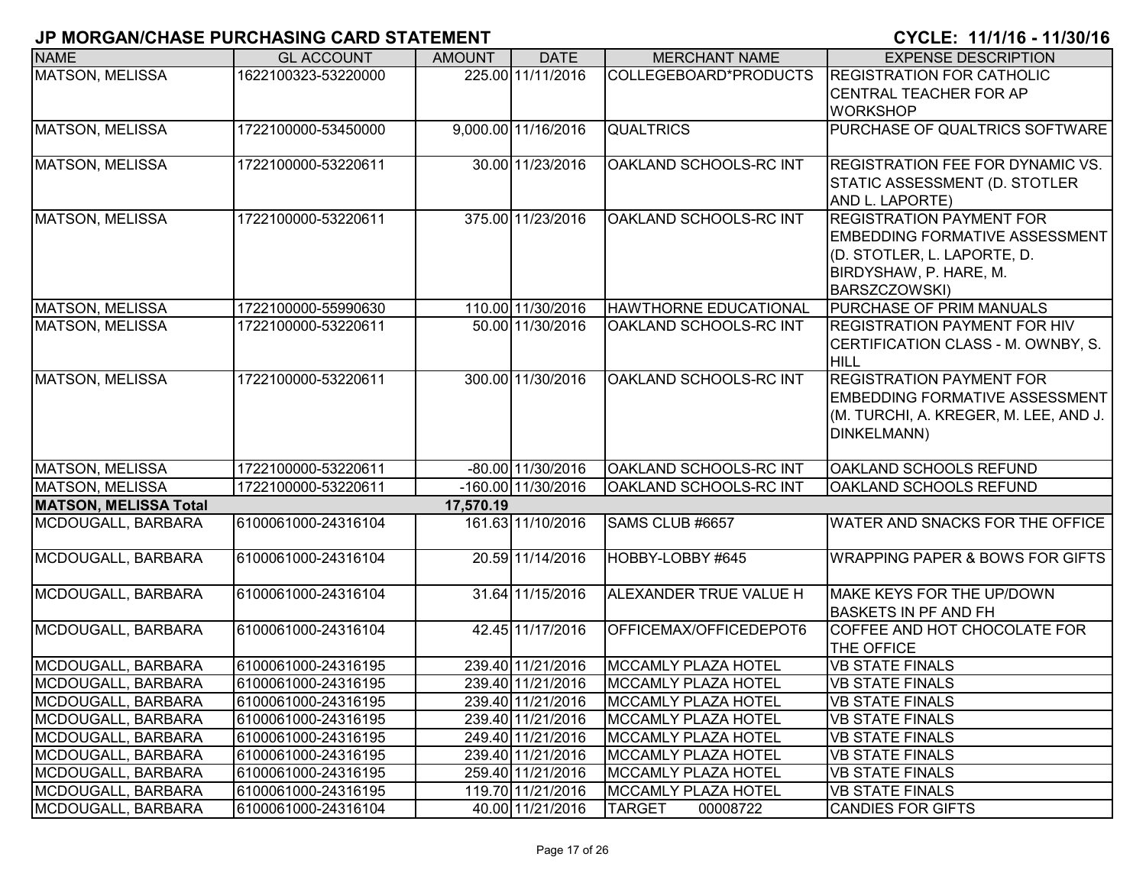| <b>NAME</b>                  | <b>GL ACCOUNT</b>   | <b>AMOUNT</b> | <b>DATE</b>          | <b>MERCHANT NAME</b>         | <b>EXPENSE DESCRIPTION</b>                 |
|------------------------------|---------------------|---------------|----------------------|------------------------------|--------------------------------------------|
| <b>MATSON, MELISSA</b>       | 1622100323-53220000 |               | 225.00 11/11/2016    | COLLEGEBOARD*PRODUCTS        | <b>REGISTRATION FOR CATHOLIC</b>           |
|                              |                     |               |                      |                              | <b>CENTRAL TEACHER FOR AP</b>              |
|                              |                     |               |                      |                              | <b>WORKSHOP</b>                            |
| <b>MATSON, MELISSA</b>       | 1722100000-53450000 |               | 9,000.00 11/16/2016  | <b>QUALTRICS</b>             | PURCHASE OF QUALTRICS SOFTWARE             |
| MATSON, MELISSA              | 1722100000-53220611 |               | 30.00 11/23/2016     | OAKLAND SCHOOLS-RC INT       | REGISTRATION FEE FOR DYNAMIC VS.           |
|                              |                     |               |                      |                              | STATIC ASSESSMENT (D. STOTLER              |
|                              |                     |               |                      |                              | AND L. LAPORTE)                            |
| MATSON, MELISSA              | 1722100000-53220611 |               | 375.00 11/23/2016    | OAKLAND SCHOOLS-RC INT       | <b>REGISTRATION PAYMENT FOR</b>            |
|                              |                     |               |                      |                              | <b>EMBEDDING FORMATIVE ASSESSMENT</b>      |
|                              |                     |               |                      |                              | (D. STOTLER, L. LAPORTE, D.                |
|                              |                     |               |                      |                              | BIRDYSHAW, P. HARE, M.                     |
|                              |                     |               |                      |                              | BARSZCZOWSKI)                              |
| MATSON, MELISSA              | 1722100000-55990630 |               | 110.00 11/30/2016    | <b>HAWTHORNE EDUCATIONAL</b> | PURCHASE OF PRIM MANUALS                   |
| MATSON, MELISSA              | 1722100000-53220611 |               | 50.00 11/30/2016     | OAKLAND SCHOOLS-RC INT       | <b>REGISTRATION PAYMENT FOR HIV</b>        |
|                              |                     |               |                      |                              | CERTIFICATION CLASS - M. OWNBY, S.         |
|                              |                     |               |                      |                              | <b>HILL</b>                                |
| <b>MATSON, MELISSA</b>       | 1722100000-53220611 |               | 300.00 11/30/2016    | OAKLAND SCHOOLS-RC INT       | <b>REGISTRATION PAYMENT FOR</b>            |
|                              |                     |               |                      |                              | <b>EMBEDDING FORMATIVE ASSESSMENT</b>      |
|                              |                     |               |                      |                              | (M. TURCHI, A. KREGER, M. LEE, AND J.      |
|                              |                     |               |                      |                              | DINKELMANN)                                |
|                              |                     |               |                      |                              |                                            |
| MATSON, MELISSA              | 1722100000-53220611 |               | $-80.00$ 11/30/2016  | OAKLAND SCHOOLS-RC INT       | OAKLAND SCHOOLS REFUND                     |
| <b>MATSON, MELISSA</b>       | 1722100000-53220611 |               | $-160.00$ 11/30/2016 | OAKLAND SCHOOLS-RC INT       | OAKLAND SCHOOLS REFUND                     |
| <b>MATSON, MELISSA Total</b> |                     | 17,570.19     |                      |                              |                                            |
| MCDOUGALL, BARBARA           | 6100061000-24316104 |               | 161.63 11/10/2016    | SAMS CLUB #6657              | WATER AND SNACKS FOR THE OFFICE            |
| MCDOUGALL, BARBARA           | 6100061000-24316104 |               | 20.59 11/14/2016     | HOBBY-LOBBY #645             | <b>WRAPPING PAPER &amp; BOWS FOR GIFTS</b> |
|                              |                     |               |                      |                              |                                            |
| MCDOUGALL, BARBARA           | 6100061000-24316104 |               | 31.64 11/15/2016     | ALEXANDER TRUE VALUE H       | MAKE KEYS FOR THE UP/DOWN                  |
|                              |                     |               |                      |                              | <b>BASKETS IN PF AND FH</b>                |
| MCDOUGALL, BARBARA           | 6100061000-24316104 |               | 42.45 11/17/2016     | OFFICEMAX/OFFICEDEPOT6       | COFFEE AND HOT CHOCOLATE FOR               |
|                              |                     |               |                      |                              | THE OFFICE                                 |
| MCDOUGALL, BARBARA           | 6100061000-24316195 |               | 239.40 11/21/2016    | IMCCAMLY PLAZA HOTEL         | <b>VB STATE FINALS</b>                     |
| MCDOUGALL, BARBARA           | 6100061000-24316195 |               | 239.40 11/21/2016    | MCCAMLY PLAZA HOTEL          | <b>VB STATE FINALS</b>                     |
| MCDOUGALL, BARBARA           | 6100061000-24316195 |               | 239.40 11/21/2016    | MCCAMLY PLAZA HOTEL          | <b>VB STATE FINALS</b>                     |
| MCDOUGALL, BARBARA           | 6100061000-24316195 |               | 239.40 11/21/2016    | <b>MCCAMLY PLAZA HOTEL</b>   | <b>VB STATE FINALS</b>                     |
| MCDOUGALL, BARBARA           | 6100061000-24316195 |               | 249.40 11/21/2016    | MCCAMLY PLAZA HOTEL          | <b>VB STATE FINALS</b>                     |
| MCDOUGALL, BARBARA           | 6100061000-24316195 |               | 239.40 11/21/2016    | MCCAMLY PLAZA HOTEL          | <b>VB STATE FINALS</b>                     |
| MCDOUGALL, BARBARA           | 6100061000-24316195 |               | 259.40 11/21/2016    | MCCAMLY PLAZA HOTEL          | <b>VB STATE FINALS</b>                     |
| MCDOUGALL, BARBARA           | 6100061000-24316195 |               | 119.70 11/21/2016    | MCCAMLY PLAZA HOTEL          | <b>VB STATE FINALS</b>                     |
| MCDOUGALL, BARBARA           | 6100061000-24316104 |               | 40.00 11/21/2016     | <b>TARGET</b><br>00008722    | <b>CANDIES FOR GIFTS</b>                   |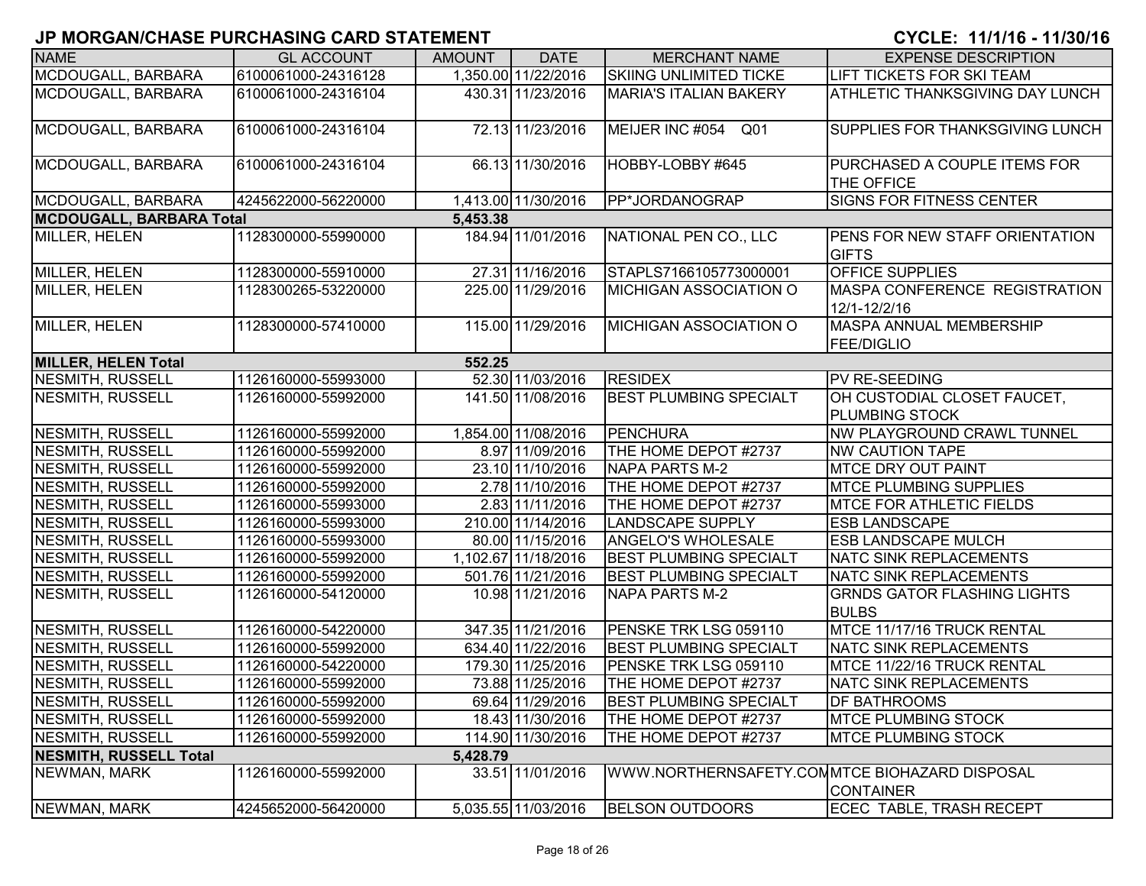| <b>NAME</b>                     | <b>GL ACCOUNT</b>   | <b>AMOUNT</b> | <b>DATE</b>         | <b>MERCHANT NAME</b>                          | <b>EXPENSE DESCRIPTION</b>                            |
|---------------------------------|---------------------|---------------|---------------------|-----------------------------------------------|-------------------------------------------------------|
| MCDOUGALL, BARBARA              | 6100061000-24316128 |               | 1,350.00 11/22/2016 | <b>SKIING UNLIMITED TICKE</b>                 | LIFT TICKETS FOR SKI TEAM                             |
| MCDOUGALL, BARBARA              | 6100061000-24316104 |               | 430.31 11/23/2016   | <b>MARIA'S ITALIAN BAKERY</b>                 | <b>ATHLETIC THANKSGIVING DAY LUNCH</b>                |
| MCDOUGALL, BARBARA              | 6100061000-24316104 |               | 72.13 11/23/2016    | MEIJER INC #054<br>Q01                        | SUPPLIES FOR THANKSGIVING LUNCH                       |
| MCDOUGALL, BARBARA              | 6100061000-24316104 |               | 66.13 11/30/2016    | HOBBY-LOBBY #645                              | PURCHASED A COUPLE ITEMS FOR<br><b>THE OFFICE</b>     |
| MCDOUGALL, BARBARA              | 4245622000-56220000 |               | 1,413.00 11/30/2016 | PP*JORDANOGRAP                                | <b>SIGNS FOR FITNESS CENTER</b>                       |
| <b>MCDOUGALL, BARBARA Total</b> |                     | 5,453.38      |                     |                                               |                                                       |
| <b>MILLER, HELEN</b>            | 1128300000-55990000 |               | 184.94 11/01/2016   | NATIONAL PEN CO., LLC                         | <b>PENS FOR NEW STAFF ORIENTATION</b><br><b>GIFTS</b> |
| MILLER, HELEN                   | 1128300000-55910000 |               | 27.31 11/16/2016    | STAPLS7166105773000001                        | <b>OFFICE SUPPLIES</b>                                |
| <b>MILLER, HELEN</b>            | 1128300265-53220000 |               | 225.00 11/29/2016   | <b>MICHIGAN ASSOCIATION O</b>                 | MASPA CONFERENCE REGISTRATION<br>12/1-12/2/16         |
| MILLER, HELEN                   | 1128300000-57410000 |               | 115.00 11/29/2016   | <b>MICHIGAN ASSOCIATION O</b>                 | <b>MASPA ANNUAL MEMBERSHIP</b><br><b>FEE/DIGLIO</b>   |
| <b>MILLER, HELEN Total</b>      |                     | 552.25        |                     |                                               |                                                       |
| <b>NESMITH, RUSSELL</b>         | 1126160000-55993000 |               | 52.30 11/03/2016    | <b>RESIDEX</b>                                | PV RE-SEEDING                                         |
| NESMITH, RUSSELL                | 1126160000-55992000 |               | 141.50 11/08/2016   | <b>BEST PLUMBING SPECIALT</b>                 | OH CUSTODIAL CLOSET FAUCET,<br><b>PLUMBING STOCK</b>  |
| NESMITH, RUSSELL                | 1126160000-55992000 |               | 1,854.00 11/08/2016 | <b>PENCHURA</b>                               | <b>NW PLAYGROUND CRAWL TUNNEL</b>                     |
| <b>NESMITH, RUSSELL</b>         | 1126160000-55992000 |               | 8.97 11/09/2016     | THE HOME DEPOT #2737                          | <b>NW CAUTION TAPE</b>                                |
| NESMITH, RUSSELL                | 1126160000-55992000 |               | 23.10 11/10/2016    | NAPA PARTS M-2                                | <b>MTCE DRY OUT PAINT</b>                             |
| NESMITH, RUSSELL                | 1126160000-55992000 |               | 2.78 11/10/2016     | THE HOME DEPOT #2737                          | <b>MTCE PLUMBING SUPPLIES</b>                         |
| NESMITH, RUSSELL                | 1126160000-55993000 |               | 2.83 11/11/2016     | THE HOME DEPOT #2737                          | <b>MTCE FOR ATHLETIC FIELDS</b>                       |
| <b>NESMITH, RUSSELL</b>         | 1126160000-55993000 |               | 210.00 11/14/2016   | <b>LANDSCAPE SUPPLY</b>                       | <b>ESB LANDSCAPE</b>                                  |
| <b>NESMITH, RUSSELL</b>         | 1126160000-55993000 |               | 80.00 11/15/2016    | ANGELO'S WHOLESALE                            | <b>ESB LANDSCAPE MULCH</b>                            |
| <b>NESMITH, RUSSELL</b>         | 1126160000-55992000 |               | 1,102.67 11/18/2016 | <b>BEST PLUMBING SPECIALT</b>                 | <b>NATC SINK REPLACEMENTS</b>                         |
| <b>NESMITH, RUSSELL</b>         | 1126160000-55992000 |               | 501.76 11/21/2016   | <b>BEST PLUMBING SPECIALT</b>                 | NATC SINK REPLACEMENTS                                |
| <b>NESMITH, RUSSELL</b>         | 1126160000-54120000 |               | 10.98 11/21/2016    | <b>NAPA PARTS M-2</b>                         | <b>GRNDS GATOR FLASHING LIGHTS</b><br><b>BULBS</b>    |
| NESMITH, RUSSELL                | 1126160000-54220000 |               | 347.35 11/21/2016   | PENSKE TRK LSG 059110                         | MTCE 11/17/16 TRUCK RENTAL                            |
| NESMITH, RUSSELL                | 1126160000-55992000 |               | 634.40 11/22/2016   | <b>BEST PLUMBING SPECIALT</b>                 | <b>NATC SINK REPLACEMENTS</b>                         |
| NESMITH, RUSSELL                | 1126160000-54220000 |               | 179.30 11/25/2016   | PENSKE TRK LSG 059110                         | MTCE 11/22/16 TRUCK RENTAL                            |
| NESMITH, RUSSELL                | 1126160000-55992000 |               | 73.88 11/25/2016    | THE HOME DEPOT #2737                          | <b>NATC SINK REPLACEMENTS</b>                         |
| NESMITH, RUSSELL                | 1126160000-55992000 |               | 69.64 11/29/2016    | <b>BEST PLUMBING SPECIALT</b>                 | <b>DF BATHROOMS</b>                                   |
| NESMITH, RUSSELL                | 1126160000-55992000 |               | 18.43 11/30/2016    | THE HOME DEPOT #2737                          | <b>MTCE PLUMBING STOCK</b>                            |
| NESMITH, RUSSELL                | 1126160000-55992000 |               | 114.90 11/30/2016   | THE HOME DEPOT #2737                          | <b>MTCE PLUMBING STOCK</b>                            |
| <b>NESMITH, RUSSELL Total</b>   |                     | 5,428.79      |                     |                                               |                                                       |
| NEWMAN, MARK                    | 1126160000-55992000 |               | 33.51 11/01/2016    | WWW.NORTHERNSAFETY.COMMTCE BIOHAZARD DISPOSAL | <b>CONTAINER</b>                                      |
| NEWMAN, MARK                    | 4245652000-56420000 |               | 5,035.55 11/03/2016 | <b>BELSON OUTDOORS</b>                        | <b>ECEC TABLE, TRASH RECEPT</b>                       |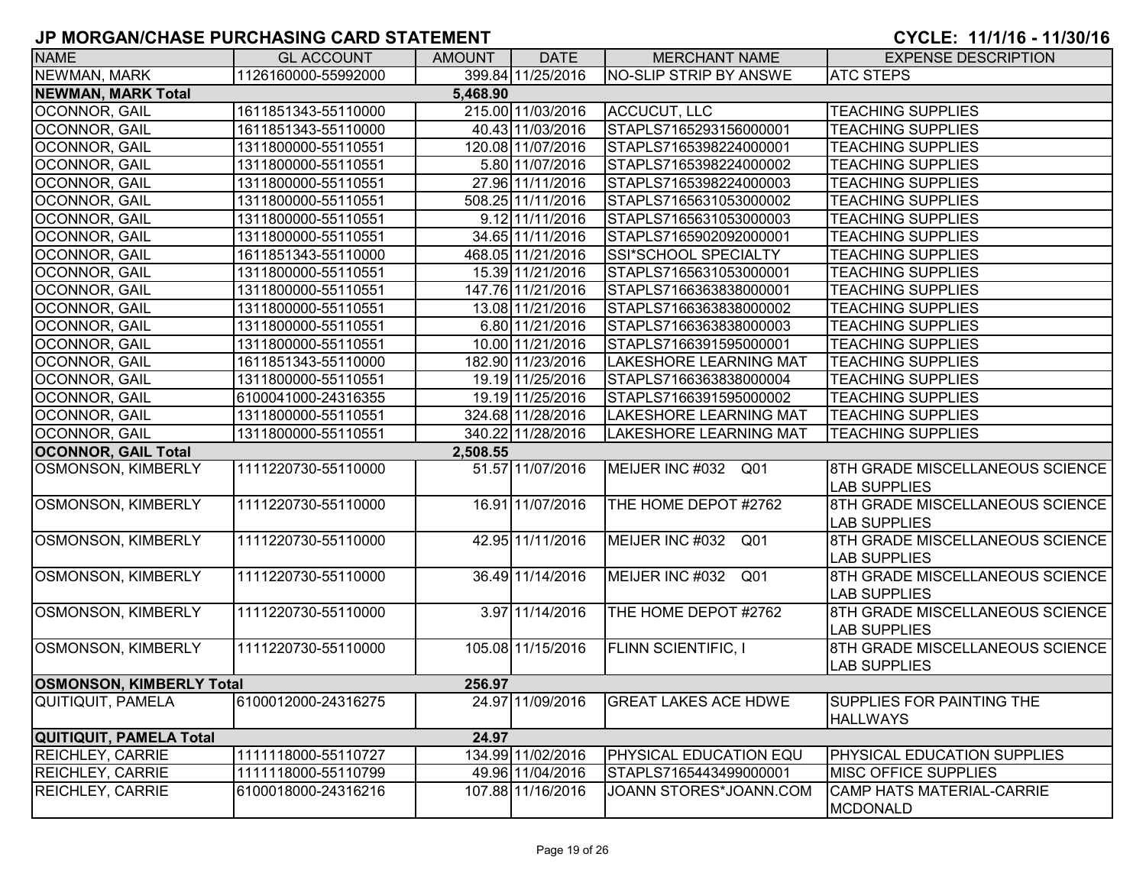| <b>NAME</b>                     | <b>GL ACCOUNT</b>   | <b>AMOUNT</b> | <b>DATE</b>       | <b>MERCHANT NAME</b>          | <b>EXPENSE DESCRIPTION</b>       |  |  |  |  |
|---------------------------------|---------------------|---------------|-------------------|-------------------------------|----------------------------------|--|--|--|--|
| <b>NEWMAN, MARK</b>             | 1126160000-55992000 |               | 399.84 11/25/2016 | <b>NO-SLIP STRIP BY ANSWE</b> | <b>ATC STEPS</b>                 |  |  |  |  |
| <b>NEWMAN, MARK Total</b>       | 5,468.90            |               |                   |                               |                                  |  |  |  |  |
| OCONNOR, GAIL                   | 1611851343-55110000 |               | 215.00 11/03/2016 | ACCUCUT, LLC                  | <b>TEACHING SUPPLIES</b>         |  |  |  |  |
| OCONNOR, GAIL                   | 1611851343-55110000 |               | 40.43 11/03/2016  | STAPLS7165293156000001        | <b>TEACHING SUPPLIES</b>         |  |  |  |  |
| OCONNOR, GAIL                   | 1311800000-55110551 |               | 120.08 11/07/2016 | STAPLS7165398224000001        | <b>TEACHING SUPPLIES</b>         |  |  |  |  |
| OCONNOR, GAIL                   | 1311800000-55110551 |               | 5.80 11/07/2016   | STAPLS7165398224000002        | <b>TEACHING SUPPLIES</b>         |  |  |  |  |
| OCONNOR, GAIL                   | 1311800000-55110551 |               | 27.96 11/11/2016  | STAPLS7165398224000003        | <b>TEACHING SUPPLIES</b>         |  |  |  |  |
| OCONNOR, GAIL                   | 1311800000-55110551 |               | 508.25 11/11/2016 | STAPLS7165631053000002        | <b>TEACHING SUPPLIES</b>         |  |  |  |  |
| <b>OCONNOR, GAIL</b>            | 1311800000-55110551 |               | 9.12 11/11/2016   | STAPLS7165631053000003        | <b>TEACHING SUPPLIES</b>         |  |  |  |  |
| <b>OCONNOR, GAIL</b>            | 1311800000-55110551 |               | 34.65 11/11/2016  | STAPLS7165902092000001        | <b>TEACHING SUPPLIES</b>         |  |  |  |  |
| <b>OCONNOR, GAIL</b>            | 1611851343-55110000 |               | 468.05 11/21/2016 | SSI*SCHOOL SPECIALTY          | <b>TEACHING SUPPLIES</b>         |  |  |  |  |
| <b>OCONNOR, GAIL</b>            | 1311800000-55110551 |               | 15.39 11/21/2016  | STAPLS7165631053000001        | <b>TEACHING SUPPLIES</b>         |  |  |  |  |
| <b>OCONNOR, GAIL</b>            | 1311800000-55110551 |               | 147.76 11/21/2016 | STAPLS7166363838000001        | <b>TEACHING SUPPLIES</b>         |  |  |  |  |
| <b>OCONNOR, GAIL</b>            | 1311800000-55110551 |               | 13.08 11/21/2016  | STAPLS7166363838000002        | <b>TEACHING SUPPLIES</b>         |  |  |  |  |
| <b>OCONNOR, GAIL</b>            | 1311800000-55110551 |               | 6.80 11/21/2016   | STAPLS7166363838000003        | <b>TEACHING SUPPLIES</b>         |  |  |  |  |
| <b>OCONNOR, GAIL</b>            | 1311800000-55110551 |               | 10.00 11/21/2016  | STAPLS7166391595000001        | <b>TEACHING SUPPLIES</b>         |  |  |  |  |
| <b>OCONNOR, GAIL</b>            | 1611851343-55110000 |               | 182.90 11/23/2016 | <b>LAKESHORE LEARNING MAT</b> | <b>TEACHING SUPPLIES</b>         |  |  |  |  |
| OCONNOR, GAIL                   | 1311800000-55110551 |               | 19.19 11/25/2016  | STAPLS7166363838000004        | <b>TEACHING SUPPLIES</b>         |  |  |  |  |
| OCONNOR, GAIL                   | 6100041000-24316355 |               | 19.19 11/25/2016  | STAPLS7166391595000002        | <b>TEACHING SUPPLIES</b>         |  |  |  |  |
| OCONNOR, GAIL                   | 1311800000-55110551 |               | 324.68 11/28/2016 | <b>LAKESHORE LEARNING MAT</b> | <b>TEACHING SUPPLIES</b>         |  |  |  |  |
| OCONNOR, GAIL                   | 1311800000-55110551 |               | 340.22 11/28/2016 | <b>LAKESHORE LEARNING MAT</b> | <b>TEACHING SUPPLIES</b>         |  |  |  |  |
| <b>OCONNOR, GAIL Total</b>      |                     | 2,508.55      |                   |                               |                                  |  |  |  |  |
| <b>OSMONSON, KIMBERLY</b>       | 1111220730-55110000 |               | 51.57 11/07/2016  | MEIJER INC #032 Q01           | 8TH GRADE MISCELLANEOUS SCIENCE  |  |  |  |  |
|                                 |                     |               |                   |                               | <b>LAB SUPPLIES</b>              |  |  |  |  |
| OSMONSON, KIMBERLY              | 1111220730-55110000 |               | 16.91 11/07/2016  | THE HOME DEPOT #2762          | 8TH GRADE MISCELLANEOUS SCIENCE  |  |  |  |  |
|                                 |                     |               |                   |                               | <b>LAB SUPPLIES</b>              |  |  |  |  |
| OSMONSON, KIMBERLY              | 1111220730-55110000 |               | 42.95 11/11/2016  | MEIJER INC #032 Q01           | 8TH GRADE MISCELLANEOUS SCIENCE  |  |  |  |  |
|                                 |                     |               |                   |                               | <b>LAB SUPPLIES</b>              |  |  |  |  |
| OSMONSON, KIMBERLY              | 1111220730-55110000 |               | 36.49 11/14/2016  | MEIJER INC #032 Q01           | 8TH GRADE MISCELLANEOUS SCIENCE  |  |  |  |  |
|                                 |                     |               |                   |                               | <b>LAB SUPPLIES</b>              |  |  |  |  |
| OSMONSON, KIMBERLY              | 1111220730-55110000 |               | 3.97 11/14/2016   | THE HOME DEPOT #2762          | 8TH GRADE MISCELLANEOUS SCIENCE  |  |  |  |  |
|                                 |                     |               |                   |                               | <b>LAB SUPPLIES</b>              |  |  |  |  |
| OSMONSON, KIMBERLY              | 1111220730-55110000 |               | 105.08 11/15/2016 | <b>FLINN SCIENTIFIC, I</b>    | 8TH GRADE MISCELLANEOUS SCIENCE  |  |  |  |  |
|                                 |                     |               |                   |                               | <b>LAB SUPPLIES</b>              |  |  |  |  |
| <b>OSMONSON, KIMBERLY Total</b> |                     | 256.97        |                   |                               |                                  |  |  |  |  |
| QUITIQUIT, PAMELA               | 6100012000-24316275 |               | 24.97 11/09/2016  | <b>GREAT LAKES ACE HDWE</b>   | <b>SUPPLIES FOR PAINTING THE</b> |  |  |  |  |
|                                 |                     |               |                   |                               | <b>HALLWAYS</b>                  |  |  |  |  |
| QUITIQUIT, PAMELA Total         |                     | 24.97         |                   |                               |                                  |  |  |  |  |
| <b>REICHLEY, CARRIE</b>         | 1111118000-55110727 |               | 134.99 11/02/2016 | PHYSICAL EDUCATION EQU        | PHYSICAL EDUCATION SUPPLIES      |  |  |  |  |
| <b>REICHLEY, CARRIE</b>         | 1111118000-55110799 |               | 49.96 11/04/2016  | STAPLS7165443499000001        | <b>MISC OFFICE SUPPLIES</b>      |  |  |  |  |
| REICHLEY, CARRIE                | 6100018000-24316216 |               | 107.88 11/16/2016 | JOANN STORES*JOANN.COM        | CAMP HATS MATERIAL-CARRIE        |  |  |  |  |
|                                 |                     |               |                   |                               | <b>MCDONALD</b>                  |  |  |  |  |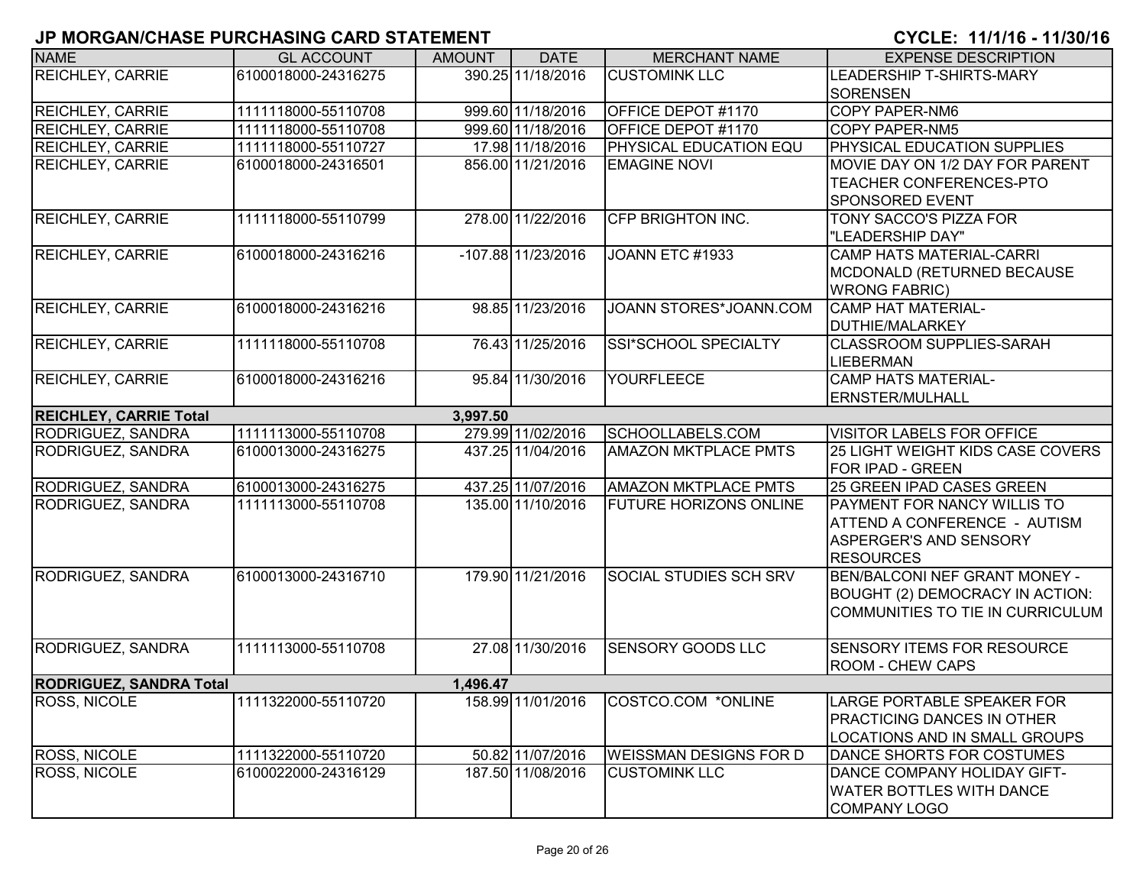| <b>NAME</b>                    | <b>GL ACCOUNT</b>   | <b>AMOUNT</b> | <b>DATE</b>        | <b>MERCHANT NAME</b>          | <b>EXPENSE DESCRIPTION</b>         |
|--------------------------------|---------------------|---------------|--------------------|-------------------------------|------------------------------------|
| <b>REICHLEY, CARRIE</b>        | 6100018000-24316275 |               | 390.25 11/18/2016  | <b>CUSTOMINK LLC</b>          | LEADERSHIP T-SHIRTS-MARY           |
|                                |                     |               |                    |                               | <b>SORENSEN</b>                    |
| <b>REICHLEY, CARRIE</b>        | 1111118000-55110708 |               | 999.60 11/18/2016  | <b>OFFICE DEPOT #1170</b>     | COPY PAPER-NM6                     |
| <b>REICHLEY, CARRIE</b>        | 1111118000-55110708 |               | 999.60 11/18/2016  | OFFICE DEPOT #1170            | <b>COPY PAPER-NM5</b>              |
| <b>REICHLEY, CARRIE</b>        | 1111118000-55110727 |               | 17.98 11/18/2016   | <b>PHYSICAL EDUCATION EQU</b> | PHYSICAL EDUCATION SUPPLIES        |
| <b>REICHLEY, CARRIE</b>        | 6100018000-24316501 |               | 856.00 11/21/2016  | <b>EMAGINE NOVI</b>           | MOVIE DAY ON 1/2 DAY FOR PARENT    |
|                                |                     |               |                    |                               | TEACHER CONFERENCES-PTO            |
|                                |                     |               |                    |                               | <b>SPONSORED EVENT</b>             |
| <b>REICHLEY, CARRIE</b>        | 1111118000-55110799 |               | 278.00 11/22/2016  | <b>CFP BRIGHTON INC.</b>      | TONY SACCO'S PIZZA FOR             |
|                                |                     |               |                    |                               | "LEADERSHIP DAY"                   |
| <b>REICHLEY, CARRIE</b>        | 6100018000-24316216 |               | -107.88 11/23/2016 | JOANN ETC #1933               | <b>CAMP HATS MATERIAL-CARRI</b>    |
|                                |                     |               |                    |                               | MCDONALD (RETURNED BECAUSE         |
|                                |                     |               |                    |                               | <b>WRONG FABRIC)</b>               |
| <b>REICHLEY, CARRIE</b>        | 6100018000-24316216 |               | 98.85 11/23/2016   | JOANN STORES*JOANN.COM        | <b>CAMP HAT MATERIAL-</b>          |
|                                |                     |               |                    |                               | DUTHIE/MALARKEY                    |
| <b>REICHLEY, CARRIE</b>        | 1111118000-55110708 |               | 76.43 11/25/2016   | SSI*SCHOOL SPECIALTY          | <b>CLASSROOM SUPPLIES-SARAH</b>    |
|                                |                     |               |                    |                               | <b>LIEBERMAN</b>                   |
| <b>REICHLEY, CARRIE</b>        | 6100018000-24316216 |               | 95.84 11/30/2016   | <b>YOURFLEECE</b>             | <b>CAMP HATS MATERIAL-</b>         |
|                                |                     |               |                    |                               | <b>ERNSTER/MULHALL</b>             |
| <b>REICHLEY, CARRIE Total</b>  |                     | 3,997.50      |                    |                               |                                    |
| <b>RODRIGUEZ, SANDRA</b>       | 1111113000-55110708 |               | 279.99 11/02/2016  | SCHOOLLABELS.COM              | <b>VISITOR LABELS FOR OFFICE</b>   |
| RODRIGUEZ, SANDRA              | 6100013000-24316275 |               | 437.25 11/04/2016  | <b>AMAZON MKTPLACE PMTS</b>   | 25 LIGHT WEIGHT KIDS CASE COVERS   |
|                                |                     |               |                    |                               | FOR IPAD - GREEN                   |
| RODRIGUEZ, SANDRA              | 6100013000-24316275 |               | 437.25 11/07/2016  | <b>AMAZON MKTPLACE PMTS</b>   | 25 GREEN IPAD CASES GREEN          |
| RODRIGUEZ, SANDRA              | 1111113000-55110708 |               | 135.00 11/10/2016  | <b>FUTURE HORIZONS ONLINE</b> | <b>PAYMENT FOR NANCY WILLIS TO</b> |
|                                |                     |               |                    |                               | ATTEND A CONFERENCE - AUTISM       |
|                                |                     |               |                    |                               | ASPERGER'S AND SENSORY             |
|                                |                     |               |                    |                               | <b>RESOURCES</b>                   |
| <b>RODRIGUEZ, SANDRA</b>       | 6100013000-24316710 |               | 179.90 11/21/2016  | <b>SOCIAL STUDIES SCH SRV</b> | BEN/BALCONI NEF GRANT MONEY -      |
|                                |                     |               |                    |                               | BOUGHT (2) DEMOCRACY IN ACTION:    |
|                                |                     |               |                    |                               | COMMUNITIES TO TIE IN CURRICULUM   |
| RODRIGUEZ, SANDRA              | 1111113000-55110708 |               | 27.08 11/30/2016   | <b>SENSORY GOODS LLC</b>      | SENSORY ITEMS FOR RESOURCE         |
|                                |                     |               |                    |                               | <b>ROOM - CHEW CAPS</b>            |
| <b>RODRIGUEZ, SANDRA Total</b> |                     | 1,496.47      |                    |                               |                                    |
| <b>ROSS, NICOLE</b>            | 1111322000-55110720 |               | 158.99 11/01/2016  | COSTCO.COM *ONLINE            | LARGE PORTABLE SPEAKER FOR         |
|                                |                     |               |                    |                               | <b>PRACTICING DANCES IN OTHER</b>  |
|                                |                     |               |                    |                               | LOCATIONS AND IN SMALL GROUPS      |
| <b>ROSS, NICOLE</b>            | 1111322000-55110720 |               | 50.82 11/07/2016   | <b>WEISSMAN DESIGNS FOR D</b> | DANCE SHORTS FOR COSTUMES          |
| <b>ROSS, NICOLE</b>            | 6100022000-24316129 |               | 187.50 11/08/2016  | <b>CUSTOMINK LLC</b>          | DANCE COMPANY HOLIDAY GIFT-        |
|                                |                     |               |                    |                               | <b>WATER BOTTLES WITH DANCE</b>    |
|                                |                     |               |                    |                               | <b>COMPANY LOGO</b>                |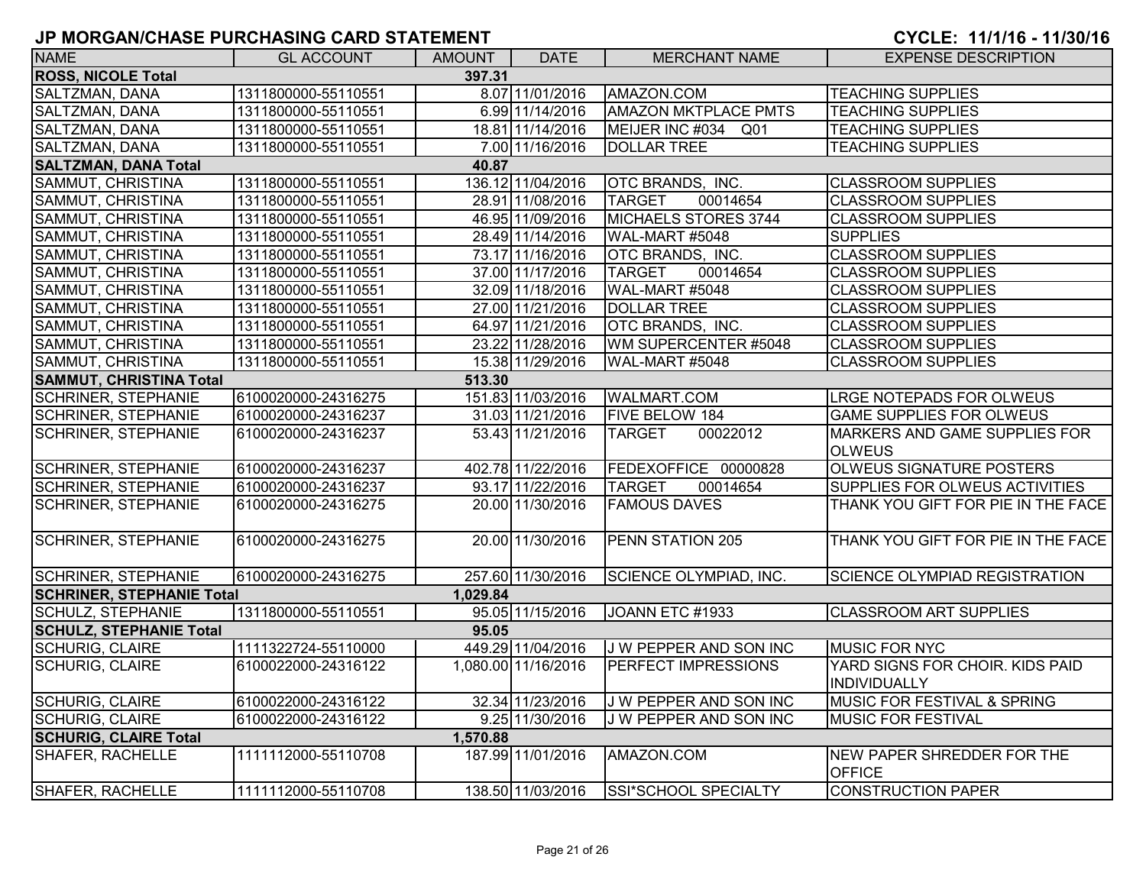| <b>NAME</b>                         | <b>GL ACCOUNT</b>   | AMOUNT   | <b>DATE</b>         | <b>MERCHANT NAME</b>          | <b>EXPENSE DESCRIPTION</b>                      |  |  |  |
|-------------------------------------|---------------------|----------|---------------------|-------------------------------|-------------------------------------------------|--|--|--|
| <b>ROSS, NICOLE Total</b><br>397.31 |                     |          |                     |                               |                                                 |  |  |  |
| SALTZMAN, DANA                      | 1311800000-55110551 |          | 8.07 11/01/2016     | AMAZON.COM                    | <b>TEACHING SUPPLIES</b>                        |  |  |  |
| SALTZMAN, DANA                      | 1311800000-55110551 |          | 6.99 11/14/2016     | <b>AMAZON MKTPLACE PMTS</b>   | <b>TEACHING SUPPLIES</b>                        |  |  |  |
| SALTZMAN, DANA                      | 1311800000-55110551 |          | 18.81 11/14/2016    | MEIJER INC #034 Q01           | <b>TEACHING SUPPLIES</b>                        |  |  |  |
| SALTZMAN, DANA                      | 1311800000-55110551 |          | 7.00 11/16/2016     | <b>DOLLAR TREE</b>            | <b>TEACHING SUPPLIES</b>                        |  |  |  |
| <b>SALTZMAN, DANA Total</b>         |                     | 40.87    |                     |                               |                                                 |  |  |  |
| SAMMUT, CHRISTINA                   | 1311800000-55110551 |          | 136.12 11/04/2016   | OTC BRANDS, INC.              | <b>CLASSROOM SUPPLIES</b>                       |  |  |  |
| SAMMUT, CHRISTINA                   | 1311800000-55110551 |          | 28.91 11/08/2016    | 00014654<br><b>TARGET</b>     | <b>CLASSROOM SUPPLIES</b>                       |  |  |  |
| SAMMUT, CHRISTINA                   | 1311800000-55110551 |          | 46.95 11/09/2016    | MICHAELS STORES 3744          | <b>CLASSROOM SUPPLIES</b>                       |  |  |  |
| SAMMUT, CHRISTINA                   | 1311800000-55110551 |          | 28.49 11/14/2016    | WAL-MART #5048                | <b>SUPPLIES</b>                                 |  |  |  |
| SAMMUT, CHRISTINA                   | 1311800000-55110551 |          | 73.17 11/16/2016    | OTC BRANDS, INC.              | <b>CLASSROOM SUPPLIES</b>                       |  |  |  |
| SAMMUT, CHRISTINA                   | 1311800000-55110551 |          | 37.00 11/17/2016    | <b>TARGET</b><br>00014654     | <b>CLASSROOM SUPPLIES</b>                       |  |  |  |
| SAMMUT, CHRISTINA                   | 1311800000-55110551 |          | 32.09 11/18/2016    | WAL-MART #5048                | <b>CLASSROOM SUPPLIES</b>                       |  |  |  |
| SAMMUT, CHRISTINA                   | 1311800000-55110551 |          | 27.00 11/21/2016    | <b>DOLLAR TREE</b>            | <b>CLASSROOM SUPPLIES</b>                       |  |  |  |
| SAMMUT, CHRISTINA                   | 1311800000-55110551 |          | 64.97 11/21/2016    | OTC BRANDS, INC.              | <b>CLASSROOM SUPPLIES</b>                       |  |  |  |
| SAMMUT, CHRISTINA                   | 1311800000-55110551 |          | 23.22 11/28/2016    | WM SUPERCENTER #5048          | <b>CLASSROOM SUPPLIES</b>                       |  |  |  |
| SAMMUT, CHRISTINA                   | 1311800000-55110551 |          | 15.38 11/29/2016    | WAL-MART #5048                | <b>CLASSROOM SUPPLIES</b>                       |  |  |  |
| <b>SAMMUT, CHRISTINA Total</b>      |                     | 513.30   |                     |                               |                                                 |  |  |  |
| <b>SCHRINER, STEPHANIE</b>          | 6100020000-24316275 |          | 151.83 11/03/2016   | <b>WALMART.COM</b>            | <b>LRGE NOTEPADS FOR OLWEUS</b>                 |  |  |  |
| <b>SCHRINER, STEPHANIE</b>          | 6100020000-24316237 |          | 31.03 11/21/2016    | FIVE BELOW 184                | <b>GAME SUPPLIES FOR OLWEUS</b>                 |  |  |  |
| <b>SCHRINER, STEPHANIE</b>          | 6100020000-24316237 |          | 53.43 11/21/2016    | 00022012<br><b>TARGET</b>     | MARKERS AND GAME SUPPLIES FOR<br><b>OLWEUS</b>  |  |  |  |
| <b>SCHRINER, STEPHANIE</b>          | 6100020000-24316237 |          | 402.78 11/22/2016   | FEDEXOFFICE 00000828          | OLWEUS SIGNATURE POSTERS                        |  |  |  |
| <b>SCHRINER, STEPHANIE</b>          | 6100020000-24316237 |          | 93.17 11/22/2016    | <b>TARGET</b><br>00014654     | SUPPLIES FOR OLWEUS ACTIVITIES                  |  |  |  |
| <b>SCHRINER, STEPHANIE</b>          | 6100020000-24316275 |          | 20.00 11/30/2016    | <b>FAMOUS DAVES</b>           | THANK YOU GIFT FOR PIE IN THE FACE              |  |  |  |
| <b>SCHRINER, STEPHANIE</b>          | 6100020000-24316275 |          | 20.00 11/30/2016    | PENN STATION 205              | THANK YOU GIFT FOR PIE IN THE FACE              |  |  |  |
| <b>SCHRINER, STEPHANIE</b>          | 6100020000-24316275 |          | 257.60 11/30/2016   | <b>SCIENCE OLYMPIAD, INC.</b> | <b>SCIENCE OLYMPIAD REGISTRATION</b>            |  |  |  |
| <b>SCHRINER, STEPHANIE Total</b>    |                     | 1.029.84 |                     |                               |                                                 |  |  |  |
| <b>SCHULZ, STEPHANIE</b>            | 1311800000-55110551 |          | 95.05 11/15/2016    | JOANN ETC #1933               | <b>CLASSROOM ART SUPPLIES</b>                   |  |  |  |
| <b>SCHULZ, STEPHANIE Total</b>      |                     | 95.05    |                     |                               |                                                 |  |  |  |
| <b>SCHURIG, CLAIRE</b>              | 1111322724-55110000 |          | 449.29 11/04/2016   | J W PEPPER AND SON INC        | <b>MUSIC FOR NYC</b>                            |  |  |  |
| <b>SCHURIG, CLAIRE</b>              | 6100022000-24316122 |          | 1,080.00 11/16/2016 | PERFECT IMPRESSIONS           | YARD SIGNS FOR CHOIR. KIDS PAID<br>INDIVIDUALLY |  |  |  |
| <b>SCHURIG, CLAIRE</b>              | 6100022000-24316122 |          | 32.34 11/23/2016    | J W PEPPER AND SON INC        | MUSIC FOR FESTIVAL & SPRING                     |  |  |  |
| <b>SCHURIG, CLAIRE</b>              | 6100022000-24316122 |          | 9.25 11/30/2016     | J W PEPPER AND SON INC        | <b>MUSIC FOR FESTIVAL</b>                       |  |  |  |
| <b>SCHURIG, CLAIRE Total</b>        |                     | 1,570.88 |                     |                               |                                                 |  |  |  |
| SHAFER, RACHELLE                    | 1111112000-55110708 |          | 187.99 11/01/2016   | AMAZON.COM                    | NEW PAPER SHREDDER FOR THE<br><b>OFFICE</b>     |  |  |  |
| SHAFER, RACHELLE                    | 1111112000-55110708 |          | 138.50 11/03/2016   | SSI*SCHOOL SPECIALTY          | <b>CONSTRUCTION PAPER</b>                       |  |  |  |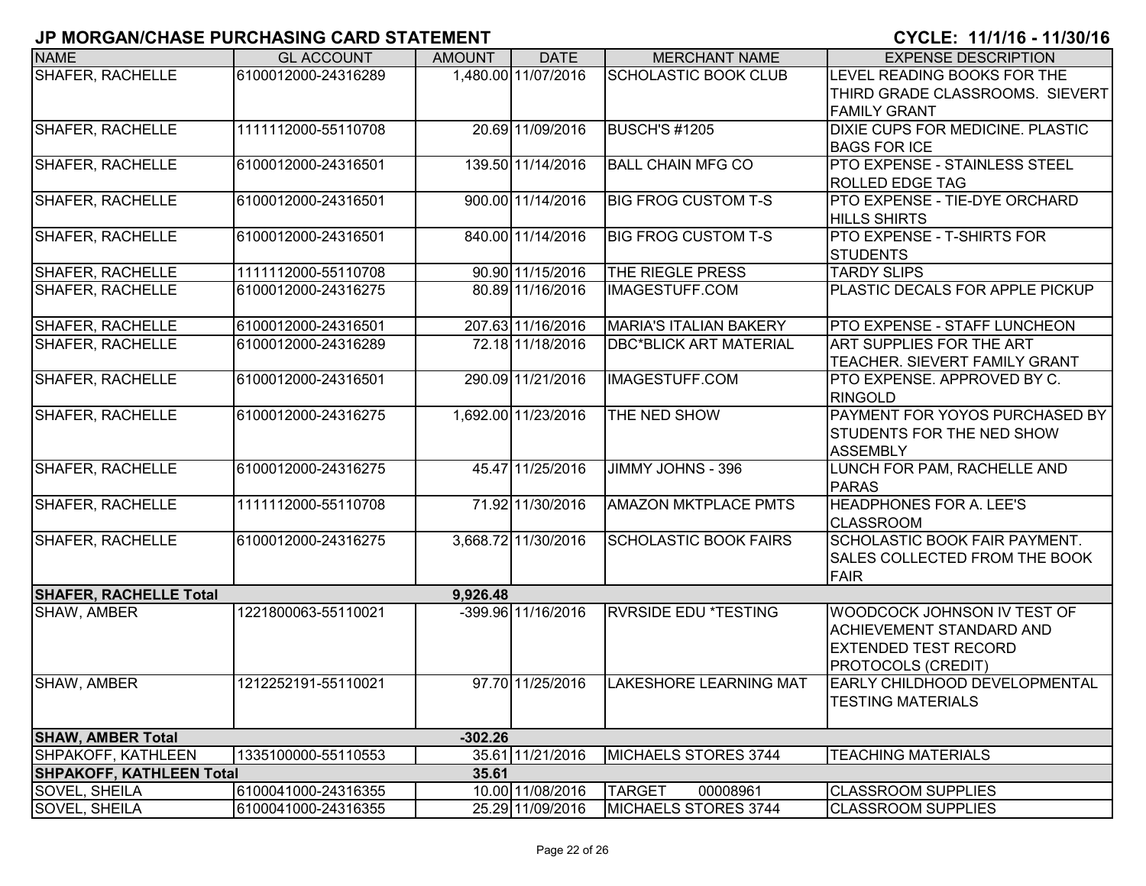| <b>NAME</b>                     | <b>GL ACCOUNT</b>   | <b>AMOUNT</b> | <b>DATE</b>         | <b>MERCHANT NAME</b>          | <b>EXPENSE DESCRIPTION</b>                                  |
|---------------------------------|---------------------|---------------|---------------------|-------------------------------|-------------------------------------------------------------|
|                                 | 6100012000-24316289 |               | 1,480.00 11/07/2016 |                               | LEVEL READING BOOKS FOR THE                                 |
| <b>SHAFER, RACHELLE</b>         |                     |               |                     | <b>SCHOLASTIC BOOK CLUB</b>   |                                                             |
|                                 |                     |               |                     |                               | THIRD GRADE CLASSROOMS. SIEVERT                             |
| <b>SHAFER, RACHELLE</b>         | 1111112000-55110708 |               | 20.69 11/09/2016    | BUSCH'S #1205                 | <b>FAMILY GRANT</b><br>DIXIE CUPS FOR MEDICINE. PLASTIC     |
|                                 |                     |               |                     |                               |                                                             |
|                                 |                     |               |                     | <b>BALL CHAIN MFG CO</b>      | <b>BAGS FOR ICE</b><br><b>PTO EXPENSE - STAINLESS STEEL</b> |
| <b>SHAFER, RACHELLE</b>         | 6100012000-24316501 |               | 139.50 11/14/2016   |                               |                                                             |
|                                 |                     |               |                     |                               | <b>ROLLED EDGE TAG</b>                                      |
| SHAFER, RACHELLE                | 6100012000-24316501 |               | 900.00 11/14/2016   | <b>BIG FROG CUSTOM T-S</b>    | PTO EXPENSE - TIE-DYE ORCHARD                               |
|                                 |                     |               |                     |                               | <b>HILLS SHIRTS</b>                                         |
| SHAFER, RACHELLE                | 6100012000-24316501 |               | 840.00 11/14/2016   | <b>BIG FROG CUSTOM T-S</b>    | <b>PTO EXPENSE - T-SHIRTS FOR</b>                           |
|                                 |                     |               |                     |                               | <b>STUDENTS</b>                                             |
| SHAFER, RACHELLE                | 1111112000-55110708 |               | 90.90 11/15/2016    | THE RIEGLE PRESS              | <b>TARDY SLIPS</b>                                          |
| <b>SHAFER, RACHELLE</b>         | 6100012000-24316275 |               | 80.89 11/16/2016    | IMAGESTUFF.COM                | PLASTIC DECALS FOR APPLE PICKUP                             |
| <b>SHAFER, RACHELLE</b>         | 6100012000-24316501 |               | 207.63 11/16/2016   | <b>MARIA'S ITALIAN BAKERY</b> | PTO EXPENSE - STAFF LUNCHEON                                |
| <b>SHAFER, RACHELLE</b>         | 6100012000-24316289 |               | 72.18 11/18/2016    | <b>DBC*BLICK ART MATERIAL</b> | <b>ART SUPPLIES FOR THE ART</b>                             |
|                                 |                     |               |                     |                               | TEACHER. SIEVERT FAMILY GRANT                               |
| <b>SHAFER, RACHELLE</b>         | 6100012000-24316501 |               | 290.09 11/21/2016   | <b>IMAGESTUFF.COM</b>         | PTO EXPENSE. APPROVED BY C.                                 |
|                                 |                     |               |                     |                               | <b>RINGOLD</b>                                              |
| SHAFER, RACHELLE                | 6100012000-24316275 |               | 1,692.00 11/23/2016 | THE NED SHOW                  | <b>PAYMENT FOR YOYOS PURCHASED BY</b>                       |
|                                 |                     |               |                     |                               | <b>STUDENTS FOR THE NED SHOW</b>                            |
|                                 |                     |               |                     |                               | <b>ASSEMBLY</b>                                             |
| <b>SHAFER, RACHELLE</b>         | 6100012000-24316275 |               | 45.47 11/25/2016    | JIMMY JOHNS - 396             | LUNCH FOR PAM, RACHELLE AND                                 |
|                                 |                     |               |                     |                               | <b>PARAS</b>                                                |
| <b>SHAFER, RACHELLE</b>         | 1111112000-55110708 |               | 71.92 11/30/2016    | <b>AMAZON MKTPLACE PMTS</b>   | <b>HEADPHONES FOR A. LEE'S</b>                              |
|                                 |                     |               |                     |                               | <b>CLASSROOM</b>                                            |
| <b>SHAFER, RACHELLE</b>         | 6100012000-24316275 |               | 3,668.72 11/30/2016 | <b>SCHOLASTIC BOOK FAIRS</b>  | SCHOLASTIC BOOK FAIR PAYMENT.                               |
|                                 |                     |               |                     |                               | <b>SALES COLLECTED FROM THE BOOK</b>                        |
|                                 |                     |               |                     |                               | <b>FAIR</b>                                                 |
| <b>SHAFER, RACHELLE Total</b>   |                     | 9,926.48      |                     |                               |                                                             |
| <b>SHAW, AMBER</b>              | 1221800063-55110021 |               | -399.96 11/16/2016  | <b>RVRSIDE EDU *TESTING</b>   | WOODCOCK JOHNSON IV TEST OF                                 |
|                                 |                     |               |                     |                               | <b>ACHIEVEMENT STANDARD AND</b>                             |
|                                 |                     |               |                     |                               | <b>EXTENDED TEST RECORD</b>                                 |
|                                 |                     |               |                     |                               | <b>PROTOCOLS (CREDIT)</b>                                   |
| SHAW, AMBER                     | 1212252191-55110021 |               | 97.70 11/25/2016    | <b>LAKESHORE LEARNING MAT</b> | <b>EARLY CHILDHOOD DEVELOPMENTAL</b>                        |
|                                 |                     |               |                     |                               | <b>TESTING MATERIALS</b>                                    |
|                                 |                     |               |                     |                               |                                                             |
| <b>SHAW, AMBER Total</b>        |                     | $-302.26$     |                     |                               |                                                             |
| SHPAKOFF, KATHLEEN              | 1335100000-55110553 |               | 35.61 11/21/2016    | MICHAELS STORES 3744          | <b>TEACHING MATERIALS</b>                                   |
| <b>SHPAKOFF, KATHLEEN Total</b> |                     | 35.61         |                     |                               |                                                             |
| <b>SOVEL, SHEILA</b>            | 6100041000-24316355 |               | 10.00 11/08/2016    | <b>TARGET</b><br>00008961     | <b>CLASSROOM SUPPLIES</b>                                   |
| <b>SOVEL, SHEILA</b>            | 6100041000-24316355 |               | 25.29 11/09/2016    | MICHAELS STORES 3744          | <b>CLASSROOM SUPPLIES</b>                                   |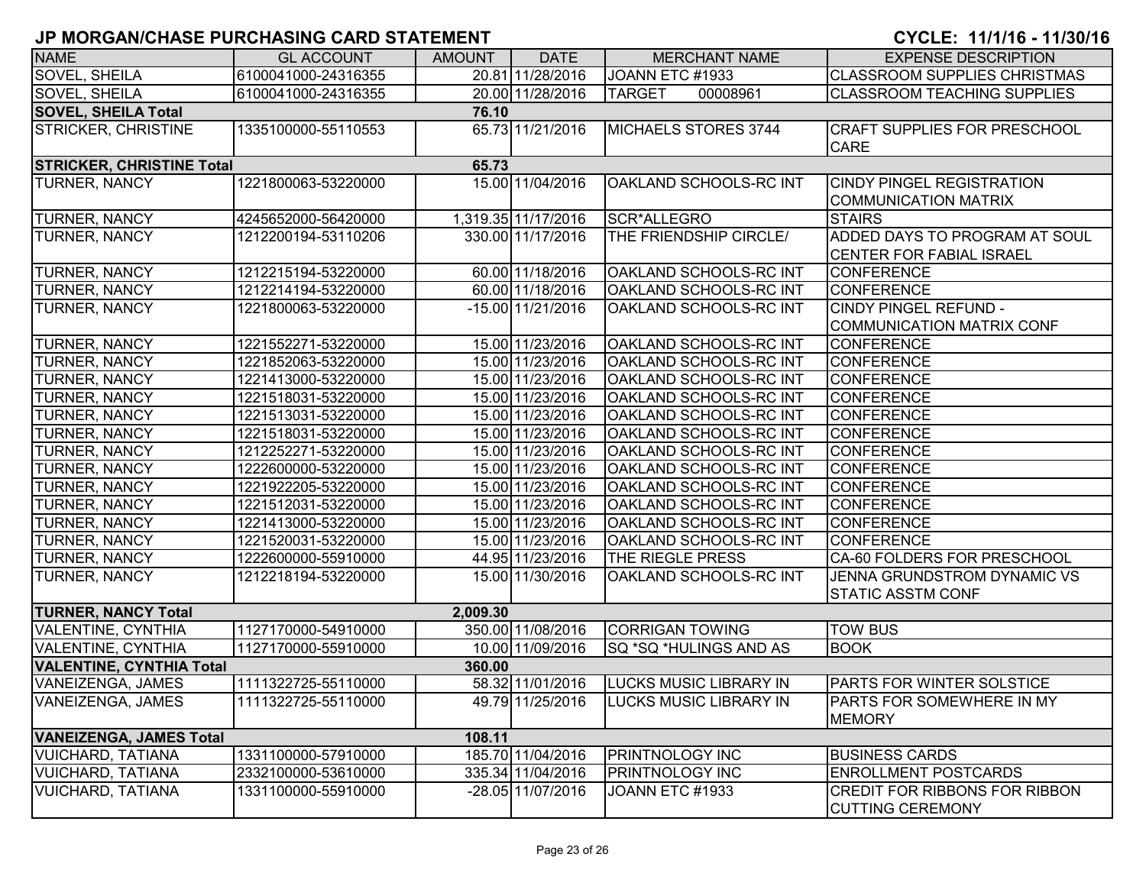| <b>NAME</b>                         | <b>GL ACCOUNT</b>   | <b>AMOUNT</b> | <b>DATE</b>         | <b>MERCHANT NAME</b>          | <b>EXPENSE DESCRIPTION</b>                                      |  |  |  |
|-------------------------------------|---------------------|---------------|---------------------|-------------------------------|-----------------------------------------------------------------|--|--|--|
| SOVEL, SHEILA                       | 6100041000-24316355 |               | 20.81 11/28/2016    | JOANN ETC #1933               | <b>CLASSROOM SUPPLIES CHRISTMAS</b>                             |  |  |  |
| SOVEL, SHEILA                       | 6100041000-24316355 |               | 20.00 11/28/2016    | <b>TARGET</b><br>00008961     | <b>CLASSROOM TEACHING SUPPLIES</b>                              |  |  |  |
| <b>SOVEL, SHEILA Total</b><br>76.10 |                     |               |                     |                               |                                                                 |  |  |  |
| <b>STRICKER, CHRISTINE</b>          | 1335100000-55110553 |               | 65.73 11/21/2016    | MICHAELS STORES 3744          | <b>CRAFT SUPPLIES FOR PRESCHOOL</b>                             |  |  |  |
|                                     |                     |               |                     |                               | <b>CARE</b>                                                     |  |  |  |
| <b>STRICKER, CHRISTINE Total</b>    |                     | 65.73         |                     |                               |                                                                 |  |  |  |
| <b>TURNER, NANCY</b>                | 1221800063-53220000 |               | 15.00 11/04/2016    | OAKLAND SCHOOLS-RC INT        | <b>CINDY PINGEL REGISTRATION</b>                                |  |  |  |
|                                     |                     |               |                     |                               | <b>COMMUNICATION MATRIX</b>                                     |  |  |  |
| <b>TURNER, NANCY</b>                | 4245652000-56420000 |               | 1,319.35 11/17/2016 | SCR*ALLEGRO                   | <b>STAIRS</b>                                                   |  |  |  |
| <b>TURNER, NANCY</b>                | 1212200194-53110206 |               | 330.00 11/17/2016   | THE FRIENDSHIP CIRCLE/        | ADDED DAYS TO PROGRAM AT SOUL                                   |  |  |  |
|                                     |                     |               |                     |                               | <b>CENTER FOR FABIAL ISRAEL</b>                                 |  |  |  |
| <b>TURNER, NANCY</b>                | 1212215194-53220000 |               | 60.00 11/18/2016    | OAKLAND SCHOOLS-RC INT        | <b>CONFERENCE</b>                                               |  |  |  |
| TURNER, NANCY                       | 1212214194-53220000 |               | 60.00 11/18/2016    | OAKLAND SCHOOLS-RC INT        | <b>CONFERENCE</b>                                               |  |  |  |
| TURNER, NANCY                       | 1221800063-53220000 |               | $-15.00$ 11/21/2016 | OAKLAND SCHOOLS-RC INT        | <b>CINDY PINGEL REFUND -</b>                                    |  |  |  |
|                                     |                     |               |                     |                               | <b>COMMUNICATION MATRIX CONF</b>                                |  |  |  |
| <b>TURNER, NANCY</b>                | 1221552271-53220000 |               | 15.00 11/23/2016    | <b>OAKLAND SCHOOLS-RC INT</b> | <b>CONFERENCE</b>                                               |  |  |  |
| <b>TURNER, NANCY</b>                | 1221852063-53220000 |               | 15.00 11/23/2016    | OAKLAND SCHOOLS-RC INT        | <b>CONFERENCE</b>                                               |  |  |  |
| <b>TURNER, NANCY</b>                | 1221413000-53220000 |               | 15.00 11/23/2016    | OAKLAND SCHOOLS-RC INT        | <b>CONFERENCE</b>                                               |  |  |  |
| TURNER, NANCY                       | 1221518031-53220000 |               | 15.00 11/23/2016    | OAKLAND SCHOOLS-RC INT        | <b>CONFERENCE</b>                                               |  |  |  |
| <b>TURNER, NANCY</b>                | 1221513031-53220000 |               | 15.00 11/23/2016    | OAKLAND SCHOOLS-RC INT        | <b>CONFERENCE</b>                                               |  |  |  |
| <b>TURNER, NANCY</b>                | 1221518031-53220000 |               | 15.00 11/23/2016    | OAKLAND SCHOOLS-RC INT        | <b>CONFERENCE</b>                                               |  |  |  |
| TURNER, NANCY                       | 1212252271-53220000 |               | 15.00 11/23/2016    | OAKLAND SCHOOLS-RC INT        | <b>CONFERENCE</b>                                               |  |  |  |
| <b>TURNER, NANCY</b>                | 1222600000-53220000 |               | 15.00 11/23/2016    | OAKLAND SCHOOLS-RC INT        | <b>CONFERENCE</b>                                               |  |  |  |
| <b>TURNER, NANCY</b>                | 1221922205-53220000 |               | 15.00 11/23/2016    | OAKLAND SCHOOLS-RC INT        | <b>CONFERENCE</b>                                               |  |  |  |
| <b>TURNER, NANCY</b>                | 1221512031-53220000 |               | 15.00 11/23/2016    | OAKLAND SCHOOLS-RC INT        | <b>CONFERENCE</b>                                               |  |  |  |
| <b>TURNER, NANCY</b>                | 1221413000-53220000 |               | 15.00 11/23/2016    | OAKLAND SCHOOLS-RC INT        | <b>CONFERENCE</b>                                               |  |  |  |
| <b>TURNER, NANCY</b>                | 1221520031-53220000 |               | 15.00 11/23/2016    | OAKLAND SCHOOLS-RC INT        | <b>CONFERENCE</b>                                               |  |  |  |
| <b>TURNER, NANCY</b>                | 1222600000-55910000 |               | 44.95 11/23/2016    | THE RIEGLE PRESS              | CA-60 FOLDERS FOR PRESCHOOL                                     |  |  |  |
| TURNER, NANCY                       | 1212218194-53220000 |               | 15.00 11/30/2016    | OAKLAND SCHOOLS-RC INT        | JENNA GRUNDSTROM DYNAMIC VS                                     |  |  |  |
|                                     |                     |               |                     |                               | <b>STATIC ASSTM CONF</b>                                        |  |  |  |
| <b>TURNER, NANCY Total</b>          |                     | 2,009.30      |                     |                               |                                                                 |  |  |  |
| <b>VALENTINE, CYNTHIA</b>           | 1127170000-54910000 |               | 350.00 11/08/2016   | <b>CORRIGAN TOWING</b>        | <b>TOW BUS</b>                                                  |  |  |  |
| <b>VALENTINE, CYNTHIA</b>           | 1127170000-55910000 |               | 10.00 11/09/2016    | SQ *SQ *HULINGS AND AS        | <b>BOOK</b>                                                     |  |  |  |
| <b>VALENTINE, CYNTHIA Total</b>     |                     | 360.00        |                     |                               |                                                                 |  |  |  |
| VANEIZENGA, JAMES                   | 1111322725-55110000 |               | 58.32 11/01/2016    | <b>LUCKS MUSIC LIBRARY IN</b> | <b>PARTS FOR WINTER SOLSTICE</b>                                |  |  |  |
| <b>VANEIZENGA, JAMES</b>            | 1111322725-55110000 |               | 49.79 11/25/2016    | <b>LUCKS MUSIC LIBRARY IN</b> | <b>PARTS FOR SOMEWHERE IN MY</b>                                |  |  |  |
|                                     |                     |               |                     |                               | <b>MEMORY</b>                                                   |  |  |  |
| <b>VANEIZENGA, JAMES Total</b>      |                     | 108.11        |                     |                               |                                                                 |  |  |  |
| <b>VUICHARD, TATIANA</b>            | 1331100000-57910000 |               | 185.70 11/04/2016   | <b>PRINTNOLOGY INC</b>        | <b>BUSINESS CARDS</b>                                           |  |  |  |
| <b>VUICHARD, TATIANA</b>            | 2332100000-53610000 |               | 335.34 11/04/2016   | <b>PRINTNOLOGY INC</b>        | <b>ENROLLMENT POSTCARDS</b>                                     |  |  |  |
| <b>VUICHARD, TATIANA</b>            | 1331100000-55910000 |               | -28.05 11/07/2016   | JOANN ETC #1933               | <b>CREDIT FOR RIBBONS FOR RIBBON</b><br><b>CUTTING CEREMONY</b> |  |  |  |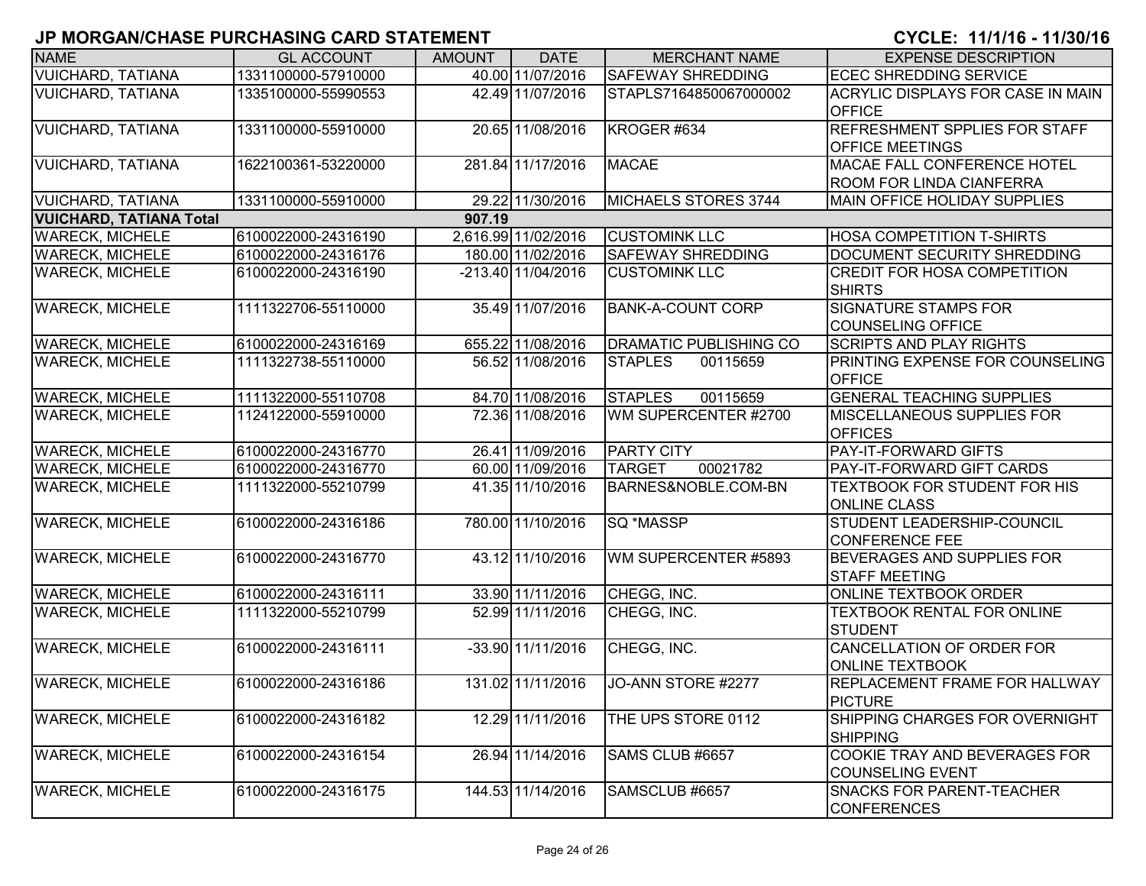| <b>NAME</b>                    | <b>GL ACCOUNT</b>   | <b>AMOUNT</b> | <b>DATE</b>         | <b>MERCHANT NAME</b>          | <b>EXPENSE DESCRIPTION</b>                                     |
|--------------------------------|---------------------|---------------|---------------------|-------------------------------|----------------------------------------------------------------|
| <b>VUICHARD, TATIANA</b>       | 1331100000-57910000 |               | 40.00 11/07/2016    | <b>SAFEWAY SHREDDING</b>      | <b>ECEC SHREDDING SERVICE</b>                                  |
| <b>VUICHARD, TATIANA</b>       | 1335100000-55990553 |               | 42.49 11/07/2016    | STAPLS7164850067000002        | <b>ACRYLIC DISPLAYS FOR CASE IN MAIN</b><br><b>OFFICE</b>      |
| <b>VUICHARD, TATIANA</b>       | 1331100000-55910000 |               | 20.65 11/08/2016    | KROGER #634                   | <b>REFRESHMENT SPPLIES FOR STAFF</b><br><b>OFFICE MEETINGS</b> |
| <b>VUICHARD, TATIANA</b>       | 1622100361-53220000 |               | 281.84 11/17/2016   | <b>MACAE</b>                  | MACAE FALL CONFERENCE HOTEL<br><b>ROOM FOR LINDA CIANFERRA</b> |
| <b>VUICHARD, TATIANA</b>       | 1331100000-55910000 |               | 29.22 11/30/2016    | MICHAELS STORES 3744          | <b>MAIN OFFICE HOLIDAY SUPPLIES</b>                            |
| <b>VUICHARD, TATIANA Total</b> |                     | 907.19        |                     |                               |                                                                |
| <b>WARECK, MICHELE</b>         | 6100022000-24316190 |               | 2,616.99 11/02/2016 | <b>CUSTOMINK LLC</b>          | <b>HOSA COMPETITION T-SHIRTS</b>                               |
| <b>WARECK, MICHELE</b>         | 6100022000-24316176 |               | 180.00 11/02/2016   | <b>SAFEWAY SHREDDING</b>      | DOCUMENT SECURITY SHREDDING                                    |
| <b>WARECK, MICHELE</b>         | 6100022000-24316190 |               | -213.40 11/04/2016  | <b>CUSTOMINK LLC</b>          | <b>CREDIT FOR HOSA COMPETITION</b><br><b>SHIRTS</b>            |
| <b>WARECK, MICHELE</b>         | 1111322706-55110000 |               | 35.49 11/07/2016    | <b>BANK-A-COUNT CORP</b>      | <b>SIGNATURE STAMPS FOR</b><br>COUNSELING OFFICE               |
| <b>WARECK, MICHELE</b>         | 6100022000-24316169 |               | 655.22 11/08/2016   | <b>DRAMATIC PUBLISHING CO</b> | <b>SCRIPTS AND PLAY RIGHTS</b>                                 |
| <b>WARECK, MICHELE</b>         | 1111322738-55110000 |               | 56.52 11/08/2016    | <b>STAPLES</b><br>00115659    | <b>PRINTING EXPENSE FOR COUNSELING</b><br><b>OFFICE</b>        |
| <b>WARECK, MICHELE</b>         | 1111322000-55110708 |               | 84.70 11/08/2016    | <b>STAPLES</b><br>00115659    | <b>GENERAL TEACHING SUPPLIES</b>                               |
| <b>WARECK, MICHELE</b>         | 1124122000-55910000 |               | 72.36 11/08/2016    | WM SUPERCENTER #2700          | <b>IMISCELLANEOUS SUPPLIES FOR</b><br><b>OFFICES</b>           |
| <b>WARECK, MICHELE</b>         | 6100022000-24316770 |               | 26.41 11/09/2016    | <b>PARTY CITY</b>             | <b>PAY-IT-FORWARD GIFTS</b>                                    |
| <b>WARECK, MICHELE</b>         | 6100022000-24316770 |               | 60.00 11/09/2016    | <b>TARGET</b><br>00021782     | <b>PAY-IT-FORWARD GIFT CARDS</b>                               |
| <b>WARECK, MICHELE</b>         | 1111322000-55210799 |               | 41.35 11/10/2016    | BARNES&NOBLE.COM-BN           | TEXTBOOK FOR STUDENT FOR HIS<br><b>ONLINE CLASS</b>            |
| <b>WARECK, MICHELE</b>         | 6100022000-24316186 |               | 780.00 11/10/2016   | SQ *MASSP                     | STUDENT LEADERSHIP-COUNCIL<br><b>CONFERENCE FEE</b>            |
| <b>WARECK, MICHELE</b>         | 6100022000-24316770 |               | 43.12 11/10/2016    | WM SUPERCENTER #5893          | <b>BEVERAGES AND SUPPLIES FOR</b><br><b>STAFF MEETING</b>      |
| <b>WARECK, MICHELE</b>         | 6100022000-24316111 |               | 33.90 11/11/2016    | CHEGG, INC.                   | <b>ONLINE TEXTBOOK ORDER</b>                                   |
| <b>WARECK, MICHELE</b>         | 1111322000-55210799 |               | 52.99 11/11/2016    | CHEGG, INC.                   | <b>TEXTBOOK RENTAL FOR ONLINE</b><br><b>STUDENT</b>            |
| <b>WARECK, MICHELE</b>         | 6100022000-24316111 |               | -33.90 11/11/2016   | CHEGG, INC.                   | CANCELLATION OF ORDER FOR<br><b>ONLINE TEXTBOOK</b>            |
| <b>WARECK, MICHELE</b>         | 6100022000-24316186 |               | 131.02 11/11/2016   | JO-ANN STORE #2277            | <b>REPLACEMENT FRAME FOR HALLWAY</b><br><b>PICTURE</b>         |
| <b>WARECK, MICHELE</b>         | 6100022000-24316182 |               | 12.29 11/11/2016    | THE UPS STORE 0112            | SHIPPING CHARGES FOR OVERNIGHT<br><b>SHIPPING</b>              |
| <b>WARECK, MICHELE</b>         | 6100022000-24316154 |               | 26.94 11/14/2016    | SAMS CLUB #6657               | COOKIE TRAY AND BEVERAGES FOR<br><b>COUNSELING EVENT</b>       |
| <b>WARECK, MICHELE</b>         | 6100022000-24316175 |               | 144.53 11/14/2016   | SAMSCLUB #6657                | <b>SNACKS FOR PARENT-TEACHER</b><br><b>CONFERENCES</b>         |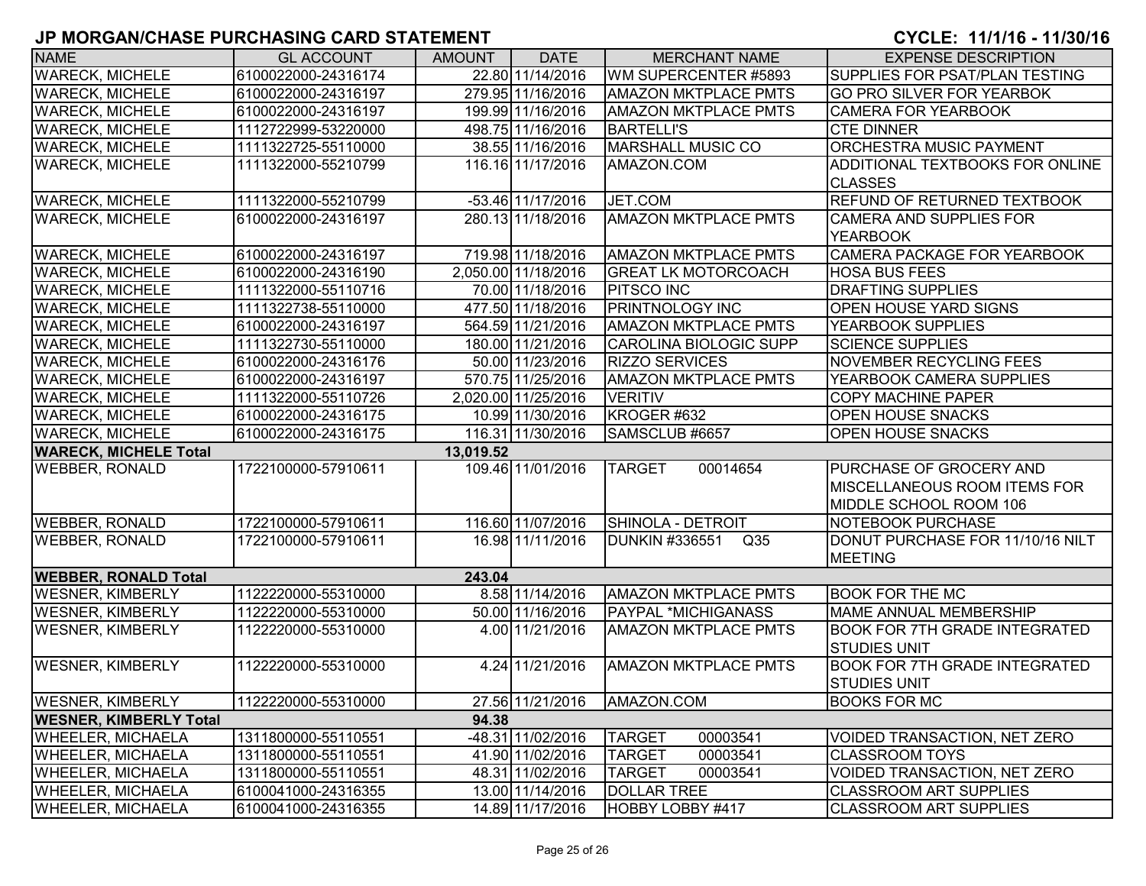| <b>NAME</b>                               | <b>GL ACCOUNT</b>   | <b>AMOUNT</b> | <b>DATE</b>         | <b>MERCHANT NAME</b>         | <b>EXPENSE DESCRIPTION</b>           |  |  |  |
|-------------------------------------------|---------------------|---------------|---------------------|------------------------------|--------------------------------------|--|--|--|
| <b>WARECK, MICHELE</b>                    | 6100022000-24316174 |               | 22.80 11/14/2016    | WM SUPERCENTER #5893         | SUPPLIES FOR PSAT/PLAN TESTING       |  |  |  |
| <b>WARECK, MICHELE</b>                    | 6100022000-24316197 |               | 279.95 11/16/2016   | <b>AMAZON MKTPLACE PMTS</b>  | GO PRO SILVER FOR YEARBOK            |  |  |  |
| <b>WARECK, MICHELE</b>                    | 6100022000-24316197 |               | 199.99 11/16/2016   | <b>AMAZON MKTPLACE PMTS</b>  | <b>CAMERA FOR YEARBOOK</b>           |  |  |  |
| <b>WARECK, MICHELE</b>                    | 1112722999-53220000 |               | 498.75 11/16/2016   | <b>BARTELLI'S</b>            | <b>CTE DINNER</b>                    |  |  |  |
| <b>WARECK, MICHELE</b>                    | 1111322725-55110000 |               | 38.55 11/16/2016    | <b>MARSHALL MUSIC CO</b>     | <b>ORCHESTRA MUSIC PAYMENT</b>       |  |  |  |
| <b>WARECK, MICHELE</b>                    | 1111322000-55210799 |               | 116.16 11/17/2016   | AMAZON.COM                   | ADDITIONAL TEXTBOOKS FOR ONLINE      |  |  |  |
|                                           |                     |               |                     |                              | <b>CLASSES</b>                       |  |  |  |
| <b>WARECK, MICHELE</b>                    | 1111322000-55210799 |               | $-53.46$ 11/17/2016 | JET.COM                      | <b>REFUND OF RETURNED TEXTBOOK</b>   |  |  |  |
| <b>WARECK, MICHELE</b>                    | 6100022000-24316197 |               | 280.13 11/18/2016   | <b>AMAZON MKTPLACE PMTS</b>  | <b>CAMERA AND SUPPLIES FOR</b>       |  |  |  |
|                                           |                     |               |                     |                              | <b>YEARBOOK</b>                      |  |  |  |
| <b>WARECK, MICHELE</b>                    | 6100022000-24316197 |               | 719.98 11/18/2016   | <b>AMAZON MKTPLACE PMTS</b>  | CAMERA PACKAGE FOR YEARBOOK          |  |  |  |
| <b>WARECK, MICHELE</b>                    | 6100022000-24316190 |               | 2,050.00 11/18/2016 | <b>GREAT LK MOTORCOACH</b>   | <b>HOSA BUS FEES</b>                 |  |  |  |
| <b>WARECK, MICHELE</b>                    | 1111322000-55110716 |               | 70.00 11/18/2016    | <b>PITSCO INC</b>            | <b>DRAFTING SUPPLIES</b>             |  |  |  |
| <b>WARECK, MICHELE</b>                    | 1111322738-55110000 |               | 477.50 11/18/2016   | <b>PRINTNOLOGY INC</b>       | OPEN HOUSE YARD SIGNS                |  |  |  |
| <b>WARECK, MICHELE</b>                    | 6100022000-24316197 |               | 564.59 11/21/2016   | <b>AMAZON MKTPLACE PMTS</b>  | YEARBOOK SUPPLIES                    |  |  |  |
| <b>WARECK, MICHELE</b>                    | 1111322730-55110000 |               | 180.00 11/21/2016   | CAROLINA BIOLOGIC SUPP       | <b>SCIENCE SUPPLIES</b>              |  |  |  |
| <b>WARECK, MICHELE</b>                    | 6100022000-24316176 |               | 50.00 11/23/2016    | <b>RIZZO SERVICES</b>        | NOVEMBER RECYCLING FEES              |  |  |  |
| <b>WARECK, MICHELE</b>                    | 6100022000-24316197 |               | 570.75 11/25/2016   | <b>AMAZON MKTPLACE PMTS</b>  | YEARBOOK CAMERA SUPPLIES             |  |  |  |
| <b>WARECK, MICHELE</b>                    | 1111322000-55110726 |               | 2,020.00 11/25/2016 | <b>VERITIV</b>               | <b>COPY MACHINE PAPER</b>            |  |  |  |
| <b>WARECK, MICHELE</b>                    | 6100022000-24316175 |               | 10.99 11/30/2016    | KROGER #632                  | OPEN HOUSE SNACKS                    |  |  |  |
| <b>WARECK, MICHELE</b>                    | 6100022000-24316175 |               | 116.31 11/30/2016   | SAMSCLUB #6657               | <b>OPEN HOUSE SNACKS</b>             |  |  |  |
| <b>WARECK, MICHELE Total</b><br>13,019.52 |                     |               |                     |                              |                                      |  |  |  |
| <b>WEBBER, RONALD</b>                     | 1722100000-57910611 |               | 109.46 11/01/2016   | 00014654<br><b>TARGET</b>    | PURCHASE OF GROCERY AND              |  |  |  |
|                                           |                     |               |                     |                              | <b>MISCELLANEOUS ROOM ITEMS FOR</b>  |  |  |  |
|                                           |                     |               |                     |                              | MIDDLE SCHOOL ROOM 106               |  |  |  |
| <b>WEBBER, RONALD</b>                     | 1722100000-57910611 |               | 116.60 11/07/2016   | SHINOLA - DETROIT            | NOTEBOOK PURCHASE                    |  |  |  |
| <b>WEBBER, RONALD</b>                     | 1722100000-57910611 |               | 16.98 11/11/2016    | <b>DUNKIN #336551</b><br>Q35 | DONUT PURCHASE FOR 11/10/16 NILT     |  |  |  |
|                                           |                     |               |                     |                              | <b>MEETING</b>                       |  |  |  |
| <b>WEBBER, RONALD Total</b>               |                     | 243.04        |                     |                              |                                      |  |  |  |
| <b>WESNER, KIMBERLY</b>                   | 1122220000-55310000 |               | 8.58 11/14/2016     | <b>AMAZON MKTPLACE PMTS</b>  | <b>BOOK FOR THE MC</b>               |  |  |  |
| <b>WESNER, KIMBERLY</b>                   | 1122220000-55310000 |               | 50.00 11/16/2016    | PAYPAL *MICHIGANASS          | MAME ANNUAL MEMBERSHIP               |  |  |  |
| <b>WESNER, KIMBERLY</b>                   | 1122220000-55310000 |               | 4.00 11/21/2016     | <b>AMAZON MKTPLACE PMTS</b>  | <b>BOOK FOR 7TH GRADE INTEGRATED</b> |  |  |  |
|                                           |                     |               |                     |                              | <b>STUDIES UNIT</b>                  |  |  |  |
| <b>WESNER, KIMBERLY</b>                   | 1122220000-55310000 |               | 4.24 11/21/2016     | <b>AMAZON MKTPLACE PMTS</b>  | <b>BOOK FOR 7TH GRADE INTEGRATED</b> |  |  |  |
|                                           |                     |               |                     |                              | <b>STUDIES UNIT</b>                  |  |  |  |
| <b>WESNER, KIMBERLY</b>                   | 1122220000-55310000 |               | 27.56 11/21/2016    | AMAZON.COM                   | <b>BOOKS FOR MC</b>                  |  |  |  |
| <b>WESNER, KIMBERLY Total</b>             |                     | 94.38         |                     |                              |                                      |  |  |  |
| <b>WHEELER, MICHAELA</b>                  | 1311800000-55110551 |               | -48.31 11/02/2016   | <b>TARGET</b><br>00003541    | VOIDED TRANSACTION, NET ZERO         |  |  |  |
| <b>WHEELER, MICHAELA</b>                  | 1311800000-55110551 |               | 41.90 11/02/2016    | <b>TARGET</b><br>00003541    | <b>CLASSROOM TOYS</b>                |  |  |  |
| <b>WHEELER, MICHAELA</b>                  | 1311800000-55110551 |               | 48.31 11/02/2016    | <b>TARGET</b><br>00003541    | VOIDED TRANSACTION, NET ZERO         |  |  |  |
| <b>WHEELER, MICHAELA</b>                  | 6100041000-24316355 |               | 13.00 11/14/2016    | <b>DOLLAR TREE</b>           | <b>CLASSROOM ART SUPPLIES</b>        |  |  |  |
| <b>WHEELER, MICHAELA</b>                  | 6100041000-24316355 |               | 14.89 11/17/2016    | HOBBY LOBBY #417             | <b>CLASSROOM ART SUPPLIES</b>        |  |  |  |